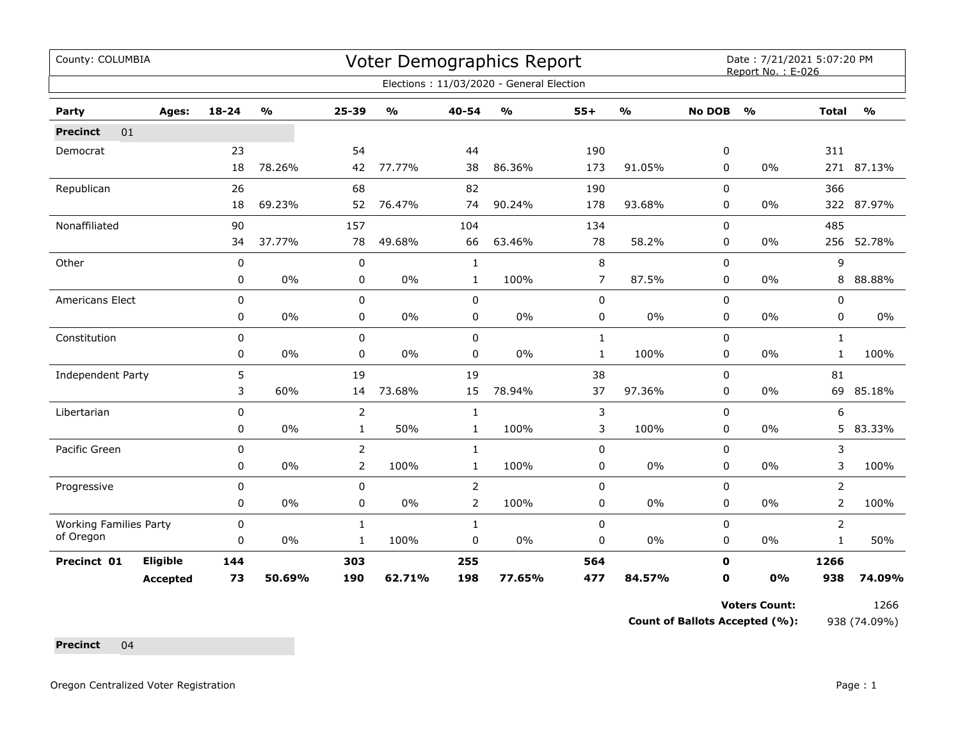| County: COLUMBIA              |                 |             |               |                |               |                | <b>Voter Demographics Report</b>         |              |                         |               | Date: 7/21/2021 5:07:20 PM<br>Report No.: E-026 |                |               |
|-------------------------------|-----------------|-------------|---------------|----------------|---------------|----------------|------------------------------------------|--------------|-------------------------|---------------|-------------------------------------------------|----------------|---------------|
|                               |                 |             |               |                |               |                | Elections: 11/03/2020 - General Election |              |                         |               |                                                 |                |               |
| Party                         | Ages:           | $18 - 24$   | $\frac{1}{2}$ | $25 - 39$      | $\frac{1}{2}$ | 40-54          | $\frac{1}{2}$                            | $55+$        | $\mathbf{O}/\mathbf{o}$ | <b>No DOB</b> | $\frac{0}{0}$                                   | <b>Total</b>   | $\frac{1}{2}$ |
| 01<br><b>Precinct</b>         |                 |             |               |                |               |                |                                          |              |                         |               |                                                 |                |               |
| Democrat                      |                 | 23          |               | 54             |               | 44             |                                          | 190          |                         | 0             |                                                 | 311            |               |
|                               |                 | 18          | 78.26%        | 42             | 77.77%        | 38             | 86.36%                                   | 173          | 91.05%                  | 0             | 0%                                              |                | 271 87.13%    |
| Republican                    |                 | 26          |               | 68             |               | 82             |                                          | 190          |                         | $\Omega$      |                                                 | 366            |               |
|                               |                 | 18          | 69.23%        | 52             | 76.47%        | 74             | 90.24%                                   | 178          | 93.68%                  | 0             | 0%                                              |                | 322 87.97%    |
| Nonaffiliated                 |                 | 90          |               | 157            |               | 104            |                                          | 134          |                         | $\mathbf 0$   |                                                 | 485            |               |
|                               |                 | 34          | 37.77%        | 78             | 49.68%        | 66             | 63.46%                                   | 78           | 58.2%                   | 0             | 0%                                              | 256            | 52.78%        |
| Other                         |                 | 0           |               | 0              |               | $\mathbf{1}$   |                                          | $\,8\,$      |                         | $\mathbf 0$   |                                                 | 9              |               |
|                               |                 | 0           | $0\%$         | 0              | 0%            | 1              | 100%                                     | 7            | 87.5%                   | 0             | 0%                                              | 8              | 88.88%        |
| Americans Elect               |                 | $\mathbf 0$ |               | 0              |               | $\mathbf 0$    |                                          | $\pmb{0}$    |                         | 0             |                                                 | 0              |               |
|                               |                 | 0           | 0%            | 0              | 0%            | 0              | 0%                                       | 0            | 0%                      | 0             | 0%                                              | 0              | $0\%$         |
| Constitution                  |                 | 0           |               | $\mathbf 0$    |               | $\mathbf 0$    |                                          | $\mathbf{1}$ |                         | $\mathbf 0$   |                                                 | $\mathbf{1}$   |               |
|                               |                 | 0           | 0%            | 0              | $0\%$         | $\mathbf 0$    | $0\%$                                    | $\mathbf{1}$ | 100%                    | 0             | 0%                                              | $\mathbf{1}$   | 100%          |
| <b>Independent Party</b>      |                 | 5           |               | 19             |               | 19             |                                          | 38           |                         | 0             |                                                 | 81             |               |
|                               |                 | 3           | 60%           | 14             | 73.68%        | 15             | 78.94%                                   | 37           | 97.36%                  | 0             | 0%                                              | 69             | 85.18%        |
| Libertarian                   |                 | 0           |               | 2              |               | $\mathbf{1}$   |                                          | 3            |                         | 0             |                                                 | 6              |               |
|                               |                 | 0           | 0%            | $\mathbf{1}$   | 50%           | $\mathbf{1}$   | 100%                                     | 3            | 100%                    | 0             | 0%                                              | 5              | 83.33%        |
| Pacific Green                 |                 | 0           |               | 2              |               | $\mathbf{1}$   |                                          | 0            |                         | 0             |                                                 | 3              |               |
|                               |                 | 0           | 0%            | $\overline{2}$ | 100%          | $\mathbf{1}$   | 100%                                     | $\pmb{0}$    | $0\%$                   | 0             | 0%                                              | 3              | 100%          |
| Progressive                   |                 | $\mathbf 0$ |               | $\mathbf 0$    |               | 2              |                                          | $\mathbf 0$  |                         | $\mathbf 0$   |                                                 | $\overline{2}$ |               |
|                               |                 | 0           | 0%            | 0              | 0%            | $\overline{2}$ | 100%                                     | $\pmb{0}$    | 0%                      | 0             | 0%                                              | $\overline{2}$ | 100%          |
| <b>Working Families Party</b> |                 | 0           |               | $\mathbf{1}$   |               | $\mathbf{1}$   |                                          | $\pmb{0}$    |                         | $\mathbf 0$   |                                                 | $\overline{2}$ |               |
| of Oregon                     |                 | $\mathbf 0$ | $0\%$         | 1              | 100%          | 0              | 0%                                       | 0            | $0\%$                   | 0             | 0%                                              | 1              | 50%           |
| Precinct 01                   | Eligible        | 144         |               | 303            |               | 255            |                                          | 564          |                         | $\mathbf 0$   |                                                 | 1266           |               |
|                               | <b>Accepted</b> | 73          | 50.69%        | 190            | 62.71%        | 198            | 77.65%                                   | 477          | 84.57%                  | 0             | 0%                                              | 938            | 74.09%        |

**Voters Count:** 1266

**Count of Ballots Accepted (%):** 938 (74.09%)

**Precinct** 04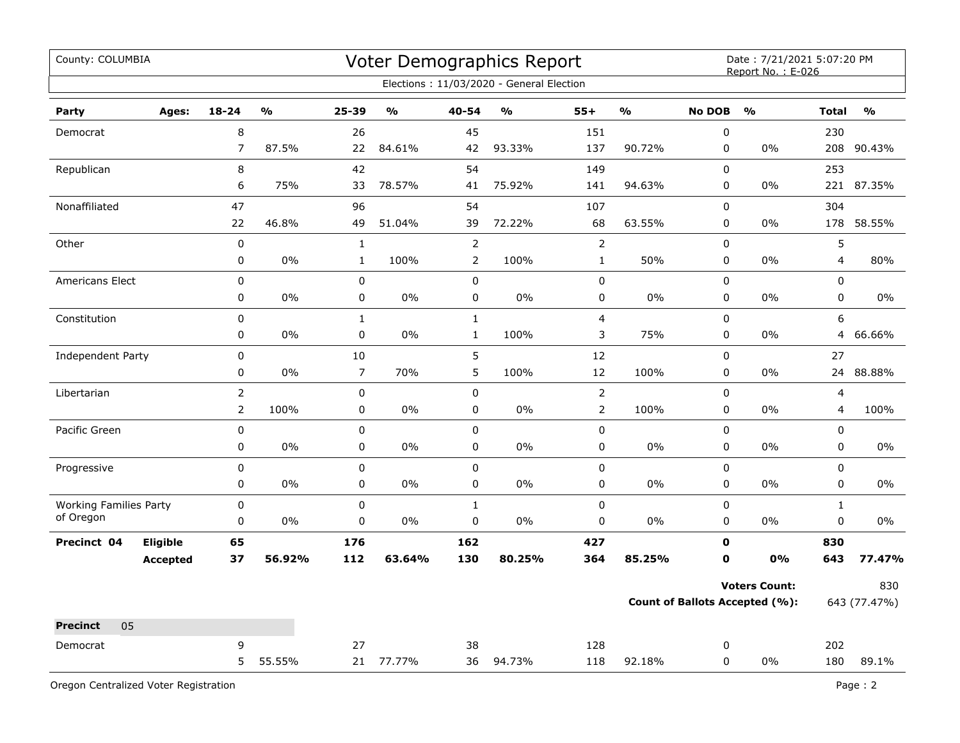| County: COLUMBIA              |                |                         |                |                         |                | Voter Demographics Report                |                |               |               | Date: 7/21/2021 5:07:20 PM<br>Report No.: E-026 |              |               |
|-------------------------------|----------------|-------------------------|----------------|-------------------------|----------------|------------------------------------------|----------------|---------------|---------------|-------------------------------------------------|--------------|---------------|
|                               |                |                         |                |                         |                | Elections: 11/03/2020 - General Election |                |               |               |                                                 |              |               |
| Party<br>Ages:                | 18-24          | $\mathbf{0}/\mathbf{0}$ | 25-39          | $\mathbf{0}/\mathbf{0}$ | 40-54          | $\mathbf{O}/\mathbf{o}$                  | $55+$          | $\frac{0}{0}$ | <b>No DOB</b> | O <sub>0</sub>                                  | <b>Total</b> | $\frac{1}{2}$ |
| Democrat                      | $\,8\,$        |                         | 26             |                         | 45             |                                          | 151            |               | $\pmb{0}$     |                                                 | 230          |               |
|                               | $\overline{7}$ | 87.5%                   | 22             | 84.61%                  | 42             | 93.33%                                   | 137            | 90.72%        | 0             | 0%                                              | 208          | 90.43%        |
| Republican                    | $\, 8$         |                         | 42             |                         | 54             |                                          | 149            |               | $\mathbf 0$   |                                                 | 253          |               |
|                               | 6              | 75%                     | 33             | 78.57%                  | 41             | 75.92%                                   | 141            | 94.63%        | $\pmb{0}$     | 0%                                              | 221          | 87.35%        |
| Nonaffiliated                 | 47             |                         | 96             |                         | 54             |                                          | 107            |               | $\pmb{0}$     |                                                 | 304          |               |
|                               | 22             | 46.8%                   | 49             | 51.04%                  | 39             | 72.22%                                   | 68             | 63.55%        | 0             | 0%                                              | 178          | 58.55%        |
| Other                         | $\pmb{0}$      |                         | $\mathbf{1}$   |                         | $\overline{2}$ |                                          | $\mathsf{2}$   |               | $\pmb{0}$     |                                                 | 5            |               |
|                               | 0              | 0%                      | $\mathbf{1}$   | 100%                    | $\overline{2}$ | 100%                                     | $\mathbf{1}$   | 50%           | 0             | $0\%$                                           | 4            | 80%           |
| <b>Americans Elect</b>        | 0              |                         | 0              |                         | $\mathbf 0$    |                                          | $\mathbf 0$    |               | $\mathbf 0$   |                                                 | $\Omega$     |               |
|                               | 0              | $0\%$                   | 0              | 0%                      | $\mathbf 0$    | 0%                                       | 0              | 0%            | $\mathbf 0$   | $0\%$                                           | $\mathbf 0$  | $0\%$         |
| Constitution                  | 0              |                         | $\mathbf{1}$   |                         | $1\,$          |                                          | 4              |               | $\pmb{0}$     |                                                 | 6            |               |
|                               | 0              | $0\%$                   | $\pmb{0}$      | $0\%$                   | $\mathbf{1}$   | 100%                                     | 3              | 75%           | $\pmb{0}$     | $0\%$                                           | 4            | 66.66%        |
| <b>Independent Party</b>      | 0              |                         | 10             |                         | 5              |                                          | 12             |               | $\pmb{0}$     |                                                 | 27           |               |
|                               | $\pmb{0}$      | 0%                      | $\overline{7}$ | 70%                     | 5              | 100%                                     | 12             | 100%          | 0             | 0%                                              | 24           | 88.88%        |
| Libertarian                   | $\overline{2}$ |                         | 0              |                         | $\mathbf 0$    |                                          | $\overline{2}$ |               | $\mathbf 0$   |                                                 | 4            |               |
|                               | $\overline{2}$ | 100%                    | 0              | 0%                      | 0              | 0%                                       | $\overline{2}$ | 100%          | 0             | $0\%$                                           | 4            | 100%          |
| Pacific Green                 | $\pmb{0}$      |                         | $\mathbf 0$    |                         | $\pmb{0}$      |                                          | 0              |               | $\pmb{0}$     |                                                 | $\pmb{0}$    |               |
|                               | 0              | 0%                      | 0              | 0%                      | $\pmb{0}$      | 0%                                       | 0              | 0%            | 0             | 0%                                              | $\mathsf 0$  | 0%            |
| Progressive                   | 0              |                         | $\mathbf 0$    |                         | $\pmb{0}$      |                                          | $\mathbf 0$    |               | $\pmb{0}$     |                                                 | $\pmb{0}$    |               |
|                               | 0              | 0%                      | 0              | 0%                      | $\pmb{0}$      | 0%                                       | 0              | 0%            | $\pmb{0}$     | 0%                                              | $\pmb{0}$    | 0%            |
| <b>Working Families Party</b> | 0              |                         | $\mathbf 0$    |                         | $\mathbf{1}$   |                                          | $\mathbf 0$    |               | $\pmb{0}$     |                                                 | $\mathbf{1}$ |               |
| of Oregon                     | 0              | $0\%$                   | 0              | 0%                      | 0              | 0%                                       | 0              | 0%            | 0             | $0\%$                                           | 0            | 0%            |
| Eligible<br>Precinct 04       | 65             |                         | 176            |                         | 162            |                                          | 427            |               | 0             |                                                 | 830          |               |
| <b>Accepted</b>               | 37             | 56.92%                  | 112            | 63.64%                  | 130            | 80.25%                                   | 364            | 85.25%        | $\mathbf{0}$  | 0%                                              | 643          | 77.47%        |
|                               |                |                         |                |                         |                |                                          |                |               |               | <b>Voters Count:</b>                            |              | 830           |
|                               |                |                         |                |                         |                |                                          |                |               |               | <b>Count of Ballots Accepted (%):</b>           |              | 643 (77.47%)  |
| 05<br><b>Precinct</b>         |                |                         |                |                         |                |                                          |                |               |               |                                                 |              |               |
| Democrat                      | 9              |                         | 27             |                         | 38             |                                          | 128            |               | 0             |                                                 | 202          |               |
|                               | 5              | 55.55%                  | 21             | 77.77%                  | 36             | 94.73%                                   | 118            | 92.18%        | $\Omega$      | 0%                                              | 180          | 89.1%         |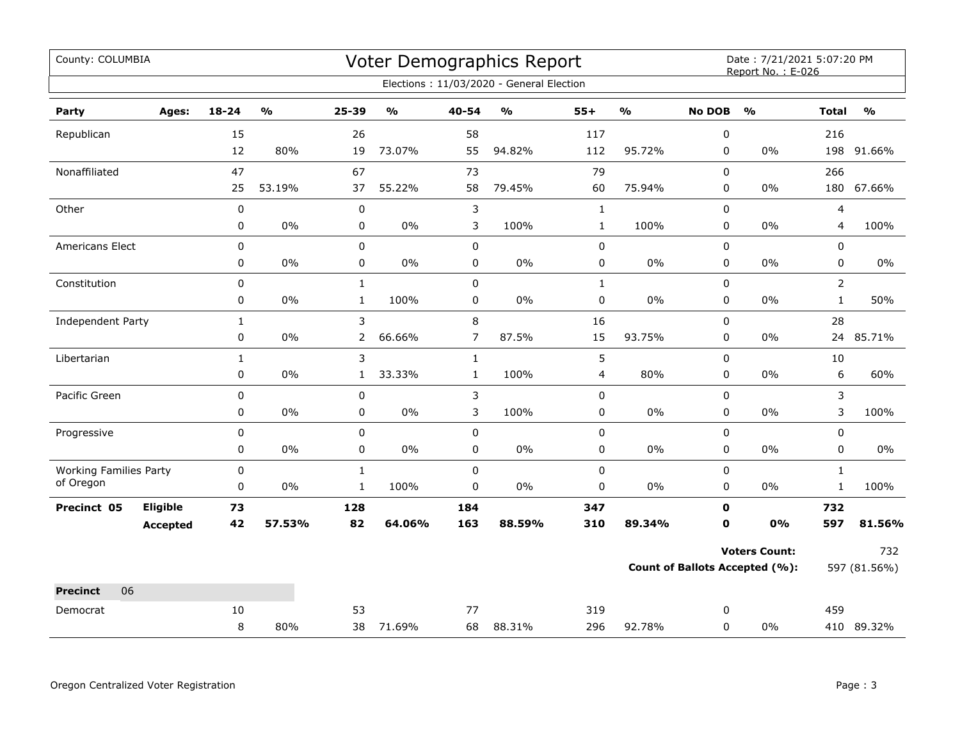| County: COLUMBIA              |                 |              |                         |              |                         |                | <b>Voter Demographics Report</b>         |              |                         |               | Date: 7/21/2021 5:07:20 PM<br>Report No.: E-026 |                         |                         |
|-------------------------------|-----------------|--------------|-------------------------|--------------|-------------------------|----------------|------------------------------------------|--------------|-------------------------|---------------|-------------------------------------------------|-------------------------|-------------------------|
|                               |                 |              |                         |              |                         |                | Elections: 11/03/2020 - General Election |              |                         |               |                                                 |                         |                         |
| Party                         | Ages:           | 18-24        | $\mathbf{0}/\mathbf{0}$ | 25-39        | $\mathbf{O}/\mathbf{o}$ | 40-54          | $\mathsf{o}\mathsf{v}_\mathsf{o}$        | $55+$        | $\mathbf{O}/\mathbf{O}$ | <b>No DOB</b> | $\mathbf{O}/\mathbf{o}$                         | <b>Total</b>            | $\mathbf{O}/\mathbf{o}$ |
| Republican                    |                 | 15           |                         | 26           |                         | 58             |                                          | 117          |                         | 0             |                                                 | 216                     |                         |
|                               |                 | 12           | 80%                     | 19           | 73.07%                  | 55             | 94.82%                                   | 112          | 95.72%                  | $\mathbf 0$   | $0\%$                                           |                         | 198 91.66%              |
| Nonaffiliated                 |                 | 47           |                         | 67           |                         | 73             |                                          | 79           |                         | 0             |                                                 | 266                     |                         |
|                               |                 | 25           | 53.19%                  | 37           | 55.22%                  | 58             | 79.45%                                   | 60           | 75.94%                  | 0             | $0\%$                                           | 180                     | 67.66%                  |
| Other                         |                 | $\pmb{0}$    |                         | 0            |                         | 3              |                                          | $\mathbf 1$  |                         | 0             |                                                 | $\overline{\mathbf{4}}$ |                         |
|                               |                 | 0            | $0\%$                   | $\mathbf 0$  | $0\%$                   | 3              | 100%                                     | $\mathbf 1$  | 100%                    | 0             | $0\%$                                           | 4                       | 100%                    |
| Americans Elect               |                 | 0            |                         | 0            |                         | $\mathbf 0$    |                                          | 0            |                         | $\mathbf 0$   |                                                 | $\mathbf 0$             |                         |
|                               |                 | 0            | $0\%$                   | 0            | $0\%$                   | 0              | $0\%$                                    | 0            | $0\%$                   | 0             | $0\%$                                           | $\mathbf 0$             | $0\%$                   |
| Constitution                  |                 | 0            |                         | $\mathbf{1}$ |                         | $\mathbf 0$    |                                          | $\mathbf{1}$ |                         | 0             |                                                 | $\overline{2}$          |                         |
|                               |                 | 0            | $0\%$                   | $\mathbf{1}$ | 100%                    | $\pmb{0}$      | 0%                                       | $\pmb{0}$    | $0\%$                   | 0             | $0\%$                                           | $\mathbf 1$             | 50%                     |
| Independent Party             |                 | $\mathbf{1}$ |                         | 3            |                         | 8              |                                          | 16           |                         | $\mathbf 0$   |                                                 | 28                      |                         |
|                               |                 | 0            | 0%                      | 2            | 66.66%                  | $\overline{7}$ | 87.5%                                    | 15           | 93.75%                  | 0             | $0\%$                                           | 24                      | 85.71%                  |
| Libertarian                   |                 | $\mathbf{1}$ |                         | 3            |                         | $\mathbf{1}$   |                                          | 5            |                         | $\mathbf 0$   |                                                 | 10                      |                         |
|                               |                 | 0            | 0%                      | $\mathbf{1}$ | 33.33%                  | $\mathbf{1}$   | 100%                                     | 4            | 80%                     | $\mathbf 0$   | $0\%$                                           | 6                       | 60%                     |
| Pacific Green                 |                 | 0            |                         | 0            |                         | 3              |                                          | 0            |                         | $\pmb{0}$     |                                                 | 3                       |                         |
|                               |                 | 0            | $0\%$                   | 0            | $0\%$                   | 3              | 100%                                     | 0            | $0\%$                   | 0             | $0\%$                                           | 3                       | 100%                    |
| Progressive                   |                 | 0            |                         | $\mathbf 0$  |                         | $\mathbf 0$    |                                          | $\mathbf 0$  |                         | $\mathbf 0$   |                                                 | $\mathbf 0$             |                         |
|                               |                 | 0            | $0\%$                   | 0            | 0%                      | $\mathbf 0$    | 0%                                       | 0            | $0\%$                   | 0             | $0\%$                                           | 0                       | $0\%$                   |
| <b>Working Families Party</b> |                 | 0            |                         | $\mathbf{1}$ |                         | $\mathsf 0$    |                                          | 0            |                         | $\mathbf 0$   |                                                 | $\mathbf{1}$            |                         |
| of Oregon                     |                 | 0            | $0\%$                   | $\mathbf{1}$ | 100%                    | $\mathbf 0$    | 0%                                       | 0            | $0\%$                   | 0             | $0\%$                                           | $\mathbf{1}$            | 100%                    |
| Precinct 05                   | Eligible        | 73           |                         | 128          |                         | 184            |                                          | 347          |                         | $\mathbf 0$   |                                                 | 732                     |                         |
|                               | <b>Accepted</b> | 42           | 57.53%                  | 82           | 64.06%                  | 163            | 88.59%                                   | 310          | 89.34%                  | $\mathbf 0$   | 0%                                              | 597                     | 81.56%                  |
|                               |                 |              |                         |              |                         |                |                                          |              |                         |               | <b>Voters Count:</b>                            |                         | 732                     |
|                               |                 |              |                         |              |                         |                |                                          |              |                         |               | <b>Count of Ballots Accepted (%):</b>           |                         | 597 (81.56%)            |
| <b>Precinct</b><br>06         |                 |              |                         |              |                         |                |                                          |              |                         |               |                                                 |                         |                         |
| Democrat                      |                 | 10           |                         | 53           |                         | 77             |                                          | 319          |                         | 0             |                                                 | 459                     |                         |
|                               |                 | 8            | 80%                     | 38           | 71.69%                  | 68             | 88.31%                                   | 296          | 92.78%                  | $\mathbf 0$   | $0\%$                                           |                         | 410 89.32%              |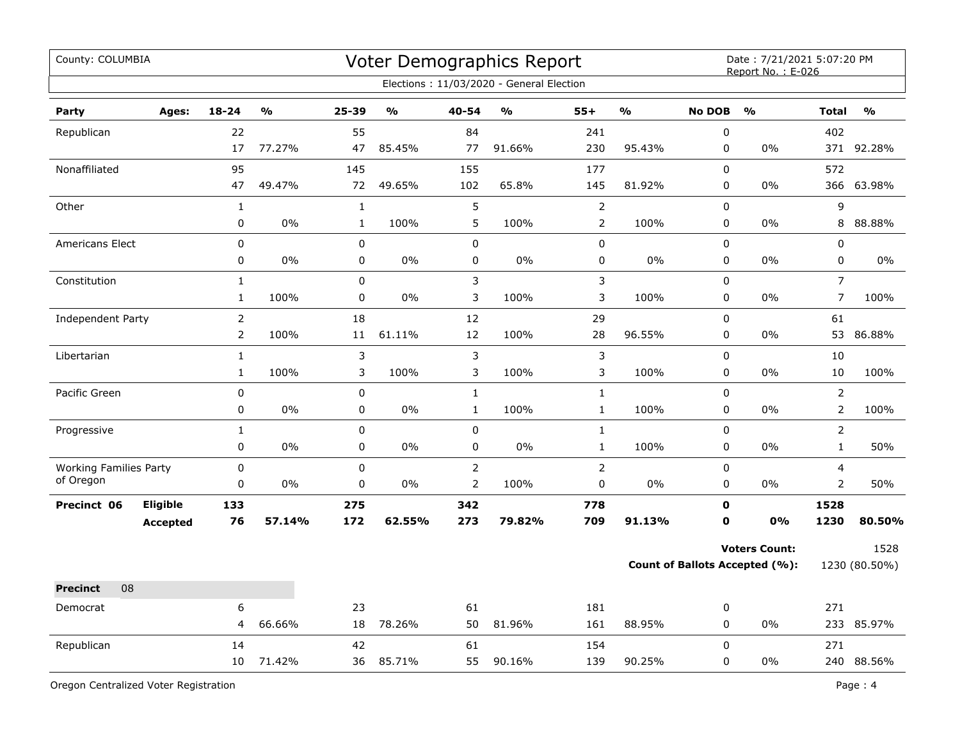| County: COLUMBIA              |                 |                |               |              |               |                | Voter Demographics Report<br>Elections: 11/03/2020 - General Election |                |               |                  | Date: 7/21/2021 5:07:20 PM<br>Report No.: E-026 |                |               |
|-------------------------------|-----------------|----------------|---------------|--------------|---------------|----------------|-----------------------------------------------------------------------|----------------|---------------|------------------|-------------------------------------------------|----------------|---------------|
| Party                         | Ages:           | $18 - 24$      | $\frac{1}{2}$ | 25-39        | $\frac{0}{0}$ | 40-54          | $\frac{0}{0}$                                                         | $55+$          | $\frac{9}{6}$ | <b>No DOB</b>    | $\frac{0}{0}$                                   | <b>Total</b>   | $\frac{0}{0}$ |
|                               |                 | 22             |               | 55           |               | 84             |                                                                       | 241            |               | $\boldsymbol{0}$ |                                                 | 402            |               |
| Republican                    |                 | 17             | 77.27%        | 47           | 85.45%        | 77             | 91.66%                                                                | 230            | 95.43%        | $\pmb{0}$        | 0%                                              | 371            | 92.28%        |
| Nonaffiliated                 |                 | 95             |               | 145          |               | 155            |                                                                       | 177            |               | $\mathbf 0$      |                                                 | 572            |               |
|                               |                 | 47             | 49.47%        | 72           | 49.65%        | 102            | 65.8%                                                                 | 145            | 81.92%        | $\pmb{0}$        | 0%                                              | 366            | 63.98%        |
| Other                         |                 | $\mathbf{1}$   |               | $\mathbf{1}$ |               | 5              |                                                                       | $\mathsf{2}\,$ |               | $\pmb{0}$        |                                                 | 9              |               |
|                               |                 | 0              | 0%            | $\mathbf{1}$ | 100%          | 5              | 100%                                                                  | $\overline{2}$ | 100%          | $\pmb{0}$        | 0%                                              | 8              | 88.88%        |
| Americans Elect               |                 | 0              |               | $\pmb{0}$    |               | $\mathbf 0$    |                                                                       | $\pmb{0}$      |               | 0                |                                                 | 0              |               |
|                               |                 | 0              | 0%            | $\pmb{0}$    | 0%            | 0              | 0%                                                                    | $\pmb{0}$      | $0\%$         | 0                | 0%                                              | 0              | 0%            |
| Constitution                  |                 | $\mathbf{1}$   |               | $\pmb{0}$    |               | $\mathbf{3}$   |                                                                       | $\mathfrak{Z}$ |               | $\pmb{0}$        |                                                 | $\overline{7}$ |               |
|                               |                 | $\mathbf{1}$   | 100%          | $\pmb{0}$    | 0%            | 3              | 100%                                                                  | 3              | 100%          | 0                | 0%                                              | $\overline{7}$ | 100%          |
| Independent Party             |                 | $\overline{2}$ |               | 18           |               | 12             |                                                                       | 29             |               | $\pmb{0}$        |                                                 | 61             |               |
|                               |                 | $\overline{2}$ | 100%          | 11           | 61.11%        | 12             | 100%                                                                  | 28             | 96.55%        | $\pmb{0}$        | 0%                                              | 53             | 86.88%        |
| Libertarian                   |                 | $\mathbf{1}$   |               | 3            |               | $\mathbf{3}$   |                                                                       | $\mathfrak{Z}$ |               | $\pmb{0}$        |                                                 | 10             |               |
|                               |                 | $\mathbf{1}$   | 100%          | 3            | 100%          | 3              | 100%                                                                  | 3              | 100%          | $\pmb{0}$        | 0%                                              | 10             | 100%          |
| Pacific Green                 |                 | $\pmb{0}$      |               | 0            |               | $\mathbf{1}$   |                                                                       | $\mathbf{1}$   |               | $\mathbf 0$      |                                                 | $\overline{2}$ |               |
|                               |                 | 0              | 0%            | 0            | 0%            | $\mathbf{1}$   | 100%                                                                  | $\mathbf{1}$   | 100%          | $\mathbf 0$      | 0%                                              | $\overline{2}$ | 100%          |
| Progressive                   |                 | $\mathbf{1}$   |               | $\mathbf 0$  |               | $\mathbf 0$    |                                                                       | $\mathbf{1}$   |               | $\mathbf 0$      |                                                 | $\overline{2}$ |               |
|                               |                 | 0              | 0%            | $\pmb{0}$    | 0%            | $\pmb{0}$      | 0%                                                                    | $\mathbf{1}$   | 100%          | 0                | 0%                                              | $\mathbf{1}$   | 50%           |
| <b>Working Families Party</b> |                 | 0              |               | $\pmb{0}$    |               | $\overline{2}$ |                                                                       | $\mathsf{2}\,$ |               | $\pmb{0}$        |                                                 | 4              |               |
| of Oregon                     |                 | 0              | 0%            | 0            | 0%            | $\overline{2}$ | 100%                                                                  | 0              | 0%            | $\pmb{0}$        | 0%                                              | $\overline{2}$ | 50%           |
| Precinct 06                   | Eligible        | 133            |               | 275          |               | 342            |                                                                       | 778            |               | $\mathbf 0$      |                                                 | 1528           |               |
|                               | <b>Accepted</b> | 76             | 57.14%        | 172          | 62.55%        | 273            | 79.82%                                                                | 709            | 91.13%        | $\mathbf 0$      | 0%                                              | 1230           | 80.50%        |
|                               |                 |                |               |              |               |                |                                                                       |                |               |                  | <b>Voters Count:</b>                            |                | 1528          |
|                               |                 |                |               |              |               |                |                                                                       |                |               |                  | Count of Ballots Accepted (%):                  |                | 1230 (80.50%) |
| 08<br><b>Precinct</b>         |                 |                |               |              |               |                |                                                                       |                |               |                  |                                                 |                |               |
| Democrat                      |                 | 6              |               | 23           |               | 61             |                                                                       | 181            |               | 0                |                                                 | 271            |               |
|                               |                 | 4              | 66.66%        | 18           | 78.26%        | 50             | 81.96%                                                                | 161            | 88.95%        | $\mathbf 0$      | 0%                                              |                | 233 85.97%    |
| Republican                    |                 | 14             |               | 42           |               | 61             |                                                                       | 154            |               | $\pmb{0}$        |                                                 | 271            |               |
|                               |                 | 10             | 71.42%        | 36           | 85.71%        | 55             | 90.16%                                                                | 139            | 90.25%        | 0                | $0\%$                                           |                | 240 88.56%    |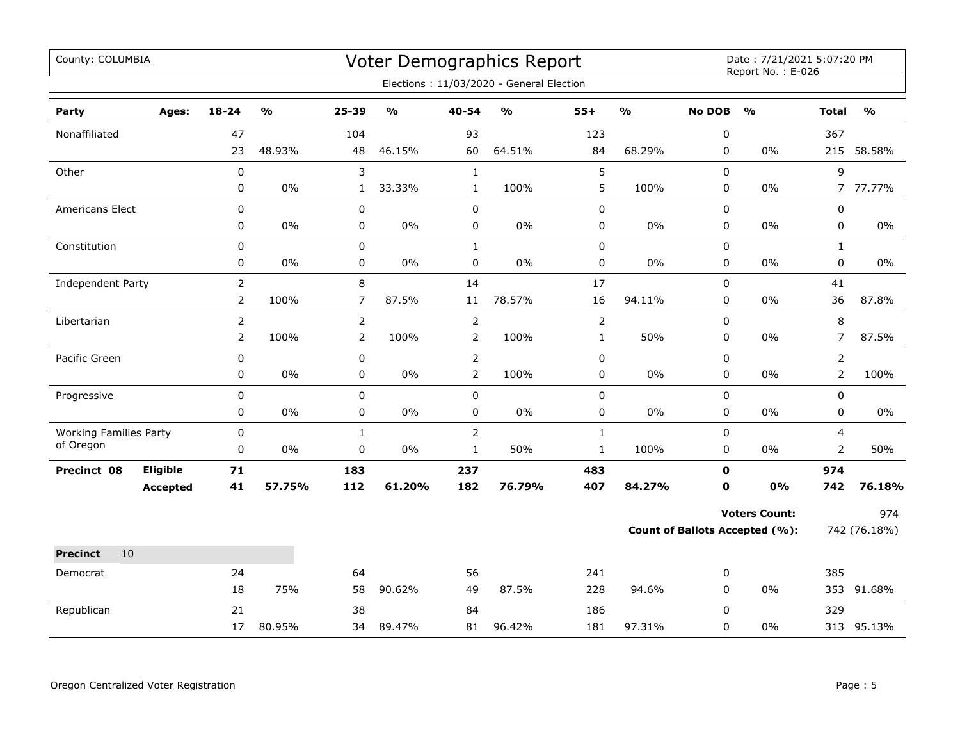| County: COLUMBIA              |                 |                |               |                  |               |                | <b>Voter Demographics Report</b>         |              |               |               | Date: 7/21/2021 5:07:20 PM<br>Report No.: E-026 |                |               |
|-------------------------------|-----------------|----------------|---------------|------------------|---------------|----------------|------------------------------------------|--------------|---------------|---------------|-------------------------------------------------|----------------|---------------|
|                               |                 |                |               |                  |               |                | Elections: 11/03/2020 - General Election |              |               |               |                                                 |                |               |
| Party                         | Ages:           | $18 - 24$      | $\frac{0}{0}$ | 25-39            | $\frac{1}{2}$ | $40 - 54$      | %                                        | $55+$        | $\frac{0}{0}$ | <b>No DOB</b> | $\frac{1}{2}$                                   | <b>Total</b>   | $\frac{0}{0}$ |
| Nonaffiliated                 |                 | 47             |               | 104              |               | 93             |                                          | 123          |               | $\pmb{0}$     |                                                 | 367            |               |
|                               |                 | 23             | 48.93%        | 48               | 46.15%        | 60             | 64.51%                                   | 84           | 68.29%        | 0             | 0%                                              |                | 215 58.58%    |
| Other                         |                 | $\mathbf 0$    |               | 3                |               | $\mathbf{1}$   |                                          | 5            |               | $\mathbf 0$   |                                                 | 9              |               |
|                               |                 | 0              | $0\%$         | $\mathbf{1}$     | 33.33%        | $\mathbf{1}$   | 100%                                     | $\mathsf S$  | 100%          | 0             | 0%                                              | $7^{\circ}$    | 77.77%        |
| Americans Elect               |                 | $\mathsf 0$    |               | 0                |               | 0              |                                          | $\pmb{0}$    |               | 0             |                                                 | 0              |               |
|                               |                 | 0              | 0%            | $\boldsymbol{0}$ | 0%            | $\mathsf 0$    | 0%                                       | $\pmb{0}$    | $0\%$         | $\mathbf 0$   | 0%                                              | 0              | $0\%$         |
| Constitution                  |                 | 0              |               | 0                |               | $\mathbf{1}$   |                                          | $\pmb{0}$    |               | 0             |                                                 | $\mathbf{1}$   |               |
|                               |                 | 0              | $0\%$         | 0                | $0\%$         | $\pmb{0}$      | 0%                                       | $\pmb{0}$    | $0\%$         | 0             | 0%                                              | 0              | $0\%$         |
| Independent Party             |                 | $\overline{2}$ |               | 8                |               | 14             |                                          | 17           |               | $\mathbf 0$   |                                                 | 41             |               |
|                               |                 | $\overline{2}$ | 100%          | $\overline{7}$   | 87.5%         | 11             | 78.57%                                   | 16           | 94.11%        | 0             | 0%                                              | 36             | 87.8%         |
| Libertarian                   |                 | $\overline{2}$ |               | $\overline{2}$   |               | $\mathbf 2$    |                                          | $\mathbf 2$  |               | $\mathbf 0$   |                                                 | 8              |               |
|                               |                 | $\overline{2}$ | 100%          | $\overline{2}$   | 100%          | $\overline{2}$ | 100%                                     | $\mathbf{1}$ | 50%           | 0             | 0%                                              | $\overline{7}$ | 87.5%         |
| Pacific Green                 |                 | $\mathbf 0$    |               | $\mathbf 0$      |               | $\overline{2}$ |                                          | $\mathbf 0$  |               | $\mathbf 0$   |                                                 | $\overline{2}$ |               |
|                               |                 | 0              | 0%            | 0                | 0%            | $\overline{2}$ | 100%                                     | 0            | 0%            | 0             | 0%                                              | $\overline{2}$ | 100%          |
| Progressive                   |                 | $\pmb{0}$      |               | $\mathbf 0$      |               | $\pmb{0}$      |                                          | $\pmb{0}$    |               | 0             |                                                 | 0              |               |
|                               |                 | 0              | $0\%$         | $\pmb{0}$        | $0\%$         | $\pmb{0}$      | $0\%$                                    | $\pmb{0}$    | $0\%$         | 0             | 0%                                              | 0              | $0\%$         |
| <b>Working Families Party</b> |                 | 0              |               | $\mathbf{1}$     |               | $\overline{2}$ |                                          | $\mathbf 1$  |               | $\pmb{0}$     |                                                 | 4              |               |
| of Oregon                     |                 | 0              | $0\%$         | 0                | $0\%$         | $\mathbf{1}$   | 50%                                      | $\mathbf 1$  | 100%          | 0             | $0\%$                                           | $\overline{2}$ | 50%           |
| Precinct 08                   | Eligible        | 71             |               | 183              |               | 237            |                                          | 483          |               | $\mathbf 0$   |                                                 | 974            |               |
|                               | <b>Accepted</b> | 41             | 57.75%        | 112              | 61.20%        | 182            | 76.79%                                   | 407          | 84.27%        | $\mathbf 0$   | 0%                                              | 742            | 76.18%        |
|                               |                 |                |               |                  |               |                |                                          |              |               |               | <b>Voters Count:</b>                            |                | 974           |
|                               |                 |                |               |                  |               |                |                                          |              |               |               | <b>Count of Ballots Accepted (%):</b>           |                | 742 (76.18%)  |
| 10<br><b>Precinct</b>         |                 |                |               |                  |               |                |                                          |              |               |               |                                                 |                |               |
| Democrat                      |                 | 24             |               | 64               |               | 56             |                                          | 241          |               | 0             |                                                 | 385            |               |
|                               |                 | 18             | 75%           | 58               | 90.62%        | 49             | 87.5%                                    | 228          | 94.6%         | 0             | $0\%$                                           |                | 353 91.68%    |
| Republican                    |                 | 21             |               | 38               |               | 84             |                                          | 186          |               | $\mathbf 0$   |                                                 | 329            |               |
|                               |                 | 17             | 80.95%        | 34               | 89.47%        | 81             | 96.42%                                   | 181          | 97.31%        | 0             | 0%                                              |                | 313 95.13%    |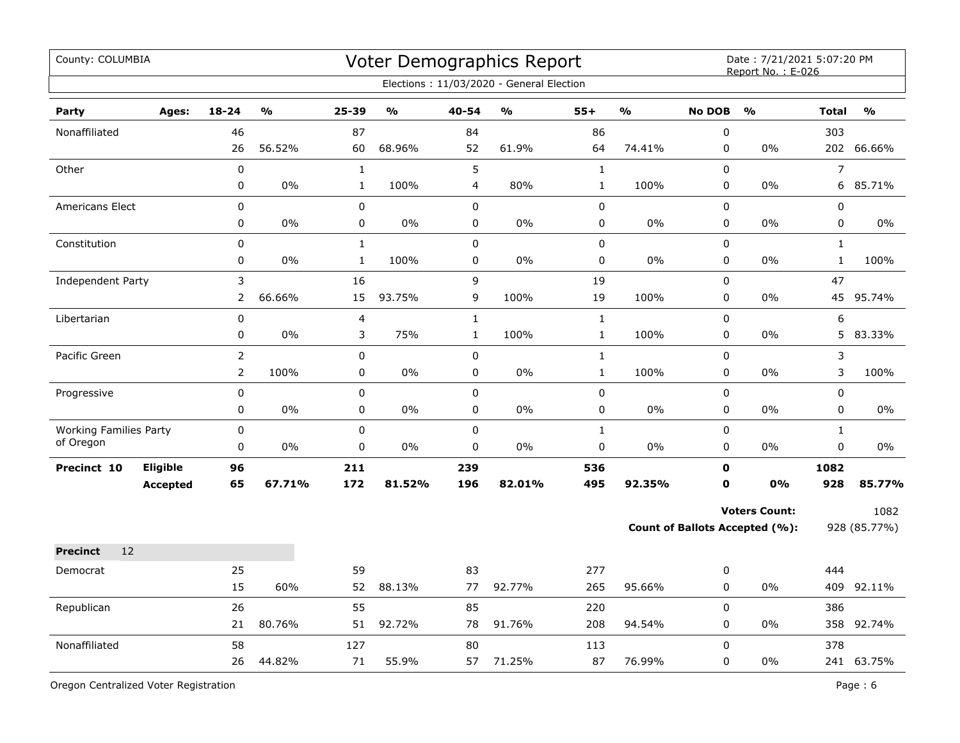| County: COLUMBIA                           |                             |                                  |                         |                              |               |                              | Voter Demographics Report<br>Elections: 11/03/2020 - General Election |                              |               |                            | Date: 7/21/2021 5:07:20 PM<br>Report No.: E-026        |                              |                      |
|--------------------------------------------|-----------------------------|----------------------------------|-------------------------|------------------------------|---------------|------------------------------|-----------------------------------------------------------------------|------------------------------|---------------|----------------------------|--------------------------------------------------------|------------------------------|----------------------|
| Party                                      | Ages:                       | $18 - 24$                        | $\mathbf{O}/\mathbf{O}$ | 25-39                        | $\frac{1}{2}$ | 40-54                        | $\frac{0}{0}$                                                         | $55+$                        | $\frac{0}{0}$ | <b>No DOB</b>              | $\frac{0}{0}$                                          | <b>Total</b>                 | $\frac{0}{0}$        |
| Nonaffiliated                              |                             | 46<br>26                         | 56.52%                  | 87<br>60                     | 68.96%        | 84<br>52                     | 61.9%                                                                 | 86<br>64                     | 74.41%        | $\pmb{0}$<br>$\pmb{0}$     | 0%                                                     | 303                          | 202 66.66%           |
| Other                                      |                             | 0<br>0                           | 0%                      | $\mathbf{1}$<br>$\mathbf{1}$ | 100%          | 5<br>$\overline{4}$          | 80%                                                                   | $\mathbf{1}$<br>$\mathbf 1$  | 100%          | $\mathbf 0$<br>$\pmb{0}$   | 0%                                                     | $\overline{7}$<br>6          | 85.71%               |
| Americans Elect                            |                             | 0<br>0                           | 0%                      | $\pmb{0}$<br>0               | 0%            | $\pmb{0}$<br>0               | 0%                                                                    | $\pmb{0}$<br>0               | $0\%$         | $\mathbf 0$<br>$\pmb{0}$   | 0%                                                     | 0<br>0                       | 0%                   |
| Constitution                               |                             | $\mathsf 0$<br>0                 | 0%                      | $\mathbf{1}$<br>$\mathbf{1}$ | 100%          | $\mathbf 0$<br>0             | 0%                                                                    | $\pmb{0}$<br>0               | 0%            | 0<br>0                     | 0%                                                     | $\mathbf{1}$<br>$\mathbf{1}$ | 100%                 |
| <b>Independent Party</b>                   |                             | 3<br>$\overline{2}$              | 66.66%                  | 16<br>15                     | 93.75%        | 9<br>9                       | 100%                                                                  | 19<br>19                     | 100%          | 0<br>0                     | 0%                                                     | 47<br>45                     | 95.74%               |
| Libertarian                                |                             | $\mathsf 0$<br>0                 | 0%                      | 4<br>3                       | 75%           | $\mathbf{1}$<br>$\mathbf{1}$ | 100%                                                                  | $\mathbf{1}$<br>$\mathbf{1}$ | 100%          | 0<br>$\pmb{0}$             | 0%                                                     | 6<br>5                       | 83.33%               |
| Pacific Green                              |                             | $\overline{2}$<br>$\overline{2}$ | 100%                    | $\mathsf 0$<br>$\pmb{0}$     | 0%            | $\mathsf 0$<br>$\pmb{0}$     | 0%                                                                    | $\mathbf{1}$<br>$\mathbf{1}$ | 100%          | $\mathbf 0$<br>$\pmb{0}$   | 0%                                                     | 3<br>3                       | 100%                 |
| Progressive                                |                             | 0<br>0                           | $0\%$                   | $\mathbf 0$<br>0             | $0\%$         | $\mathbf 0$<br>0             | 0%                                                                    | 0<br>0                       | $0\%$         | 0<br>0                     | $0\%$                                                  | 0<br>0                       | $0\%$                |
| <b>Working Families Party</b><br>of Oregon |                             | 0<br>0                           | 0%                      | 0<br>0                       | $0\%$         | $\mathbf 0$<br>$\mathbf 0$   | 0%                                                                    | $\mathbf{1}$<br>$\mathbf 0$  | $0\%$         | $\Omega$<br>0              | $0\%$                                                  | $\mathbf{1}$<br>0            | 0%                   |
| Precinct 10                                | Eligible<br><b>Accepted</b> | 96<br>65                         | 67.71%                  | 211<br>172                   | 81.52%        | 239<br>196                   | 82.01%                                                                | 536<br>495                   | 92.35%        | $\mathbf 0$<br>$\mathbf o$ | <b>0%</b>                                              | 1082<br>928                  | 85.77%               |
|                                            |                             |                                  |                         |                              |               |                              |                                                                       |                              |               |                            | <b>Voters Count:</b><br>Count of Ballots Accepted (%): |                              | 1082<br>928 (85.77%) |
| 12<br><b>Precinct</b>                      |                             |                                  |                         |                              |               |                              |                                                                       |                              |               |                            |                                                        |                              |                      |
| Democrat                                   |                             | 25<br>15                         | 60%                     | 59<br>52                     | 88.13%        | 83<br>77                     | 92.77%                                                                | 277<br>265                   | 95.66%        | 0<br>0                     | 0%                                                     | 444                          | 409 92.11%           |
| Republican                                 |                             | 26<br>21                         | 80.76%                  | 55<br>51                     | 92.72%        | 85<br>78                     | 91.76%                                                                | 220<br>208                   | 94.54%        | $\mathbf 0$<br>$\pmb{0}$   | 0%                                                     | 386                          | 358 92.74%           |
| Nonaffiliated                              |                             | 58<br>26                         | 44.82%                  | 127<br>71                    | 55.9%         | 80<br>57                     | 71.25%                                                                | 113<br>87                    | 76.99%        | $\mathbf 0$<br>0           | 0%                                                     | 378                          | 241 63.75%           |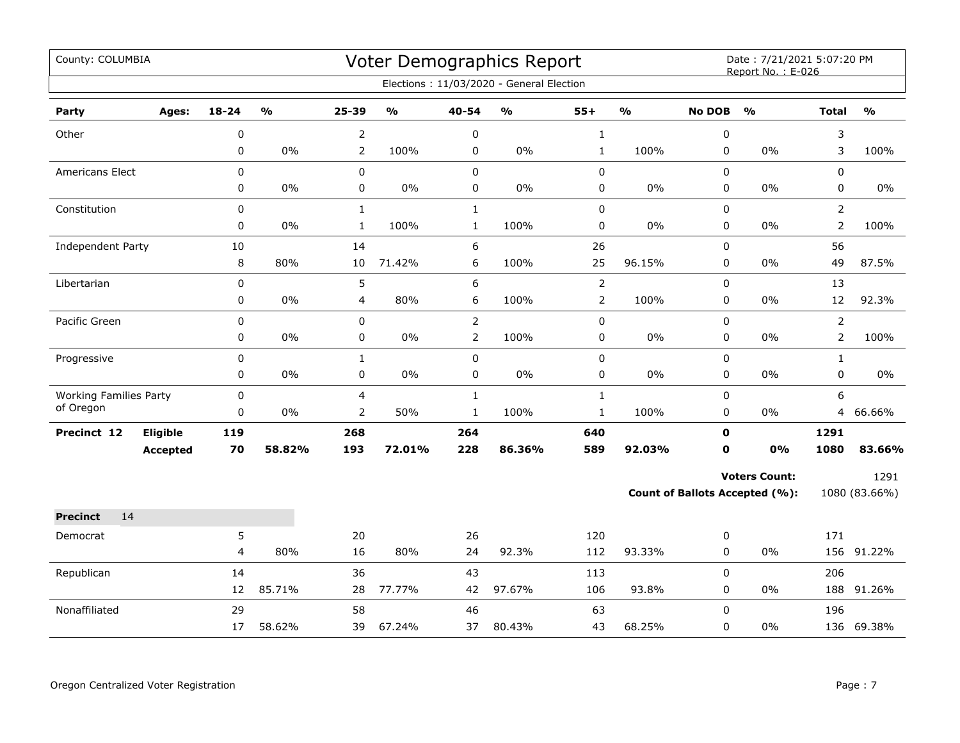| County: COLUMBIA              |                 |                |                         |                |                                   |                | Voter Demographics Report<br>Elections: 11/03/2020 - General Election |                |                                   |               | Date: 7/21/2021 5:07:20 PM<br>Report No.: E-026 |                |                                   |
|-------------------------------|-----------------|----------------|-------------------------|----------------|-----------------------------------|----------------|-----------------------------------------------------------------------|----------------|-----------------------------------|---------------|-------------------------------------------------|----------------|-----------------------------------|
|                               |                 |                |                         |                |                                   |                |                                                                       |                |                                   |               |                                                 |                |                                   |
| Party                         | Ages:           | 18-24          | $\mathbf{O}/\mathbf{o}$ | 25-39          | $\mathsf{o}\mathsf{v}_\mathsf{o}$ | 40-54          | $\mathsf{o}\mathsf{v}_\mathsf{o}$                                     | $55+$          | $\mathsf{o}\mathsf{v}_\mathsf{o}$ | <b>No DOB</b> | $\frac{0}{0}$                                   | <b>Total</b>   | $\mathsf{o}\mathsf{v}_\mathsf{o}$ |
| Other                         |                 | 0              |                         | $\overline{2}$ |                                   | $\pmb{0}$      |                                                                       | $\mathbf{1}$   |                                   | 0             |                                                 | 3              |                                   |
|                               |                 | 0              | 0%                      | $\overline{2}$ | 100%                              | $\pmb{0}$      | 0%                                                                    | $\mathbf{1}$   | 100%                              | 0             | 0%                                              | 3              | 100%                              |
| Americans Elect               |                 | 0              |                         | 0              |                                   | $\pmb{0}$      |                                                                       | 0              |                                   | 0             |                                                 | $\mathbf 0$    |                                   |
|                               |                 | 0              | $0\%$                   | 0              | $0\%$                             | $\pmb{0}$      | $0\%$                                                                 | 0              | $0\%$                             | 0             | 0%                                              | 0              | $0\%$                             |
| Constitution                  |                 | 0              |                         | $\mathbf 1$    |                                   | $\mathbf{1}$   |                                                                       | 0              |                                   | 0             |                                                 | $\overline{2}$ |                                   |
|                               |                 | 0              | $0\%$                   | $\mathbf 1$    | 100%                              | $\mathbf 1$    | 100%                                                                  | $\pmb{0}$      | $0\%$                             | 0             | 0%                                              | $\overline{2}$ | 100%                              |
| Independent Party             |                 | 10             |                         | 14             |                                   | 6              |                                                                       | 26             |                                   | $\Omega$      |                                                 | 56             |                                   |
|                               |                 | 8              | 80%                     | 10             | 71.42%                            | 6              | 100%                                                                  | 25             | 96.15%                            | 0             | 0%                                              | 49             | 87.5%                             |
| Libertarian                   |                 | 0              |                         | 5              |                                   | 6              |                                                                       | $\overline{2}$ |                                   | 0             |                                                 | 13             |                                   |
|                               |                 | 0              | $0\%$                   | 4              | 80%                               | 6              | 100%                                                                  | $\overline{2}$ | 100%                              | 0             | 0%                                              | 12             | 92.3%                             |
| Pacific Green                 |                 | 0              |                         | 0              |                                   | $\overline{2}$ |                                                                       | 0              |                                   | 0             |                                                 | $\overline{2}$ |                                   |
|                               |                 | 0              | $0\%$                   | 0              | $0\%$                             | $\overline{2}$ | 100%                                                                  | 0              | $0\%$                             | 0             | 0%                                              | 2              | 100%                              |
| Progressive                   |                 | 0              |                         | $\mathbf{1}$   |                                   | $\pmb{0}$      |                                                                       | 0              |                                   | 0             |                                                 | $\mathbf{1}$   |                                   |
|                               |                 | 0              | $0\%$                   | 0              | $0\%$                             | $\pmb{0}$      | $0\%$                                                                 | 0              | $0\%$                             | 0             | $0\%$                                           | 0              | $0\%$                             |
| <b>Working Families Party</b> |                 | 0              |                         | 4              |                                   | $\mathbf{1}$   |                                                                       | $\mathbf{1}$   |                                   | 0             |                                                 | 6              |                                   |
| of Oregon                     |                 | 0              | 0%                      | 2              | 50%                               | $\mathbf 1$    | 100%                                                                  | $\mathbf{1}$   | 100%                              | 0             | $0\%$                                           | $\overline{4}$ | 66.66%                            |
| Precinct 12                   | Eligible        | 119            |                         | 268            |                                   | 264            |                                                                       | 640            |                                   | $\mathbf 0$   |                                                 | 1291           |                                   |
|                               | <b>Accepted</b> | 70             | 58.82%                  | 193            | 72.01%                            | 228            | 86.36%                                                                | 589            | 92.03%                            | $\mathbf{0}$  | 0%                                              | 1080           | 83.66%                            |
|                               |                 |                |                         |                |                                   |                |                                                                       |                |                                   |               | <b>Voters Count:</b>                            |                | 1291                              |
|                               |                 |                |                         |                |                                   |                |                                                                       |                |                                   |               | <b>Count of Ballots Accepted (%):</b>           |                | 1080 (83.66%)                     |
| <b>Precinct</b><br>14         |                 |                |                         |                |                                   |                |                                                                       |                |                                   |               |                                                 |                |                                   |
| Democrat                      |                 | 5              |                         | 20             |                                   | 26             |                                                                       | 120            |                                   | 0             |                                                 | 171            |                                   |
|                               |                 | $\overline{4}$ | 80%                     | 16             | 80%                               | 24             | 92.3%                                                                 | 112            | 93.33%                            | 0             | 0%                                              |                | 156 91.22%                        |
| Republican                    |                 | 14             |                         | 36             |                                   | 43             |                                                                       | 113            |                                   | $\mathbf 0$   |                                                 | 206            |                                   |
|                               |                 | 12             | 85.71%                  | 28             | 77.77%                            | 42             | 97.67%                                                                | 106            | 93.8%                             | 0             | 0%                                              |                | 188 91.26%                        |
| Nonaffiliated                 |                 | 29             |                         | 58             |                                   | 46             |                                                                       | 63             |                                   | 0             |                                                 | 196            |                                   |
|                               |                 | 17             | 58.62%                  | 39             | 67.24%                            | 37             | 80.43%                                                                | 43             | 68.25%                            | 0             | 0%                                              |                | 136 69.38%                        |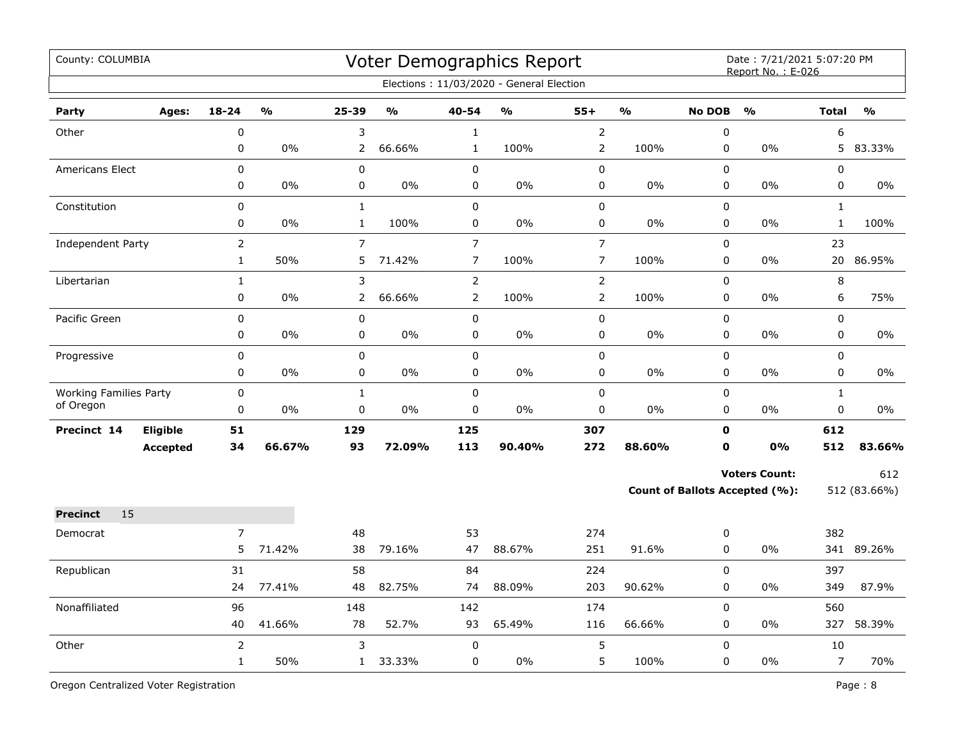| County: COLUMBIA              |                 |                |                         |                |               |                | Voter Demographics Report                |                |               |               | Date: 7/21/2021 5:07:20 PM<br>Report No.: E-026 |                |               |
|-------------------------------|-----------------|----------------|-------------------------|----------------|---------------|----------------|------------------------------------------|----------------|---------------|---------------|-------------------------------------------------|----------------|---------------|
|                               |                 |                |                         |                |               |                | Elections: 11/03/2020 - General Election |                |               |               |                                                 |                |               |
| Party                         | Ages:           | $18 - 24$      | $\mathbf{O}/\mathbf{O}$ | 25-39          | $\frac{0}{0}$ | 40-54          | $\mathsf{o}\mathsf{v}_\mathsf{o}$        | $55+$          | $\frac{1}{2}$ | <b>No DOB</b> | $\frac{1}{2}$                                   | <b>Total</b>   | $\frac{9}{0}$ |
| Other                         |                 | $\mathbf 0$    |                         | 3              |               | $\mathbf{1}$   |                                          | $\overline{2}$ |               | 0             |                                                 | 6              |               |
|                               |                 | 0              | $0\%$                   | 2              | 66.66%        | $\mathbf{1}$   | 100%                                     | $\overline{2}$ | 100%          | $\mathbf 0$   | $0\%$                                           | 5              | 83.33%        |
| <b>Americans Elect</b>        |                 | $\mathbf 0$    |                         | 0              |               | $\mathbf 0$    |                                          | $\pmb{0}$      |               | 0             |                                                 | 0              |               |
|                               |                 | 0              | $0\%$                   | 0              | $0\%$         | 0              | 0%                                       | 0              | $0\%$         | 0             | $0\%$                                           | 0              | $0\%$         |
| Constitution                  |                 | $\mathbf 0$    |                         | $\mathbf{1}$   |               | 0              |                                          | $\pmb{0}$      |               | $\mathbf 0$   |                                                 | $\mathbf{1}$   |               |
|                               |                 | 0              | 0%                      | $\mathbf{1}$   | 100%          | 0              | $0\%$                                    | 0              | $0\%$         | 0             | $0\%$                                           | $\mathbf{1}$   | 100%          |
| Independent Party             |                 | $\overline{2}$ |                         | $\overline{7}$ |               | $\overline{7}$ |                                          | $\overline{7}$ |               | 0             |                                                 | 23             |               |
|                               |                 | $\mathbf{1}$   | 50%                     | 5              | 71.42%        | $\overline{7}$ | 100%                                     | $\overline{7}$ | 100%          | $\mathbf 0$   | $0\%$                                           | 20             | 86.95%        |
| Libertarian                   |                 | $\mathbf{1}$   |                         | 3              |               | $\overline{2}$ |                                          | $\overline{2}$ |               | $\mathbf 0$   |                                                 | 8              |               |
|                               |                 | 0              | $0\%$                   | $\mathbf{2}$   | 66.66%        | $\overline{2}$ | 100%                                     | $\overline{2}$ | 100%          | $\mathbf 0$   | $0\%$                                           | 6              | 75%           |
| Pacific Green                 |                 | $\mathbf 0$    |                         | $\mathbf 0$    |               | $\mathbf 0$    |                                          | $\pmb{0}$      |               | 0             |                                                 | $\mathbf 0$    |               |
|                               |                 | $\mathbf 0$    | $0\%$                   | 0              | 0%            | 0              | 0%                                       | 0              | $0\%$         | $\mathbf 0$   | $0\%$                                           | $\mathbf 0$    | 0%            |
| Progressive                   |                 | $\mathbf 0$    |                         | $\pmb{0}$      |               | 0              |                                          | $\pmb{0}$      |               | $\mathbf 0$   |                                                 | $\mathbf 0$    |               |
|                               |                 | 0              | $0\%$                   | 0              | 0%            | 0              | 0%                                       | 0              | $0\%$         | 0             | $0\%$                                           | $\mathbf 0$    | 0%            |
| <b>Working Families Party</b> |                 | $\pmb{0}$      |                         | $\mathbf{1}$   |               | $\mathbf 0$    |                                          | 0              |               | $\mathbf 0$   |                                                 | $\mathbf{1}$   |               |
| of Oregon                     |                 | 0              | $0\%$                   | 0              | $0\%$         | 0              | 0%                                       | 0              | $0\%$         | $\mathbf 0$   | $0\%$                                           | $\mathsf 0$    | $0\%$         |
| Precinct 14                   | <b>Eligible</b> | 51             |                         | 129            |               | 125            |                                          | 307            |               | $\mathbf 0$   |                                                 | 612            |               |
|                               | <b>Accepted</b> | 34             | 66.67%                  | 93             | 72.09%        | 113            | 90.40%                                   | 272            | 88.60%        | 0             | 0%                                              | 512            | 83.66%        |
|                               |                 |                |                         |                |               |                |                                          |                |               |               | <b>Voters Count:</b>                            |                | 612           |
|                               |                 |                |                         |                |               |                |                                          |                |               |               | Count of Ballots Accepted (%):                  |                | 512 (83.66%)  |
| 15<br><b>Precinct</b>         |                 |                |                         |                |               |                |                                          |                |               |               |                                                 |                |               |
| Democrat                      |                 | $\overline{7}$ |                         | 48             |               | 53             |                                          | 274            |               | 0             |                                                 | 382            |               |
|                               |                 | 5              | 71.42%                  | 38             | 79.16%        | 47             | 88.67%                                   | 251            | 91.6%         | 0             | $0\%$                                           |                | 341 89.26%    |
| Republican                    |                 | 31             |                         | 58             |               | 84             |                                          | 224            |               | 0             |                                                 | 397            |               |
|                               |                 | 24             | 77.41%                  | 48             | 82.75%        | 74             | 88.09%                                   | 203            | 90.62%        | $\mathbf 0$   | 0%                                              | 349            | 87.9%         |
| Nonaffiliated                 |                 | 96             |                         | 148            |               | 142            |                                          | 174            |               | 0             |                                                 | 560            |               |
|                               |                 | 40             | 41.66%                  | 78             | 52.7%         | 93             | 65.49%                                   | 116            | 66.66%        | $\mathbf 0$   | $0\%$                                           | 327            | 58.39%        |
| Other                         |                 | $\overline{2}$ |                         | 3              |               | 0              |                                          | 5              |               | $\Omega$      |                                                 | 10             |               |
|                               |                 | $\mathbf{1}$   | 50%                     | $\mathbf{1}$   | 33.33%        | 0              | 0%                                       | 5              | 100%          | 0             | $0\%$                                           | $\overline{7}$ | 70%           |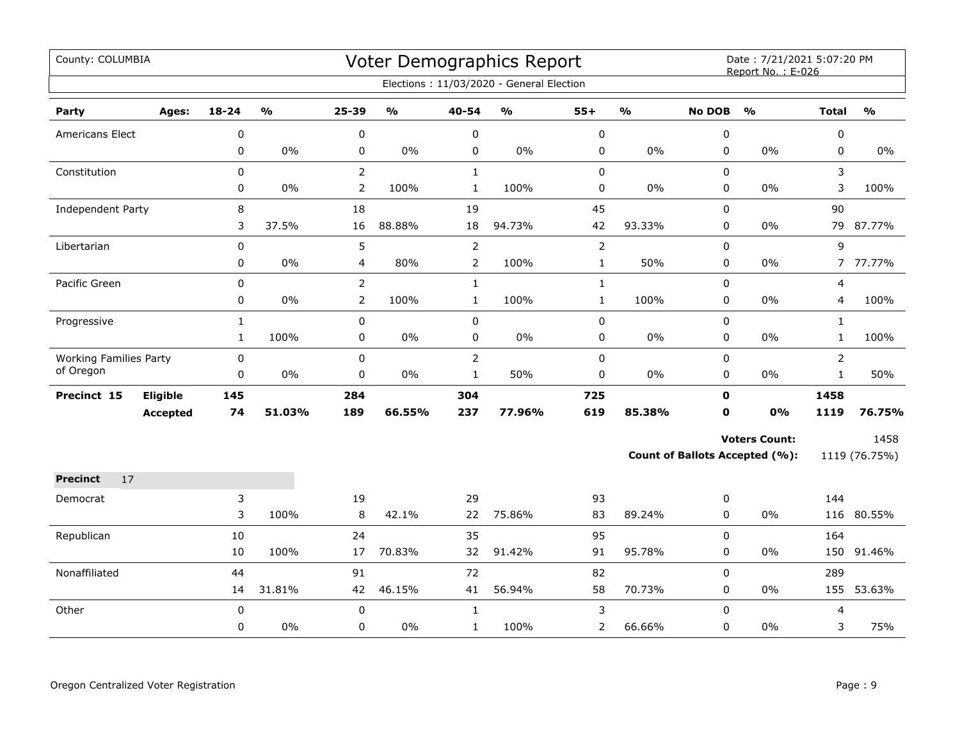| County: COLUMBIA              |          |              |        |                |               |                | Voter Demographics Report                |                |               |                  | Date: 7/21/2021 5:07:20 PM<br>Report No.: E-026 |                |               |
|-------------------------------|----------|--------------|--------|----------------|---------------|----------------|------------------------------------------|----------------|---------------|------------------|-------------------------------------------------|----------------|---------------|
|                               |          |              |        |                |               |                | Elections: 11/03/2020 - General Election |                |               |                  |                                                 |                |               |
| Party                         | Ages:    | $18 - 24$    | %      | 25-39          | $\frac{1}{2}$ | 40-54          | $\frac{1}{2}$                            | $55+$          | $\frac{1}{2}$ | <b>No DOB</b>    | $\frac{0}{0}$                                   | <b>Total</b>   | $\frac{0}{0}$ |
| Americans Elect               |          | 0            |        | $\pmb{0}$      |               | $\pmb{0}$      |                                          | $\pmb{0}$      |               | $\boldsymbol{0}$ |                                                 | 0              |               |
|                               |          | 0            | 0%     | 0              | $0\%$         | 0              | $0\%$                                    | 0              | 0%            | 0                | 0%                                              | 0              | $0\%$         |
| Constitution                  |          | 0            |        | $\overline{2}$ |               | $\mathbf{1}$   |                                          | 0              |               | $\mathbf 0$      |                                                 | 3              |               |
|                               |          | 0            | $0\%$  | $\overline{2}$ | 100%          | $\mathbf{1}$   | 100%                                     | 0              | 0%            | 0                | 0%                                              | 3              | 100%          |
| Independent Party             |          | 8            |        | 18             |               | 19             |                                          | 45             |               | 0                |                                                 | 90             |               |
|                               |          | 3            | 37.5%  | 16             | 88.88%        | 18             | 94.73%                                   | 42             | 93.33%        | 0                | $0\%$                                           | 79             | 87.77%        |
| Libertarian                   |          | 0            |        | 5              |               | $\overline{2}$ |                                          | $\overline{2}$ |               | 0                |                                                 | 9              |               |
|                               |          | 0            | $0\%$  | 4              | 80%           | $\overline{2}$ | 100%                                     | $\mathbf 1$    | 50%           | 0                | 0%                                              |                | 7 77.77%      |
| Pacific Green                 |          | 0            |        | $\overline{2}$ |               | $\mathbf{1}$   |                                          | $\mathbf 1$    |               | 0                |                                                 | 4              |               |
|                               |          | 0            | $0\%$  | $\overline{2}$ | 100%          | $\mathbf{1}$   | 100%                                     | $\mathbf{1}$   | 100%          | $\pmb{0}$        | $0\%$                                           | 4              | 100%          |
| Progressive                   |          | $\mathbf{1}$ |        | 0              |               | 0              |                                          | $\pmb{0}$      |               | $\pmb{0}$        |                                                 | $\mathbf{1}$   |               |
|                               |          | $\mathbf{1}$ | 100%   | 0              | $0\%$         | $\pmb{0}$      | $0\%$                                    | 0              | $0\%$         | $\pmb{0}$        | 0%                                              | $\mathbf{1}$   | 100%          |
| <b>Working Families Party</b> |          | $\mathbf 0$  |        | $\mathbf 0$    |               | 2              |                                          | 0              |               | 0                |                                                 | $\overline{2}$ |               |
| of Oregon                     |          | 0            | $0\%$  | 0              | $0\%$         | $\mathbf{1}$   | 50%                                      | 0              | 0%            | 0                | $0\%$                                           | $\mathbf{1}$   | 50%           |
| Precinct 15                   | Eligible | 145          |        | 284            |               | 304            |                                          | 725            |               | $\mathbf 0$      |                                                 | 1458           |               |
|                               | Accepted | 74           | 51.03% | 189            | 66.55%        | 237            | 77.96%                                   | 619            | 85.38%        | 0                | <b>0%</b>                                       | 1119           | 76.75%        |
|                               |          |              |        |                |               |                |                                          |                |               |                  | <b>Voters Count:</b>                            |                | 1458          |
|                               |          |              |        |                |               |                |                                          |                |               |                  | Count of Ballots Accepted (%):                  |                | 1119 (76.75%) |
| 17<br><b>Precinct</b>         |          |              |        |                |               |                |                                          |                |               |                  |                                                 |                |               |
| Democrat                      |          | 3            |        | 19             |               | 29             |                                          | 93             |               | 0                |                                                 | 144            |               |
|                               |          | 3            | 100%   | 8              | 42.1%         | 22             | 75.86%                                   | 83             | 89.24%        | 0                | 0%                                              |                | 116 80.55%    |
| Republican                    |          | 10           |        | 24             |               | 35             |                                          | 95             |               | $\Omega$         |                                                 | 164            |               |
|                               |          | $10\,$       | 100%   | 17             | 70.83%        | 32             | 91.42%                                   | 91             | 95.78%        | $\boldsymbol{0}$ | 0%                                              | 150            | 91.46%        |
| Nonaffiliated                 |          | 44           |        | 91             |               | 72             |                                          | 82             |               | 0                |                                                 | 289            |               |
|                               |          | 14           | 31.81% | 42             | 46.15%        | 41             | 56.94%                                   | 58             | 70.73%        | 0                | 0%                                              | 155            | 53.63%        |
| Other                         |          | $\mathbf 0$  |        | $\mathbf 0$    |               | $\mathbf{1}$   |                                          | 3              |               | $\mathbf 0$      |                                                 | 4              |               |
|                               |          | 0            | 0%     | 0              | $0\%$         | $\mathbf{1}$   | 100%                                     | 2              | 66.66%        | $\mathbf 0$      | 0%                                              | 3              | 75%           |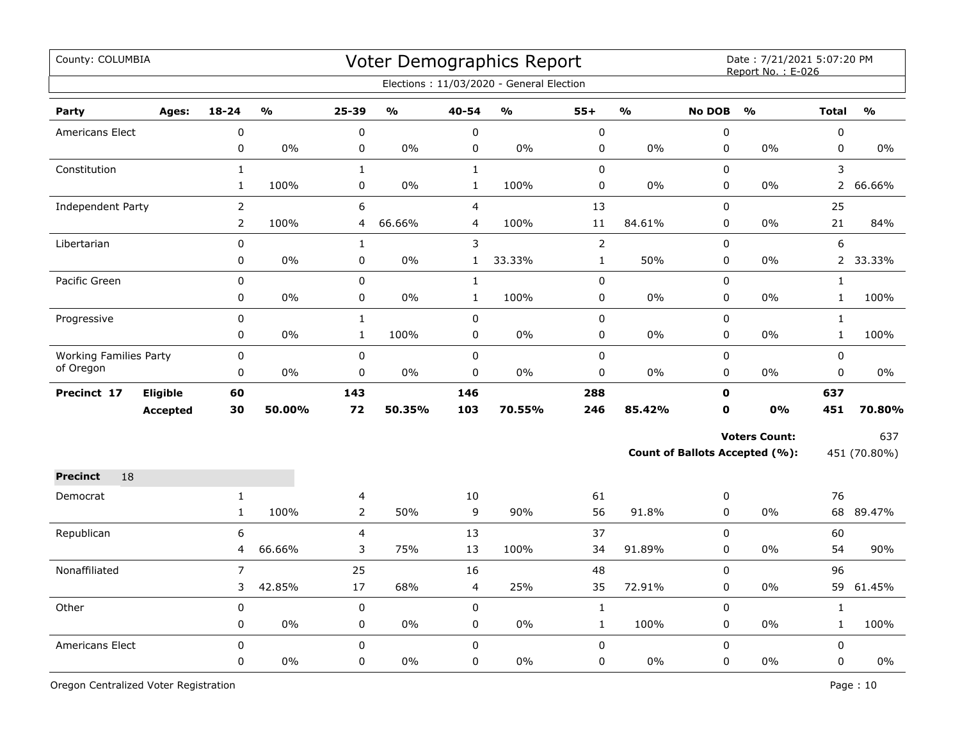| County: COLUMBIA              |                 |                |                                   |                |                                   |                | Voter Demographics Report<br>Elections: 11/03/2020 - General Election |              |               |               | Date: 7/21/2021 5:07:20 PM<br>Report No.: E-026 |                |               |
|-------------------------------|-----------------|----------------|-----------------------------------|----------------|-----------------------------------|----------------|-----------------------------------------------------------------------|--------------|---------------|---------------|-------------------------------------------------|----------------|---------------|
|                               |                 |                |                                   |                |                                   |                |                                                                       |              |               |               |                                                 |                |               |
| Party                         | Ages:           | $18 - 24$      | $\mathsf{o}\mathsf{v}_\mathsf{o}$ | 25-39          | $\mathsf{o}\mathsf{v}_\mathsf{o}$ | 40-54          | $\frac{1}{2}$                                                         | $55+$        | $\frac{1}{2}$ | <b>No DOB</b> | $\frac{0}{0}$                                   | <b>Total</b>   | $\frac{1}{2}$ |
| Americans Elect               |                 | $\pmb{0}$      |                                   | $\mathbf 0$    |                                   | $\mathbf 0$    |                                                                       | $\pmb{0}$    |               | $\pmb{0}$     |                                                 | 0              |               |
|                               |                 | $\pmb{0}$      | 0%                                | 0              | 0%                                | $\pmb{0}$      | 0%                                                                    | $\pmb{0}$    | 0%            | $\pmb{0}$     | 0%                                              | 0              | $0\%$         |
| Constitution                  |                 | $\mathbf{1}$   |                                   | $\mathbf{1}$   |                                   | $\mathbf{1}$   |                                                                       | $\pmb{0}$    |               | $\pmb{0}$     |                                                 | 3              |               |
|                               |                 | $\mathbf{1}$   | 100%                              | 0              | 0%                                | $\mathbf 1$    | 100%                                                                  | $\pmb{0}$    | 0%            | $\pmb{0}$     | 0%                                              | $\overline{2}$ | 66.66%        |
| Independent Party             |                 | $\overline{2}$ |                                   | 6              |                                   | $\overline{4}$ |                                                                       | 13           |               | $\pmb{0}$     |                                                 | 25             |               |
|                               |                 | $\overline{2}$ | 100%                              | 4              | 66.66%                            | $\overline{4}$ | 100%                                                                  | $11\,$       | 84.61%        | 0             | 0%                                              | 21             | 84%           |
| Libertarian                   |                 | 0              |                                   | $\mathbf{1}$   |                                   | 3              |                                                                       | $\mathbf 2$  |               | $\mathbf 0$   |                                                 | 6              |               |
|                               |                 | 0              | $0\%$                             | 0              | 0%                                | $\mathbf{1}$   | 33.33%                                                                | $\mathbf 1$  | 50%           | $\mathbf 0$   | 0%                                              | $\overline{2}$ | 33.33%        |
| Pacific Green                 |                 | $\pmb{0}$      |                                   | $\pmb{0}$      |                                   | $\mathbf 1$    |                                                                       | $\mathbf 0$  |               | $\pmb{0}$     |                                                 | $\mathbf{1}$   |               |
|                               |                 | 0              | 0%                                | 0              | 0%                                | $\mathbf{1}$   | 100%                                                                  | 0            | 0%            | 0             | 0%                                              | $\mathbf{1}$   | 100%          |
| Progressive                   |                 | 0              |                                   | $\mathbf{1}$   |                                   | $\mathbf 0$    |                                                                       | $\pmb{0}$    |               | $\mathbf 0$   |                                                 | $\mathbf{1}$   |               |
|                               |                 | 0              | 0%                                | $\mathbf{1}$   | 100%                              | $\pmb{0}$      | $0\%$                                                                 | $\pmb{0}$    | 0%            | $\pmb{0}$     | 0%                                              | $\mathbf{1}$   | 100%          |
| <b>Working Families Party</b> |                 | $\pmb{0}$      |                                   | 0              |                                   | $\pmb{0}$      |                                                                       | $\pmb{0}$    |               | $\pmb{0}$     |                                                 | 0              |               |
| of Oregon                     |                 | 0              | 0%                                | 0              | 0%                                | 0              | 0%                                                                    | $\pmb{0}$    | 0%            | 0             | 0%                                              | 0              | 0%            |
| Precinct 17                   | Eligible        | 60             |                                   | 143            |                                   | 146            |                                                                       | 288          |               | $\mathbf 0$   |                                                 | 637            |               |
|                               | <b>Accepted</b> | 30             | 50.00%                            | 72             | 50.35%                            | 103            | 70.55%                                                                | 246          | 85.42%        | $\mathbf 0$   | 0%                                              | 451            | 70.80%        |
|                               |                 |                |                                   |                |                                   |                |                                                                       |              |               |               |                                                 |                |               |
|                               |                 |                |                                   |                |                                   |                |                                                                       |              |               |               | <b>Voters Count:</b>                            |                | 637           |
|                               |                 |                |                                   |                |                                   |                |                                                                       |              |               |               | Count of Ballots Accepted (%):                  |                | 451 (70.80%)  |
| 18<br><b>Precinct</b>         |                 |                |                                   |                |                                   |                |                                                                       |              |               |               |                                                 |                |               |
| Democrat                      |                 | $\mathbf{1}$   |                                   | 4              |                                   | 10             |                                                                       | 61           |               | 0             |                                                 | 76             |               |
|                               |                 | $\mathbf{1}$   | 100%                              | $\overline{2}$ | 50%                               | 9              | 90%                                                                   | 56           | 91.8%         | $\Omega$      | 0%                                              | 68             | 89.47%        |
| Republican                    |                 | 6              |                                   | 4              |                                   | 13             |                                                                       | 37           |               | $\pmb{0}$     |                                                 | 60             |               |
|                               |                 | 4              | 66.66%                            | 3              | 75%                               | 13             | 100%                                                                  | 34           | 91.89%        | 0             | 0%                                              | 54             | 90%           |
| Nonaffiliated                 |                 | $\overline{7}$ |                                   | 25             |                                   | 16             |                                                                       | 48           |               | $\pmb{0}$     |                                                 | 96             |               |
|                               |                 | 3              | 42.85%                            | 17             | 68%                               | $\overline{4}$ | 25%                                                                   | 35           | 72.91%        | 0             | 0%                                              | 59             | 61.45%        |
| Other                         |                 | $\pmb{0}$      |                                   | $\pmb{0}$      |                                   | $\mathbf 0$    |                                                                       | $\mathbf{1}$ |               | 0             |                                                 | $\mathbf{1}$   |               |
|                               |                 | $\mathbf 0$    | $0\%$                             | 0              | 0%                                | $\mathbf 0$    | $0\%$                                                                 | $\mathbf{1}$ | 100%          | 0             | $0\%$                                           | $\mathbf{1}$   | 100%          |
| Americans Elect               |                 | $\Omega$       |                                   | 0              |                                   | $\Omega$       |                                                                       | $\Omega$     |               | 0             |                                                 | $\Omega$       |               |
|                               |                 | 0              | 0%                                | 0              | 0%                                | $\mathbf 0$    | 0%                                                                    | $\mathbf 0$  | 0%            | 0             | 0%                                              | 0              | $0\%$         |
|                               |                 |                |                                   |                |                                   |                |                                                                       |              |               |               |                                                 |                |               |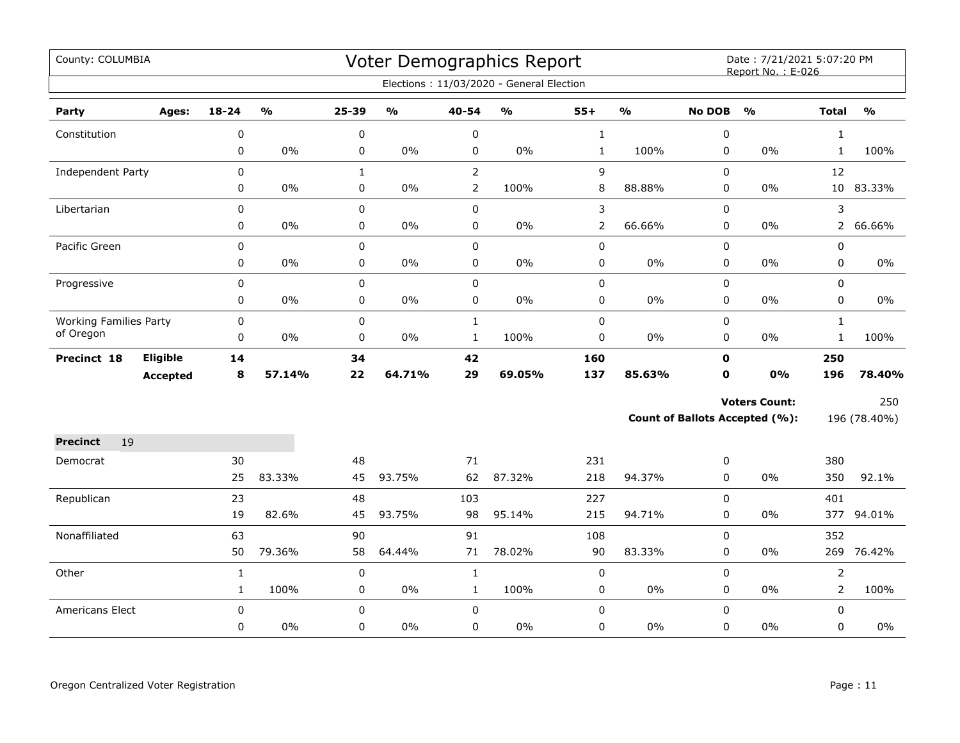| County: COLUMBIA              |                 |              |               |              |               |                | <b>Voter Demographics Report</b><br>Elections: 11/03/2020 - General Election |                |               |               | Date: 7/21/2021 5:07:20 PM<br>Report No.: E-026 |                |               |
|-------------------------------|-----------------|--------------|---------------|--------------|---------------|----------------|------------------------------------------------------------------------------|----------------|---------------|---------------|-------------------------------------------------|----------------|---------------|
|                               |                 |              |               |              |               |                |                                                                              |                |               |               |                                                 |                |               |
| Party                         | Ages:           | $18 - 24$    | $\frac{1}{2}$ | 25-39        | $\frac{0}{0}$ | 40-54          | $\frac{1}{2}$                                                                | $55+$          | $\frac{1}{2}$ | <b>No DOB</b> | $\mathbf{O}/\mathbf{O}$                         | <b>Total</b>   | $\frac{1}{2}$ |
| Constitution                  |                 | 0            |               | 0            |               | $\pmb{0}$      |                                                                              | $\mathbf{1}$   |               | 0             |                                                 | $\mathbf{1}$   |               |
|                               |                 | 0            | $0\%$         | 0            | $0\%$         | $\pmb{0}$      | $0\%$                                                                        | $\mathbf 1$    | 100%          | 0             | 0%                                              | $\mathbf{1}$   | 100%          |
| <b>Independent Party</b>      |                 | $\mathbf 0$  |               | $\mathbf{1}$ |               | $\overline{2}$ |                                                                              | 9              |               | 0             |                                                 | 12             |               |
|                               |                 | 0            | $0\%$         | 0            | $0\%$         | $\overline{2}$ | 100%                                                                         | 8              | 88.88%        | 0             | 0%                                              | 10             | 83.33%        |
| Libertarian                   |                 | 0            |               | 0            |               | $\mathsf 0$    |                                                                              | $\mathsf{3}$   |               | 0             |                                                 | 3              |               |
|                               |                 | 0            | $0\%$         | 0            | $0\%$         | $\pmb{0}$      | 0%                                                                           | $\overline{2}$ | 66.66%        | 0             | 0%                                              | $\overline{2}$ | 66.66%        |
| Pacific Green                 |                 | $\pmb{0}$    |               | $\mathsf 0$  |               | $\pmb{0}$      |                                                                              | $\pmb{0}$      |               | 0             |                                                 | 0              |               |
|                               |                 | 0            | 0%            | 0            | 0%            | $\pmb{0}$      | $0\%$                                                                        | $\pmb{0}$      | 0%            | 0             | $0\%$                                           | 0              | $0\%$         |
| Progressive                   |                 | $\mathbf 0$  |               | $\mathbf 0$  |               | $\mathbf 0$    |                                                                              | $\pmb{0}$      |               | 0             |                                                 | 0              |               |
|                               |                 | 0            | $0\%$         | 0            | $0\%$         | $\pmb{0}$      | 0%                                                                           | $\pmb{0}$      | 0%            | 0             | $0\%$                                           | 0              | $0\%$         |
| <b>Working Families Party</b> |                 | $\mathbf 0$  |               | $\mathbf 0$  |               | $\mathbf{1}$   |                                                                              | $\pmb{0}$      |               | 0             |                                                 | $\mathbf{1}$   |               |
| of Oregon                     |                 | $\pmb{0}$    | $0\%$         | 0            | $0\%$         | $\mathbf{1}$   | 100%                                                                         | $\mathbf 0$    | 0%            | 0             | 0%                                              | $\mathbf{1}$   | 100%          |
| Precinct 18                   | Eligible        | 14           |               | 34           |               | 42             |                                                                              | 160            |               | $\mathbf{0}$  |                                                 | 250            |               |
|                               | <b>Accepted</b> | 8            | 57.14%        | 22           | 64.71%        | 29             | 69.05%                                                                       | 137            | 85.63%        | $\mathbf{0}$  | 0%                                              | 196            | 78.40%        |
|                               |                 |              |               |              |               |                |                                                                              |                |               |               | <b>Voters Count:</b>                            |                | 250           |
|                               |                 |              |               |              |               |                |                                                                              |                |               |               | <b>Count of Ballots Accepted (%):</b>           |                | 196 (78.40%)  |
| <b>Precinct</b><br>19         |                 |              |               |              |               |                |                                                                              |                |               |               |                                                 |                |               |
| Democrat                      |                 | 30           |               | 48           |               | 71             |                                                                              | 231            |               | 0             |                                                 | 380            |               |
|                               |                 | 25           | 83.33%        | 45           | 93.75%        | 62             | 87.32%                                                                       | 218            | 94.37%        | 0             | 0%                                              | 350            | 92.1%         |
| Republican                    |                 | 23           |               | 48           |               | 103            |                                                                              | 227            |               | 0             |                                                 | 401            |               |
|                               |                 | 19           | 82.6%         | 45           | 93.75%        | 98             | 95.14%                                                                       | 215            | 94.71%        | 0             | 0%                                              |                | 377 94.01%    |
| Nonaffiliated                 |                 | 63           |               | 90           |               | 91             |                                                                              | 108            |               | 0             |                                                 | 352            |               |
|                               |                 | 50           | 79.36%        | 58           | 64.44%        | 71             | 78.02%                                                                       | 90             | 83.33%        | 0             | $0\%$                                           | 269            | 76.42%        |
| Other                         |                 | $\mathbf{1}$ |               | 0            |               | $\mathbf 1$    |                                                                              | $\pmb{0}$      |               | 0             |                                                 | $\overline{2}$ |               |
|                               |                 | $\mathbf{1}$ | 100%          | 0            | $0\%$         | $\mathbf{1}$   | 100%                                                                         | $\pmb{0}$      | 0%            | 0             | $0\%$                                           | $\overline{2}$ | 100%          |
| Americans Elect               |                 | $\mathbf 0$  |               | 0            |               | $\mathbf 0$    |                                                                              | $\pmb{0}$      |               | 0             |                                                 | 0              |               |
|                               |                 | 0            | 0%            | 0            | 0%            | $\mathbf 0$    | 0%                                                                           | $\pmb{0}$      | 0%            | 0             | 0%                                              | 0              | 0%            |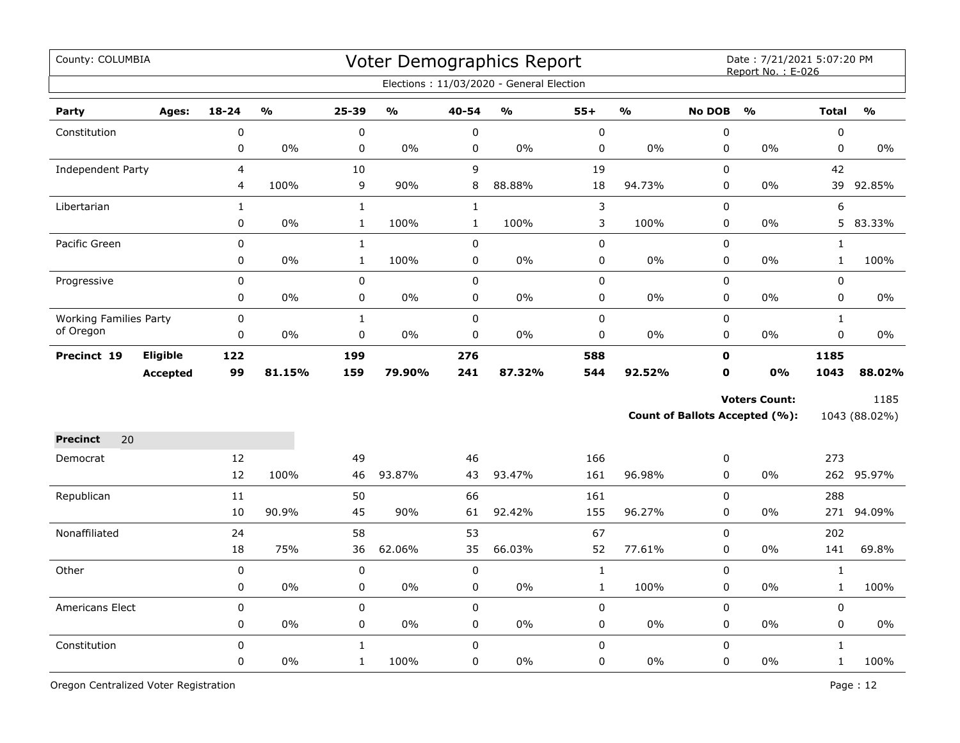| County: COLUMBIA                           |                 |                |                         |              |                                   |              | Voter Demographics Report<br>Elections: 11/03/2020 - General Election |             |                         |               | Date: 7/21/2021 5:07:20 PM<br>Report No.: E-026 |              |               |
|--------------------------------------------|-----------------|----------------|-------------------------|--------------|-----------------------------------|--------------|-----------------------------------------------------------------------|-------------|-------------------------|---------------|-------------------------------------------------|--------------|---------------|
| Party                                      | Ages:           | $18 - 24$      | $\mathbf{0}/\mathbf{0}$ | 25-39        | $\mathsf{o}\mathsf{v}_\mathsf{o}$ | 40-54        | $\mathsf{o}\mathsf{v}_\mathsf{o}$                                     | $55+$       | $\mathbf{0}/\mathbf{0}$ | <b>No DOB</b> | $\frac{0}{0}$                                   | <b>Total</b> | $\frac{1}{2}$ |
| Constitution                               |                 | $\pmb{0}$      |                         | 0            |                                   | $\pmb{0}$    |                                                                       | $\pmb{0}$   |                         | 0             |                                                 | 0            |               |
|                                            |                 | $\pmb{0}$      | 0%                      | 0            | 0%                                | $\pmb{0}$    | 0%                                                                    | $\pmb{0}$   | 0%                      | $\pmb{0}$     | 0%                                              | 0            | 0%            |
| <b>Independent Party</b>                   |                 | $\overline{4}$ |                         | 10           |                                   | 9            |                                                                       | 19          |                         | 0             |                                                 | 42           |               |
|                                            |                 | 4              | 100%                    | 9            | 90%                               | 8            | 88.88%                                                                | 18          | 94.73%                  | 0             | 0%                                              | 39           | 92.85%        |
| Libertarian                                |                 | $\mathbf{1}$   |                         | $\mathbf 1$  |                                   | $\mathbf 1$  |                                                                       | $\mathsf 3$ |                         | 0             |                                                 | 6            |               |
|                                            |                 | $\mathbf 0$    | 0%                      | $\mathbf{1}$ | 100%                              | $\mathbf{1}$ | 100%                                                                  | 3           | 100%                    | 0             | $0\%$                                           |              | 5 83.33%      |
| Pacific Green                              |                 | $\mathbf 0$    |                         | $\mathbf 1$  |                                   | $\mathbf 0$  |                                                                       | $\mathbf 0$ |                         | 0             |                                                 | $\mathbf{1}$ |               |
|                                            |                 | 0              | 0%                      | $\mathbf{1}$ | 100%                              | $\mathbf 0$  | 0%                                                                    | $\pmb{0}$   | 0%                      | 0             | 0%                                              | $\mathbf{1}$ | 100%          |
| Progressive                                |                 | $\mathbf 0$    |                         | $\mathbf 0$  |                                   | $\mathbf 0$  |                                                                       | $\pmb{0}$   |                         | 0             |                                                 | 0            |               |
|                                            |                 | 0              | 0%                      | 0            | $0\%$                             | 0            | $0\%$                                                                 | 0           | 0%                      | 0             | 0%                                              | 0            | 0%            |
| <b>Working Families Party</b><br>of Oregon |                 | $\mathbf 0$    |                         | $\mathbf{1}$ |                                   | $\mathbf 0$  |                                                                       | $\mathsf 0$ |                         | 0             |                                                 | $\mathbf{1}$ |               |
|                                            |                 | $\pmb{0}$      | 0%                      | 0            | $0\%$                             | $\pmb{0}$    | 0%                                                                    | $\pmb{0}$   | 0%                      | 0             | 0%                                              | 0            | $0\%$         |
| Precinct 19                                | Eligible        | 122            |                         | 199          |                                   | 276          |                                                                       | 588         |                         | $\mathbf 0$   |                                                 | 1185         |               |
|                                            | <b>Accepted</b> | 99             | 81.15%                  | 159          | 79.90%                            | 241          | 87.32%                                                                | 544         | 92.52%                  | $\mathbf{0}$  | <b>0%</b>                                       | 1043         | 88.02%        |
|                                            |                 |                |                         |              |                                   |              |                                                                       |             |                         |               | <b>Voters Count:</b>                            |              | 1185          |
|                                            |                 |                |                         |              |                                   |              |                                                                       |             |                         |               | <b>Count of Ballots Accepted (%):</b>           |              | 1043 (88.02%) |
| 20<br><b>Precinct</b>                      |                 |                |                         |              |                                   |              |                                                                       |             |                         |               |                                                 |              |               |
| Democrat                                   |                 | 12             |                         | 49           |                                   | 46           |                                                                       | 166         |                         | 0             |                                                 | 273          |               |
|                                            |                 | 12             | 100%                    | 46           | 93.87%                            | 43           | 93.47%                                                                | 161         | 96.98%                  | 0             | 0%                                              |              | 262 95.97%    |
| Republican                                 |                 | 11             |                         | 50           |                                   | 66           |                                                                       | 161         |                         | 0             |                                                 | 288          |               |
|                                            |                 | 10             | 90.9%                   | 45           | 90%                               | 61           | 92.42%                                                                | 155         | 96.27%                  | 0             | $0\%$                                           | 271          | 94.09%        |
| Nonaffiliated                              |                 | 24             |                         | 58           |                                   | 53           |                                                                       | 67          |                         | 0             |                                                 | 202          |               |
|                                            |                 | 18             | 75%                     | 36           | 62.06%                            | 35           | 66.03%                                                                | 52          | 77.61%                  | 0             | 0%                                              | 141          | 69.8%         |
| Other                                      |                 | $\pmb{0}$      |                         | $\pmb{0}$    |                                   | $\pmb{0}$    |                                                                       | $\mathbf 1$ |                         | $\pmb{0}$     |                                                 | $\mathbf 1$  |               |
|                                            |                 | $\pmb{0}$      | 0%                      | 0            | 0%                                | $\pmb{0}$    | 0%                                                                    | $\mathbf 1$ | 100%                    | 0             | 0%                                              | $\mathbf{1}$ | 100%          |
| <b>Americans Elect</b>                     |                 | $\pmb{0}$      |                         | $\mathbf 0$  |                                   | $\pmb{0}$    |                                                                       | $\pmb{0}$   |                         | 0             |                                                 | 0            |               |
|                                            |                 | $\mathbf 0$    | 0%                      | 0            | 0%                                | $\pmb{0}$    | 0%                                                                    | $\pmb{0}$   | 0%                      | 0             | 0%                                              | 0            | $0\%$         |
| Constitution                               |                 | $\pmb{0}$      |                         | $\mathbf{1}$ |                                   | $\pmb{0}$    |                                                                       | $\pmb{0}$   |                         | $\Omega$      |                                                 | $\mathbf{1}$ |               |
|                                            |                 | 0              | 0%                      | $\mathbf{1}$ | 100%                              | $\mathbf 0$  | 0%                                                                    | $\pmb{0}$   | 0%                      | 0             | 0%                                              | $\mathbf{1}$ | 100%          |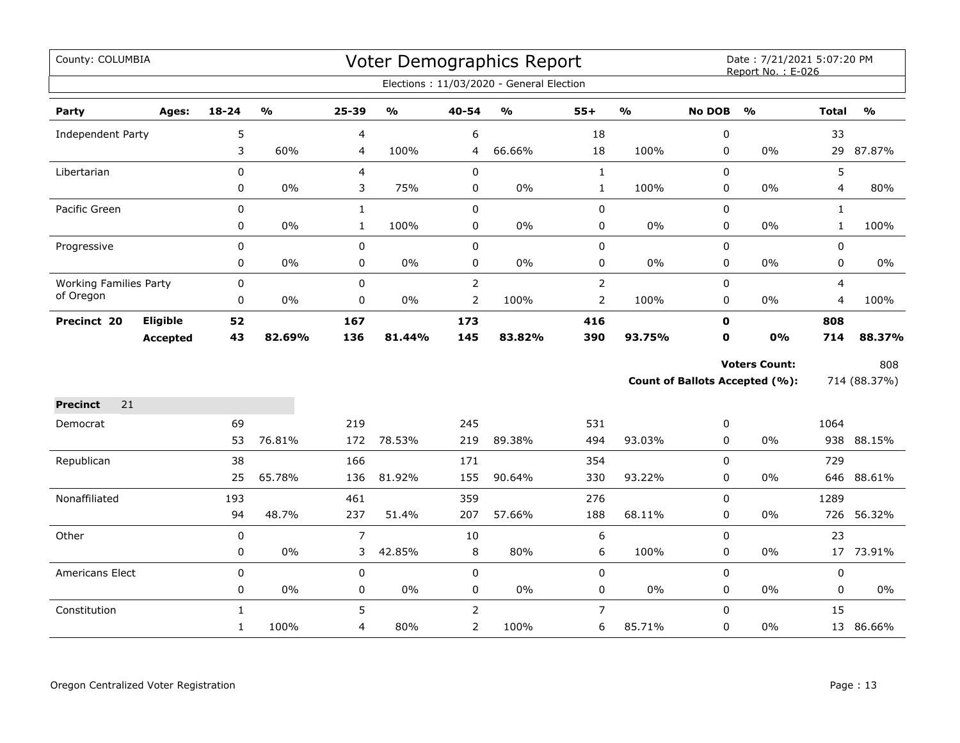| County: COLUMBIA              |                 |              |                         |                |                                   |                | Voter Demographics Report                |                |               |               | Date: 7/21/2021 5:07:20 PM<br>Report No.: E-026 |              |               |
|-------------------------------|-----------------|--------------|-------------------------|----------------|-----------------------------------|----------------|------------------------------------------|----------------|---------------|---------------|-------------------------------------------------|--------------|---------------|
|                               |                 |              |                         |                |                                   |                | Elections: 11/03/2020 - General Election |                |               |               |                                                 |              |               |
| Party                         | Ages:           | $18 - 24$    | $\mathbf{0}/\mathbf{0}$ | 25-39          | $\mathsf{o}\mathsf{v}_\mathsf{o}$ | 40-54          | $\mathsf{o}\mathsf{v}_\mathsf{o}$        | $55+$          | $\frac{0}{0}$ | <b>No DOB</b> | $\frac{0}{0}$                                   | <b>Total</b> | $\frac{0}{0}$ |
| Independent Party             |                 | 5            |                         | 4              |                                   | 6              |                                          | 18             |               | 0             |                                                 | 33           |               |
|                               |                 | 3            | 60%                     | 4              | 100%                              | 4              | 66.66%                                   | 18             | 100%          | 0             | 0%                                              |              | 29 87.87%     |
| Libertarian                   |                 | 0            |                         | 4              |                                   | $\pmb{0}$      |                                          | $\mathbf 1$    |               | $\Omega$      |                                                 | 5            |               |
|                               |                 | 0            | 0%                      | 3              | 75%                               | 0              | 0%                                       | $\mathbf 1$    | 100%          | 0             | $0\%$                                           | 4            | 80%           |
| Pacific Green                 |                 | 0            |                         | $\mathbf{1}$   |                                   | $\pmb{0}$      |                                          | $\pmb{0}$      |               | 0             |                                                 | $\mathbf{1}$ |               |
|                               |                 | 0            | $0\%$                   | $\mathbf{1}$   | 100%                              | $\pmb{0}$      | $0\%$                                    | $\pmb{0}$      | 0%            | 0             | 0%                                              | $\mathbf{1}$ | 100%          |
| Progressive                   |                 | 0            |                         | 0              |                                   | $\pmb{0}$      |                                          | $\pmb{0}$      |               | 0             |                                                 | 0            |               |
|                               |                 | 0            | 0%                      | 0              | $0\%$                             | $\pmb{0}$      | $0\%$                                    | $\mathbf 0$    | 0%            | 0             | 0%                                              | 0            | $0\%$         |
| <b>Working Families Party</b> |                 | $\pmb{0}$    |                         | $\mathbf 0$    |                                   | $\overline{2}$ |                                          | $\overline{2}$ |               | 0             |                                                 | 4            |               |
| of Oregon                     |                 | 0            | $0\%$                   | 0              | $0\%$                             | $\overline{2}$ | 100%                                     | $\mathbf 2$    | 100%          | 0             | $0\%$                                           | 4            | 100%          |
| Precinct 20                   | <b>Eligible</b> | 52           |                         | 167            |                                   | 173            |                                          | 416            |               | $\mathbf 0$   |                                                 | 808          |               |
|                               | <b>Accepted</b> | 43           | 82.69%                  | 136            | 81.44%                            | 145            | 83.82%                                   | 390            | 93.75%        | $\mathbf 0$   | 0%                                              | 714          | 88.37%        |
|                               |                 |              |                         |                |                                   |                |                                          |                |               |               | <b>Voters Count:</b>                            |              | 808           |
|                               |                 |              |                         |                |                                   |                |                                          |                |               |               | Count of Ballots Accepted (%):                  |              | 714 (88.37%)  |
| 21<br><b>Precinct</b>         |                 |              |                         |                |                                   |                |                                          |                |               |               |                                                 |              |               |
| Democrat                      |                 | 69           |                         | 219            |                                   | 245            |                                          | 531            |               | 0             |                                                 | 1064         |               |
|                               |                 | 53           | 76.81%                  | 172            | 78.53%                            | 219            | 89.38%                                   | 494            | 93.03%        | 0             | $0\%$                                           |              | 938 88.15%    |
| Republican                    |                 | 38           |                         | 166            |                                   | 171            |                                          | 354            |               | $\mathbf 0$   |                                                 | 729          |               |
|                               |                 | 25           | 65.78%                  | 136            | 81.92%                            | 155            | 90.64%                                   | 330            | 93.22%        | 0             | 0%                                              | 646          | 88.61%        |
| Nonaffiliated                 |                 | 193          |                         | 461            |                                   | 359            |                                          | 276            |               | 0             |                                                 | 1289         |               |
|                               |                 | 94           | 48.7%                   | 237            | 51.4%                             | 207            | 57.66%                                   | 188            | 68.11%        | 0             | $0\%$                                           |              | 726 56.32%    |
| Other                         |                 | $\pmb{0}$    |                         | $\overline{7}$ |                                   | 10             |                                          | 6              |               | 0             |                                                 | 23           |               |
|                               |                 | 0            | 0%                      | 3              | 42.85%                            | 8              | 80%                                      | 6              | 100%          | 0             | 0%                                              |              | 17 73.91%     |
| Americans Elect               |                 | $\pmb{0}$    |                         | 0              |                                   | $\pmb{0}$      |                                          | $\pmb{0}$      |               | 0             |                                                 | 0            |               |
|                               |                 | 0            | $0\%$                   | 0              | $0\%$                             | $\pmb{0}$      | $0\%$                                    | $\pmb{0}$      | 0%            | 0             | $0\%$                                           | 0            | 0%            |
| Constitution                  |                 | $\mathbf{1}$ |                         | 5              |                                   | $\overline{2}$ |                                          | $\overline{7}$ |               | $\Omega$      |                                                 | 15           |               |
|                               |                 | $\mathbf{1}$ | 100%                    | 4              | 80%                               | $\overline{2}$ | 100%                                     | 6              | 85.71%        | 0             | $0\%$                                           |              | 13 86.66%     |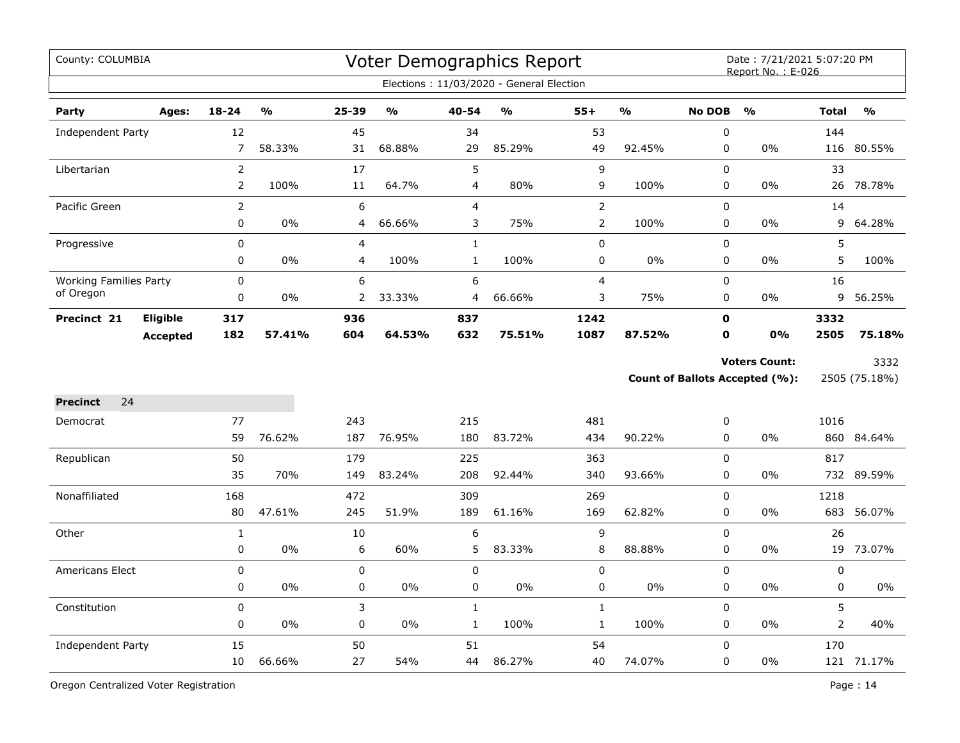| County: COLUMBIA              |                 |                  |        |                |               |                | Voter Demographics Report<br>Elections: 11/03/2020 - General Election |                |               |                  | Date: 7/21/2021 5:07:20 PM<br>Report No.: E-026 |                |               |
|-------------------------------|-----------------|------------------|--------|----------------|---------------|----------------|-----------------------------------------------------------------------|----------------|---------------|------------------|-------------------------------------------------|----------------|---------------|
|                               |                 |                  |        |                |               |                |                                                                       |                |               |                  |                                                 |                |               |
| Party                         | Ages:           | $18 - 24$        | %      | 25-39          | $\frac{0}{0}$ | 40-54          | $\frac{0}{0}$                                                         | $55+$          | $\frac{9}{6}$ | <b>No DOB</b>    | $\frac{0}{0}$                                   | <b>Total</b>   | $\frac{0}{0}$ |
| Independent Party             |                 | 12               |        | 45             |               | 34             |                                                                       | 53             |               | $\boldsymbol{0}$ |                                                 | 144            |               |
|                               |                 | 7                | 58.33% | 31             | 68.88%        | 29             | 85.29%                                                                | 49             | 92.45%        | 0                | 0%                                              |                | 116 80.55%    |
| Libertarian                   |                 | $\overline{2}$   |        | 17             |               | 5              |                                                                       | 9              |               | $\mathbf 0$      |                                                 | 33             |               |
|                               |                 | $\overline{2}$   | 100%   | 11             | 64.7%         | $\overline{4}$ | 80%                                                                   | 9              | 100%          | $\pmb{0}$        | 0%                                              | 26             | 78.78%        |
| Pacific Green                 |                 | $\overline{2}$   |        | 6              |               | $\overline{4}$ |                                                                       | $\overline{2}$ |               | $\pmb{0}$        |                                                 | 14             |               |
|                               |                 | 0                | 0%     | 4              | 66.66%        | 3              | 75%                                                                   | $\overline{2}$ | 100%          | 0                | 0%                                              | 9              | 64.28%        |
| Progressive                   |                 | 0                |        | $\overline{4}$ |               | $\mathbf{1}$   |                                                                       | 0              |               | $\mathbf 0$      |                                                 | 5              |               |
|                               |                 | 0                | 0%     | 4              | 100%          | $\mathbf{1}$   | 100%                                                                  | 0              | 0%            | 0                | 0%                                              | 5              | 100%          |
| <b>Working Families Party</b> |                 | $\mathbf 0$      |        | 6              |               | 6              |                                                                       | $\overline{4}$ |               | $\pmb{0}$        |                                                 | 16             |               |
| of Oregon                     |                 | $\mathbf 0$      | $0\%$  | $\overline{2}$ | 33.33%        | 4              | 66.66%                                                                | 3              | 75%           | $\mathbf 0$      | 0%                                              | 9              | 56.25%        |
| Precinct 21                   | <b>Eligible</b> | 317              |        | 936            |               | 837            |                                                                       | 1242           |               | $\mathbf o$      |                                                 | 3332           |               |
|                               | <b>Accepted</b> | 182              | 57.41% | 604            | 64.53%        | 632            | 75.51%                                                                | 1087           | 87.52%        | $\mathbf 0$      | 0%                                              | 2505           | 75.18%        |
|                               |                 |                  |        |                |               |                |                                                                       |                |               |                  | <b>Voters Count:</b>                            |                | 3332          |
|                               |                 |                  |        |                |               |                |                                                                       |                |               |                  | Count of Ballots Accepted (%):                  |                | 2505 (75.18%) |
|                               |                 |                  |        |                |               |                |                                                                       |                |               |                  |                                                 |                |               |
| 24<br><b>Precinct</b>         |                 |                  |        |                |               |                |                                                                       |                |               |                  |                                                 |                |               |
| Democrat                      |                 | 77               |        | 243            |               | 215            |                                                                       | 481            |               | $\boldsymbol{0}$ |                                                 | 1016           |               |
|                               |                 | 59               | 76.62% | 187            | 76.95%        | 180            | 83.72%                                                                | 434            | 90.22%        | $\mathbf 0$      | 0%                                              |                | 860 84.64%    |
| Republican                    |                 | 50               |        | 179            |               | 225            |                                                                       | 363            |               | 0                |                                                 | 817            |               |
|                               |                 | 35               | 70%    | 149            | 83.24%        | 208            | 92.44%                                                                | 340            | 93.66%        | $\mathbf 0$      | 0%                                              |                | 732 89.59%    |
| Nonaffiliated                 |                 | 168              |        | 472            |               | 309            |                                                                       | 269            |               | $\mathbf 0$      |                                                 | 1218           |               |
|                               |                 | 80               | 47.61% | 245            | 51.9%         | 189            | 61.16%                                                                | 169            | 62.82%        | $\mathbf 0$      | 0%                                              | 683            | 56.07%        |
| Other                         |                 | $\mathbf{1}$     |        | 10             |               | 6              |                                                                       | 9              |               | $\mathbf 0$      |                                                 | 26             |               |
|                               |                 | 0                | 0%     | 6              | 60%           | 5              | 83.33%                                                                | $\, 8$         | 88.88%        | $\pmb{0}$        | 0%                                              | 19             | 73.07%        |
| Americans Elect               |                 | 0                |        | 0              |               | $\mathbf 0$    |                                                                       | $\pmb{0}$      |               | $\mathbf 0$      |                                                 | 0              |               |
|                               |                 | 0                | 0%     | 0              | $0\%$         | $\pmb{0}$      | $0\%$                                                                 | $\pmb{0}$      | $0\%$         | $\pmb{0}$        | 0%                                              | 0              | 0%            |
| Constitution                  |                 | $\boldsymbol{0}$ |        | 3              |               | $\mathbf{1}$   |                                                                       | $\mathbf 1$    |               | $\mathbf 0$      |                                                 | 5              |               |
|                               |                 | 0                | 0%     | 0              | $0\%$         | $\mathbf{1}$   | 100%                                                                  | $\mathbf{1}$   | 100%          | 0                | 0%                                              | $\overline{2}$ | 40%           |
| <b>Independent Party</b>      |                 | 15               |        | 50             |               | 51             |                                                                       | 54             |               | $\mathbf 0$      |                                                 | 170            |               |
|                               |                 | 10               | 66.66% | 27             | 54%           | 44             | 86.27%                                                                | 40             | 74.07%        | $\pmb{0}$        | 0%                                              |                | 121 71.17%    |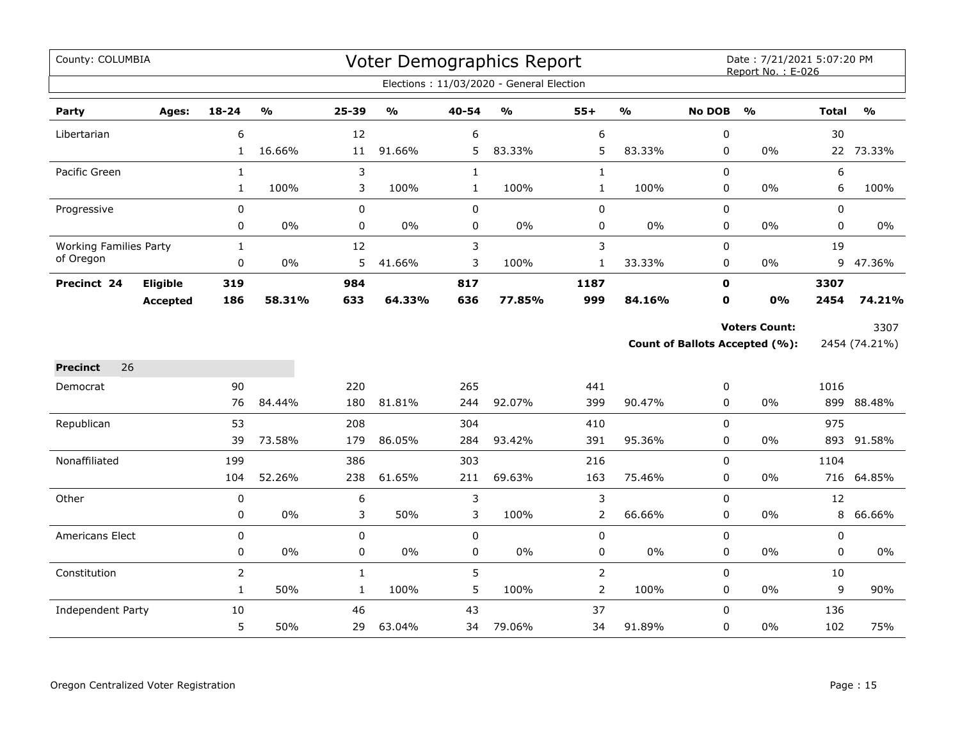| County: COLUMBIA              |                 |                |               |              |               |              | Voter Demographics Report                |                |               |               | Date: 7/21/2021 5:07:20 PM<br>Report No.: E-026 |              |                           |
|-------------------------------|-----------------|----------------|---------------|--------------|---------------|--------------|------------------------------------------|----------------|---------------|---------------|-------------------------------------------------|--------------|---------------------------|
|                               |                 |                |               |              |               |              | Elections: 11/03/2020 - General Election |                |               |               |                                                 |              |                           |
| Party                         | Ages:           | 18-24          | $\frac{1}{2}$ | 25-39        | $\frac{1}{2}$ | 40-54        | $\frac{0}{0}$                            | $55+$          | $\frac{0}{0}$ | <b>No DOB</b> | $\frac{1}{2}$                                   | <b>Total</b> | $\mathsf{o}\!/\mathsf{o}$ |
| Libertarian                   |                 | 6              |               | 12           |               | 6            |                                          | 6              |               | 0             |                                                 | 30           |                           |
|                               |                 | $\mathbf{1}$   | 16.66%        | 11           | 91.66%        | 5            | 83.33%                                   | 5              | 83.33%        | 0             | $0\%$                                           |              | 22 73.33%                 |
| Pacific Green                 |                 | $\mathbf{1}$   |               | 3            |               | $\mathbf{1}$ |                                          | $\mathbf{1}$   |               | 0             |                                                 | 6            |                           |
|                               |                 | $\mathbf{1}$   | 100%          | 3            | 100%          | $\mathbf{1}$ | 100%                                     | $\mathbf{1}$   | 100%          | 0             | $0\%$                                           | 6            | 100%                      |
| Progressive                   |                 | 0              |               | 0            |               | $\mathbf 0$  |                                          | 0              |               | $\mathbf 0$   |                                                 | $\mathbf 0$  |                           |
|                               |                 | 0              | $0\%$         | $\mathbf 0$  | $0\%$         | 0            | 0%                                       | 0              | $0\%$         | 0             | $0\%$                                           | 0            | 0%                        |
| <b>Working Families Party</b> |                 | $\mathbf{1}$   |               | 12           |               | 3            |                                          | 3              |               | $\mathbf 0$   |                                                 | 19           |                           |
| of Oregon                     |                 | 0              | $0\%$         | 5            | 41.66%        | 3            | 100%                                     | $\mathbf{1}$   | 33.33%        | 0             | $0\%$                                           | 9            | 47.36%                    |
| Precinct 24                   | <b>Eligible</b> | 319            |               | 984          |               | 817          |                                          | 1187           |               | 0             |                                                 | 3307         |                           |
|                               | <b>Accepted</b> | 186            | 58.31%        | 633          | 64.33%        | 636          | 77.85%                                   | 999            | 84.16%        | 0             | 0%                                              | 2454         | 74.21%                    |
|                               |                 |                |               |              |               |              |                                          |                |               |               | <b>Voters Count:</b>                            |              | 3307                      |
|                               |                 |                |               |              |               |              |                                          |                |               |               | <b>Count of Ballots Accepted (%):</b>           |              | 2454 (74.21%)             |
| 26<br><b>Precinct</b>         |                 |                |               |              |               |              |                                          |                |               |               |                                                 |              |                           |
| Democrat                      |                 | 90             |               | 220          |               | 265          |                                          | 441            |               | 0             |                                                 | 1016         |                           |
|                               |                 | 76             | 84.44%        | 180          | 81.81%        | 244          | 92.07%                                   | 399            | 90.47%        | 0             | $0\%$                                           | 899          | 88.48%                    |
| Republican                    |                 | 53             |               | 208          |               | 304          |                                          | 410            |               | $\Omega$      |                                                 | 975          |                           |
|                               |                 | 39             | 73.58%        | 179          | 86.05%        | 284          | 93.42%                                   | 391            | 95.36%        | 0             | 0%                                              | 893          | 91.58%                    |
| Nonaffiliated                 |                 | 199            |               | 386          |               | 303          |                                          | 216            |               | $\mathbf 0$   |                                                 | 1104         |                           |
|                               |                 | 104            | 52.26%        | 238          | 61.65%        | 211          | 69.63%                                   | 163            | 75.46%        | 0             | $0\%$                                           | 716          | 64.85%                    |
| Other                         |                 | 0              |               | 6            |               | 3            |                                          | 3              |               | $\mathbf 0$   |                                                 | 12           |                           |
|                               |                 | 0              | $0\%$         | 3            | 50%           | 3            | 100%                                     | 2              | 66.66%        | $\mathbf 0$   | $0\%$                                           | 8            | 66.66%                    |
| Americans Elect               |                 | 0              |               | $\mathbf 0$  |               | $\pmb{0}$    |                                          | $\mathbf 0$    |               | $\pmb{0}$     |                                                 | $\pmb{0}$    |                           |
|                               |                 | 0              | 0%            | 0            | 0%            | 0            | 0%                                       | 0              | $0\%$         | 0             | $0\%$                                           | 0            | $0\%$                     |
| Constitution                  |                 | $\overline{2}$ |               | $\mathbf{1}$ |               | 5            |                                          | $\overline{2}$ |               | $\mathbf 0$   |                                                 | 10           |                           |
|                               |                 | $\mathbf{1}$   | 50%           | $\mathbf{1}$ | 100%          | 5            | 100%                                     | $\overline{2}$ | 100%          | 0             | $0\%$                                           | 9            | 90%                       |
| Independent Party             |                 | 10             |               | 46           |               | 43           |                                          | 37             |               | 0             |                                                 | 136          |                           |
|                               |                 | 5              | 50%           | 29           | 63.04%        | 34           | 79.06%                                   | 34             | 91.89%        | 0             | $0\%$                                           | 102          | 75%                       |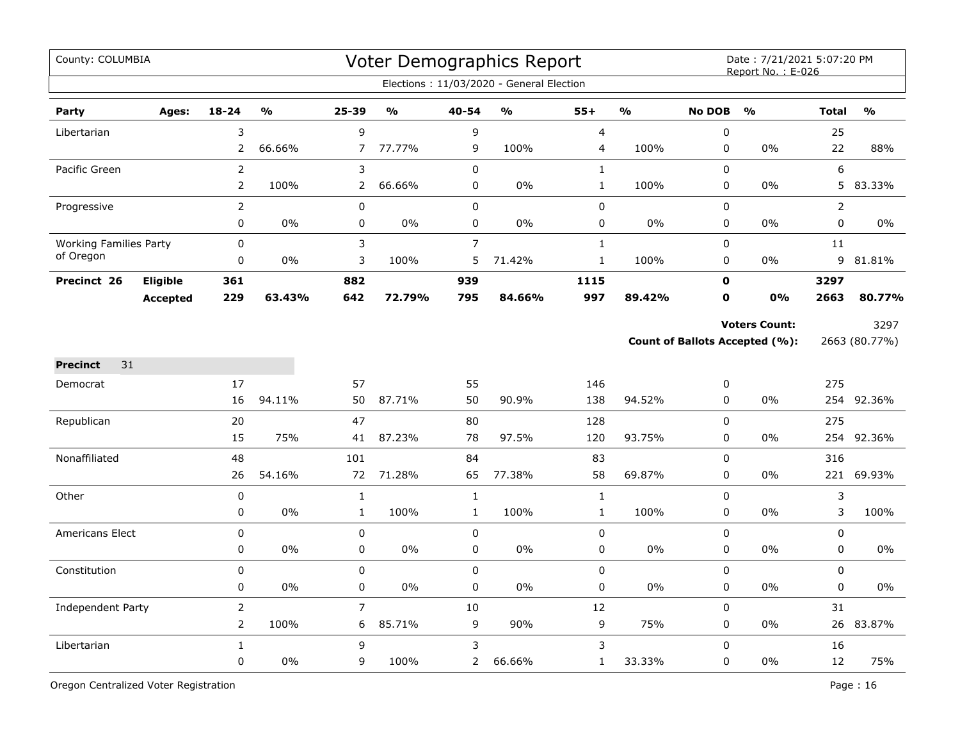| County: COLUMBIA              |                 |                |        |                |               |                | Voter Demographics Report<br>Elections: 11/03/2020 - General Election |                         |               |                | Date: 7/21/2021 5:07:20 PM<br>Report No.: E-026               |              |                       |
|-------------------------------|-----------------|----------------|--------|----------------|---------------|----------------|-----------------------------------------------------------------------|-------------------------|---------------|----------------|---------------------------------------------------------------|--------------|-----------------------|
|                               |                 |                |        |                |               |                |                                                                       |                         |               |                |                                                               |              |                       |
| Party                         | Ages:           | $18 - 24$      | %      | $25 - 39$      | $\frac{0}{0}$ | 40-54          | $\frac{0}{0}$                                                         | $55+$                   | $\frac{9}{6}$ | <b>No DOB</b>  | $\frac{0}{0}$                                                 | <b>Total</b> | $\frac{0}{0}$         |
| Libertarian                   |                 | 3              |        | 9              |               | 9              |                                                                       | $\overline{\mathbf{4}}$ |               | 0              |                                                               | 25           |                       |
|                               |                 | 2              | 66.66% | $\overline{7}$ | 77.77%        | 9              | 100%                                                                  | 4                       | 100%          | 0              | 0%                                                            | 22           | 88%                   |
| Pacific Green                 |                 | $\overline{2}$ |        | 3              |               | $\mathbf 0$    |                                                                       | $\mathbf{1}$            |               | 0              |                                                               | 6            |                       |
|                               |                 | $\overline{2}$ | 100%   | 2              | 66.66%        | $\pmb{0}$      | 0%                                                                    | $\mathbf{1}$            | 100%          | 0              | 0%                                                            | 5            | 83.33%                |
| Progressive                   |                 | $\overline{2}$ |        | 0              |               | $\pmb{0}$      |                                                                       | $\pmb{0}$               |               | $\mathsf 0$    |                                                               | 2            |                       |
|                               |                 | 0              | 0%     | 0              | $0\%$         | 0              | $0\%$                                                                 | 0                       | 0%            | 0              | 0%                                                            | 0            | $0\%$                 |
| <b>Working Families Party</b> |                 | $\mathbf 0$    |        | 3              |               | $\overline{7}$ |                                                                       | $\mathbf{1}$            |               | 0              |                                                               | 11           |                       |
| of Oregon                     |                 | $\pmb{0}$      | 0%     | 3              | 100%          | 5              | 71.42%                                                                | $\mathbf{1}$            | 100%          | 0              | 0%                                                            | 9            | 81.81%                |
| Precinct 26                   | Eligible        | 361            |        | 882            |               | 939            |                                                                       | 1115                    |               | $\mathbf 0$    |                                                               | 3297         |                       |
|                               | <b>Accepted</b> | 229            | 63.43% | 642            | 72.79%        | 795            | 84.66%                                                                | 997                     | 89.42%        | 0              | 0%                                                            | 2663         | 80.77%                |
|                               |                 |                |        |                |               |                |                                                                       |                         |               |                | <b>Voters Count:</b><br><b>Count of Ballots Accepted (%):</b> |              | 3297<br>2663 (80.77%) |
| 31<br><b>Precinct</b>         |                 |                |        |                |               |                |                                                                       |                         |               |                |                                                               |              |                       |
| Democrat                      |                 | 17             |        | 57             |               | 55             |                                                                       | 146                     |               | 0              |                                                               | 275          |                       |
|                               |                 | 16             | 94.11% | 50             | 87.71%        | 50             | 90.9%                                                                 | 138                     | 94.52%        | $\Omega$       | 0%                                                            | 254          | 92.36%                |
| Republican                    |                 | 20             |        | 47             |               | 80             |                                                                       | 128                     |               | $\overline{0}$ |                                                               | 275          |                       |
|                               |                 | 15             | 75%    | 41             | 87.23%        | 78             | 97.5%                                                                 | 120                     | 93.75%        | 0              | 0%                                                            | 254          | 92.36%                |
| Nonaffiliated                 |                 | 48             |        | 101            |               | 84             |                                                                       | 83                      |               | 0              |                                                               | 316          |                       |
|                               |                 | 26             | 54.16% | 72             | 71.28%        | 65             | 77.38%                                                                | 58                      | 69.87%        | 0              | 0%                                                            |              | 221 69.93%            |
| Other                         |                 | $\mathbf 0$    |        | $\mathbf 1$    |               | $\mathbf{1}$   |                                                                       | $\mathbf 1$             |               | 0              |                                                               | 3            |                       |
|                               |                 | 0              | 0%     | $\mathbf{1}$   | 100%          | $\mathbf{1}$   | 100%                                                                  | $\mathbf{1}$            | 100%          | 0              | 0%                                                            | 3            | 100%                  |
| <b>Americans Elect</b>        |                 | $\mathbf 0$    |        | 0              |               | $\mathbf 0$    |                                                                       | 0                       |               | 0              |                                                               | 0            |                       |
|                               |                 | $\pmb{0}$      | 0%     | 0              | 0%            | $\pmb{0}$      | 0%                                                                    | $\mathsf 0$             | 0%            | 0              | 0%                                                            | 0            | 0%                    |
| Constitution                  |                 | $\pmb{0}$      |        | 0              |               | $\mathbf 0$    |                                                                       | $\pmb{0}$               |               | 0              |                                                               | 0            |                       |
|                               |                 | $\pmb{0}$      | 0%     | 0              | 0%            | $\pmb{0}$      | 0%                                                                    | $\pmb{0}$               | 0%            | 0              | $0\%$                                                         | 0            | 0%                    |
| Independent Party             |                 | $\overline{2}$ |        | 7              |               | $10\,$         |                                                                       | 12                      |               | 0              |                                                               | 31           |                       |
|                               |                 | $\overline{2}$ | 100%   | 6              | 85.71%        | 9              | 90%                                                                   | 9                       | 75%           | 0              | 0%                                                            |              | 26 83.87%             |
| Libertarian                   |                 | $\mathbf{1}$   |        | 9              |               | 3              |                                                                       | $\mathfrak{Z}$          |               | 0              |                                                               | 16           |                       |
|                               |                 | $\pmb{0}$      | 0%     | 9              | 100%          | $\overline{2}$ | 66.66%                                                                | $\mathbf{1}$            | 33.33%        | 0              | 0%                                                            | 12           | 75%                   |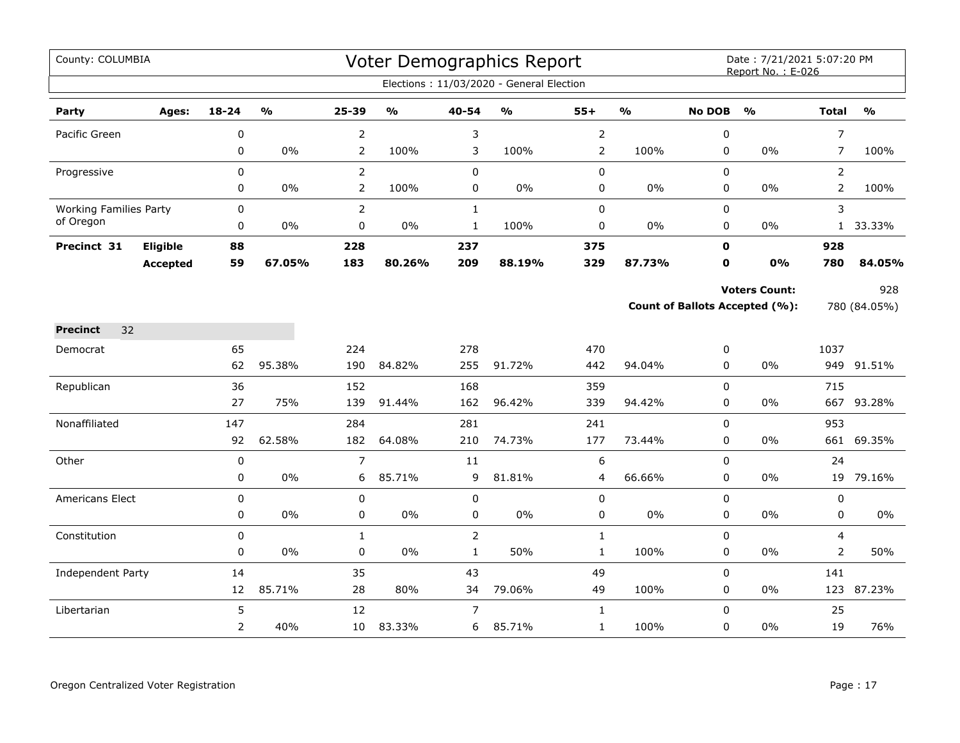| County: COLUMBIA              |                 |                |                         |                |                                   |                | <b>Voter Demographics Report</b>         |                  |                         |                | Date: 7/21/2021 5:07:20 PM<br>Report No.: E-026 |                |               |
|-------------------------------|-----------------|----------------|-------------------------|----------------|-----------------------------------|----------------|------------------------------------------|------------------|-------------------------|----------------|-------------------------------------------------|----------------|---------------|
|                               |                 |                |                         |                |                                   |                | Elections: 11/03/2020 - General Election |                  |                         |                |                                                 |                |               |
| Party                         | Ages:           | 18-24          | $\mathbf{0}/\mathbf{0}$ | 25-39          | $\mathsf{o}\mathsf{v}_\mathsf{o}$ | 40-54          | %                                        | $55+$            | $\mathbf{O}/\mathbf{o}$ | <b>No DOB</b>  | $\frac{0}{0}$                                   | <b>Total</b>   | $\frac{0}{0}$ |
| Pacific Green                 |                 | 0              |                         | $\overline{2}$ |                                   | 3              |                                          | $\mathsf{2}\,$   |                         | 0              |                                                 | $\overline{7}$ |               |
|                               |                 | $\pmb{0}$      | $0\%$                   | $\overline{2}$ | 100%                              | 3              | 100%                                     | $\overline{2}$   | 100%                    | 0              | 0%                                              | 7              | 100%          |
| Progressive                   |                 | $\pmb{0}$      |                         | $\overline{2}$ |                                   | $\pmb{0}$      |                                          | $\pmb{0}$        |                         | $\mathsf 0$    |                                                 | $\overline{2}$ |               |
|                               |                 | 0              | 0%                      | $\overline{2}$ | 100%                              | 0              | $0\%$                                    | $\pmb{0}$        | 0%                      | 0              | 0%                                              | $\overline{2}$ | 100%          |
| <b>Working Families Party</b> |                 | $\mathsf 0$    |                         | $\overline{2}$ |                                   | $\mathbf{1}$   |                                          | $\pmb{0}$        |                         | 0              |                                                 | 3              |               |
| of Oregon                     |                 | $\pmb{0}$      | 0%                      | 0              | $0\%$                             | $\mathbf{1}$   | 100%                                     | $\mathbf 0$      | 0%                      | 0              | 0%                                              | $\mathbf{1}$   | 33.33%        |
| Precinct 31                   | Eligible        | 88             |                         | 228            |                                   | 237            |                                          | 375              |                         | $\mathbf 0$    |                                                 | 928            |               |
|                               | <b>Accepted</b> | 59             | 67.05%                  | 183            | 80.26%                            | 209            | 88.19%                                   | 329              | 87.73%                  | 0              | 0%                                              | 780            | 84.05%        |
|                               |                 |                |                         |                |                                   |                |                                          |                  |                         |                | <b>Voters Count:</b>                            |                | 928           |
|                               |                 |                |                         |                |                                   |                |                                          |                  |                         |                | <b>Count of Ballots Accepted (%):</b>           |                | 780 (84.05%)  |
| <b>Precinct</b><br>32         |                 |                |                         |                |                                   |                |                                          |                  |                         |                |                                                 |                |               |
| Democrat                      |                 | 65             |                         | 224            |                                   | 278            |                                          | 470              |                         | 0              |                                                 | 1037           |               |
|                               |                 | 62             | 95.38%                  | 190            | 84.82%                            | 255            | 91.72%                                   | 442              | 94.04%                  | 0              | 0%                                              |                | 949 91.51%    |
| Republican                    |                 | 36             |                         | 152            |                                   | 168            |                                          | 359              |                         | 0              |                                                 | 715            |               |
|                               |                 | 27             | 75%                     | 139            | 91.44%                            | 162            | 96.42%                                   | 339              | 94.42%                  | 0              | 0%                                              | 667            | 93.28%        |
| Nonaffiliated                 |                 | 147            |                         | 284            |                                   | 281            |                                          | 241              |                         | 0              |                                                 | 953            |               |
|                               |                 | 92             | 62.58%                  | 182            | 64.08%                            | 210            | 74.73%                                   | 177              | 73.44%                  | 0              | 0%                                              | 661            | 69.35%        |
| Other                         |                 | $\mathbf 0$    |                         | $\overline{7}$ |                                   | 11             |                                          | $\boldsymbol{6}$ |                         | 0              |                                                 | 24             |               |
|                               |                 | 0              | $0\%$                   | 6              | 85.71%                            | 9              | 81.81%                                   | 4                | 66.66%                  | 0              | 0%                                              | 19             | 79.16%        |
| Americans Elect               |                 | $\mathbf 0$    |                         | 0              |                                   | $\mathbf 0$    |                                          | $\pmb{0}$        |                         | 0              |                                                 | 0              |               |
|                               |                 | 0              | $0\%$                   | 0              | $0\%$                             | 0              | $0\%$                                    | $\pmb{0}$        | 0%                      | 0              | 0%                                              | 0              | $0\%$         |
| Constitution                  |                 | $\mathbf 0$    |                         | $\mathbf{1}$   |                                   | $\overline{2}$ |                                          | $\mathbf{1}$     |                         | 0              |                                                 | 4              |               |
|                               |                 | 0              | 0%                      | 0              | $0\%$                             | $\mathbf{1}$   | 50%                                      | $\mathbf{1}$     | 100%                    | 0              | 0%                                              | 2              | 50%           |
| <b>Independent Party</b>      |                 | 14             |                         | 35             |                                   | 43             |                                          | 49               |                         | 0              |                                                 | 141            |               |
|                               |                 | 12             | 85.71%                  | 28             | 80%                               | 34             | 79.06%                                   | 49               | 100%                    | 0              | 0%                                              | 123            | 87.23%        |
| Libertarian                   |                 | 5              |                         | 12             |                                   | $\overline{7}$ |                                          | $\mathbf{1}$     |                         | $\overline{0}$ |                                                 | 25             |               |
|                               |                 | $\overline{2}$ | 40%                     | 10             | 83.33%                            | 6              | 85.71%                                   | $\mathbf{1}$     | 100%                    | 0              | 0%                                              | 19             | 76%           |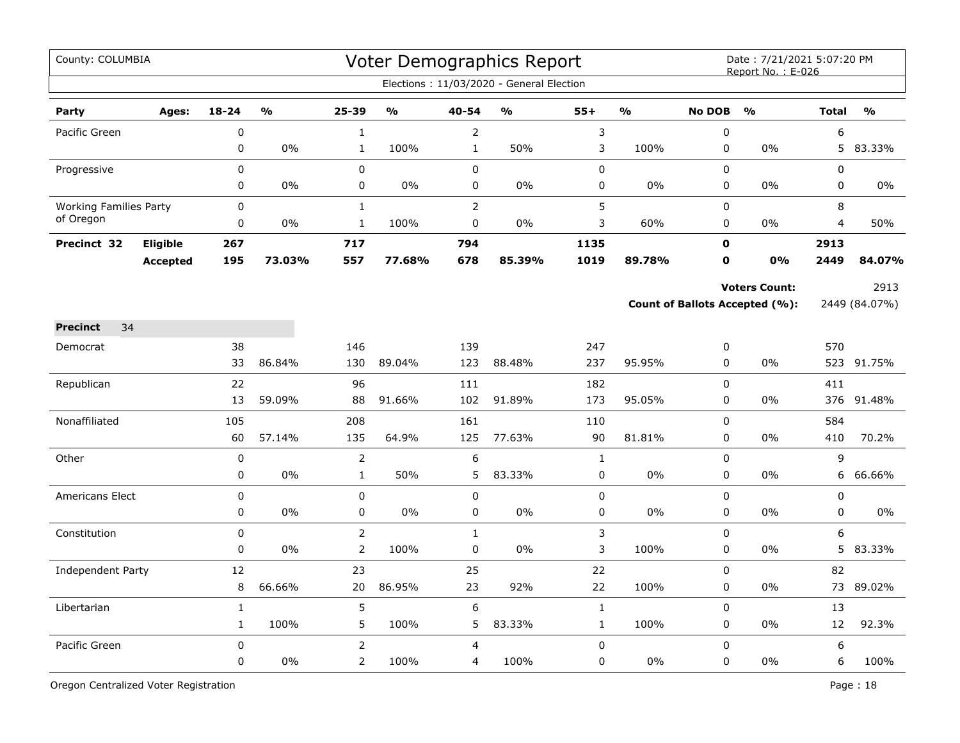| County: COLUMBIA                           |                 |              |               |                |               |                | Voter Demographics Report                |              |                |                | Date: 7/21/2021 5:07:20 PM<br>Report No.: E-026 |              |               |
|--------------------------------------------|-----------------|--------------|---------------|----------------|---------------|----------------|------------------------------------------|--------------|----------------|----------------|-------------------------------------------------|--------------|---------------|
|                                            |                 |              |               |                |               |                | Elections: 11/03/2020 - General Election |              |                |                |                                                 |              |               |
| Party                                      | Ages:           | $18 - 24$    | $\frac{1}{2}$ | 25-39          | $\frac{1}{2}$ | 40-54          | $\frac{1}{2}$                            | $55+$        | $\mathbf{v}_0$ | <b>No DOB</b>  | $\frac{1}{2}$                                   | <b>Total</b> | $\frac{1}{2}$ |
| Pacific Green                              |                 | $\mathbf 0$  |               | $\mathbf{1}$   |               | $\overline{2}$ |                                          | 3            |                | $\pmb{0}$      |                                                 | 6            |               |
|                                            |                 | 0            | 0%            | $\mathbf{1}$   | 100%          | $\mathbf{1}$   | 50%                                      | 3            | 100%           | $\pmb{0}$      | 0%                                              | 5            | 83.33%        |
| Progressive                                |                 | 0            |               | 0              |               | $\pmb{0}$      |                                          | $\pmb{0}$    |                | $\mathbf 0$    |                                                 | 0            |               |
|                                            |                 | 0            | 0%            | 0              | 0%            | $\mathbf 0$    | 0%                                       | 0            | 0%             | $\mathbf 0$    | 0%                                              | 0            | $0\%$         |
| <b>Working Families Party</b><br>of Oregon |                 | 0            |               | $\mathbf{1}$   |               | $\overline{2}$ |                                          | 5            |                | 0              |                                                 | 8            |               |
|                                            |                 | 0            | $0\%$         | $\mathbf{1}$   | 100%          | $\mathbf 0$    | $0\%$                                    | 3            | 60%            | 0              | 0%                                              | 4            | 50%           |
| Precinct 32                                | <b>Eligible</b> | 267          |               | 717            |               | 794            |                                          | 1135         |                | $\mathbf 0$    |                                                 | 2913         |               |
|                                            | <b>Accepted</b> | 195          | 73.03%        | 557            | 77.68%        | 678            | 85.39%                                   | 1019         | 89.78%         | $\mathbf 0$    | <b>0%</b>                                       | 2449         | 84.07%        |
|                                            |                 |              |               |                |               |                |                                          |              |                |                | <b>Voters Count:</b>                            |              | 2913          |
|                                            |                 |              |               |                |               |                |                                          |              |                |                | Count of Ballots Accepted (%):                  |              | 2449 (84.07%) |
| 34<br><b>Precinct</b>                      |                 |              |               |                |               |                |                                          |              |                |                |                                                 |              |               |
| Democrat                                   |                 | 38           |               | 146            |               | 139            |                                          | 247          |                | 0              |                                                 | 570          |               |
|                                            |                 | 33           | 86.84%        | 130            | 89.04%        | 123            | 88.48%                                   | 237          | 95.95%         | 0              | 0%                                              |              | 523 91.75%    |
| Republican                                 |                 | 22           |               | 96             |               | 111            |                                          | 182          |                | 0              |                                                 | 411          |               |
|                                            |                 | 13           | 59.09%        | 88             | 91.66%        | 102            | 91.89%                                   | 173          | 95.05%         | $\pmb{0}$      | 0%                                              | 376          | 91.48%        |
| Nonaffiliated                              |                 | 105          |               | 208            |               | 161            |                                          | 110          |                | $\mathbf 0$    |                                                 | 584          |               |
|                                            |                 | 60           | 57.14%        | 135            | 64.9%         | 125            | 77.63%                                   | 90           | 81.81%         | $\mathbf 0$    | 0%                                              | 410          | 70.2%         |
| Other                                      |                 | $\mathbf 0$  |               | $\overline{2}$ |               | 6              |                                          | $\mathbf{1}$ |                | $\mathbf 0$    |                                                 | 9            |               |
|                                            |                 | 0            | 0%            | $\mathbf{1}$   | 50%           | 5              | 83.33%                                   | 0            | 0%             | 0              | 0%                                              | 6            | 66.66%        |
| <b>Americans Elect</b>                     |                 | 0            |               | 0              |               | $\mathbf 0$    |                                          | $\mathbf 0$  |                | $\Omega$       |                                                 | 0            |               |
|                                            |                 | 0            | 0%            | 0              | 0%            | 0              | 0%                                       | $\pmb{0}$    | 0%             | $\mathbf 0$    | 0%                                              | 0            | 0%            |
| Constitution                               |                 | $\mathsf 0$  |               | $\overline{2}$ |               | $\mathbf{1}$   |                                          | 3            |                | $\mathbf 0$    |                                                 | 6            |               |
|                                            |                 | 0            | 0%            | $\overline{2}$ | 100%          | $\pmb{0}$      | 0%                                       | 3            | 100%           | $\pmb{0}$      | 0%                                              | 5            | 83.33%        |
| <b>Independent Party</b>                   |                 | 12           |               | 23             |               | 25             |                                          | 22           |                | $\overline{0}$ |                                                 | 82           |               |
|                                            |                 | 8            | 66.66%        | 20             | 86.95%        | 23             | 92%                                      | 22           | 100%           | $\mathbf 0$    | 0%                                              | 73           | 89.02%        |
| Libertarian                                |                 | $\mathbf{1}$ |               | 5              |               | 6              |                                          | $\mathbf{1}$ |                | $\mathbf 0$    |                                                 | 13           |               |
|                                            |                 | $\mathbf{1}$ | 100%          | 5              | 100%          | 5              | 83.33%                                   | $\mathbf{1}$ | 100%           | 0              | $0\%$                                           | 12           | 92.3%         |
| Pacific Green                              |                 | 0            |               | $\overline{2}$ |               | 4              |                                          | 0            |                | $\mathbf 0$    |                                                 | 6            |               |
|                                            |                 | 0            | 0%            | $\overline{2}$ | 100%          | 4              | 100%                                     | 0            | 0%             | $\mathbf 0$    | 0%                                              | 6            | 100%          |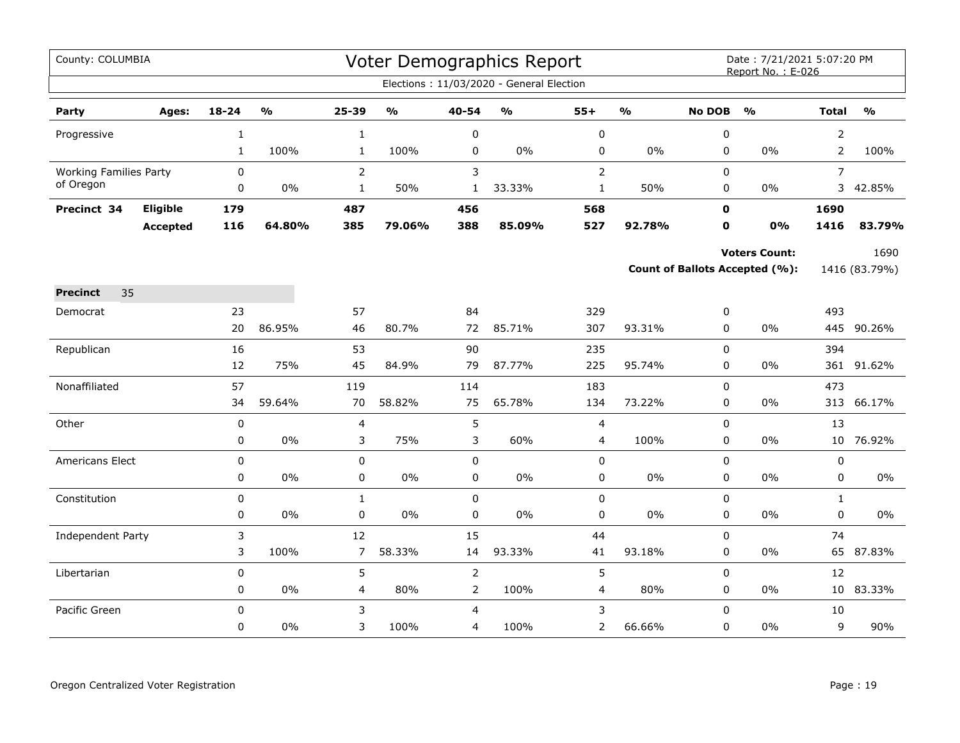| County: COLUMBIA              |                 |              |                         |                      |                         |                                  | Voter Demographics Report                |                |                         |                            | Date: 7/21/2021 5:07:20 PM<br>Report No.: E-026 |                   |               |
|-------------------------------|-----------------|--------------|-------------------------|----------------------|-------------------------|----------------------------------|------------------------------------------|----------------|-------------------------|----------------------------|-------------------------------------------------|-------------------|---------------|
|                               |                 |              |                         |                      |                         |                                  | Elections: 11/03/2020 - General Election |                |                         |                            |                                                 |                   |               |
| Party                         | Ages:           | 18-24        | $\mathbf{O}/\mathbf{o}$ | 25-39                | $\mathbf{O}/\mathbf{o}$ | 40-54                            | $\mathsf{o}\mathsf{v}_\mathsf{o}$        | $55+$          | $\mathbf{O}/\mathbf{o}$ | <b>No DOB</b>              | $\mathbf{O}/\mathbf{o}$                         | <b>Total</b>      | $\frac{9}{0}$ |
| Progressive                   |                 | $\mathbf{1}$ |                         | $\mathbf 1$          |                         | 0                                |                                          | $\pmb{0}$      |                         | 0                          |                                                 | $\overline{2}$    |               |
|                               |                 | $\mathbf{1}$ | 100%                    | $\mathbf{1}$         | 100%                    | 0                                | $0\%$                                    | 0              | 0%                      | 0                          | 0%                                              | $\overline{2}$    | 100%          |
| <b>Working Families Party</b> |                 | 0            |                         | $\overline{2}$       |                         | 3                                |                                          | $\overline{2}$ |                         | 0                          |                                                 | $\overline{7}$    |               |
| of Oregon                     |                 | 0            | 0%                      | $\mathbf{1}$         | 50%                     | $\mathbf{1}$                     | 33.33%                                   | $\mathbf{1}$   | 50%                     | 0                          | $0\%$                                           | 3                 | 42.85%        |
| Precinct 34                   | Eligible        | 179          |                         | 487                  |                         | 456                              |                                          | 568            |                         | $\mathbf 0$                |                                                 | 1690              |               |
|                               | <b>Accepted</b> | 116          | 64.80%                  | 385                  | 79.06%                  | 388                              | 85.09%                                   | 527            | 92.78%                  | 0                          | 0%                                              | 1416              | 83.79%        |
|                               |                 |              |                         |                      |                         |                                  |                                          |                |                         |                            | <b>Voters Count:</b>                            |                   | 1690          |
|                               |                 |              |                         |                      |                         |                                  |                                          |                |                         |                            | Count of Ballots Accepted (%):                  |                   | 1416 (83.79%) |
| 35<br><b>Precinct</b>         |                 |              |                         |                      |                         |                                  |                                          |                |                         |                            |                                                 |                   |               |
| Democrat                      |                 | 23           |                         | 57                   |                         | 84                               |                                          | 329            |                         | 0                          |                                                 | 493               |               |
|                               |                 | 20           | 86.95%                  | 46                   | 80.7%                   | 72                               | 85.71%                                   | 307            | 93.31%                  | $\Omega$                   | 0%                                              | 445               | 90.26%        |
| Republican                    |                 | 16           |                         | 53                   |                         | 90                               |                                          | 235            |                         | 0                          |                                                 | 394               |               |
|                               |                 | 12           | 75%                     | 45                   | 84.9%                   | 79                               | 87.77%                                   | 225            | 95.74%                  | 0                          | 0%                                              | 361               | 91.62%        |
| Nonaffiliated                 |                 | 57           |                         | 119                  |                         | 114                              |                                          | 183            |                         | 0                          |                                                 | 473               |               |
|                               |                 | 34           | 59.64%                  | 70                   | 58.82%                  | 75                               | 65.78%                                   | 134            | 73.22%                  | 0                          | 0%                                              |                   | 313 66.17%    |
| Other                         |                 | 0            |                         | 4                    |                         | 5                                |                                          | $\overline{4}$ |                         | $\mathbf 0$                |                                                 | 13                |               |
|                               |                 | 0            | $0\%$                   | 3                    | 75%                     | 3                                | 60%                                      | 4              | 100%                    | 0                          | 0%                                              | 10 <sub>1</sub>   | 76.92%        |
| Americans Elect               |                 | 0            |                         | $\pmb{0}$            |                         | $\mathbf 0$                      |                                          | $\pmb{0}$      |                         | 0                          |                                                 | $\pmb{0}$         |               |
|                               |                 | 0            | $0\%$                   | $\mathbf 0$          | $0\%$                   | $\mathbf 0$                      | $0\%$                                    | $\mathbf 0$    | 0%                      | 0                          | $0\%$                                           | $\mathbf 0$       | $0\%$         |
| Constitution                  |                 | 0            | $0\%$                   | $\mathbf{1}$         | 0%                      | $\mathbf 0$                      | $0\%$                                    | $\pmb{0}$      | $0\%$                   | 0<br>$\mathbf 0$           | $0\%$                                           | $\mathbf{1}$<br>0 | $0\%$         |
|                               |                 | 0            |                         | 0                    |                         | $\mathbf 0$                      |                                          | $\pmb{0}$      |                         |                            |                                                 |                   |               |
| Independent Party             |                 | 3<br>3       | 100%                    | 12<br>$\overline{7}$ | 58.33%                  | 15<br>14                         | 93.33%                                   | 44<br>41       | 93.18%                  | 0<br>0                     | 0%                                              | 74<br>65          | 87.83%        |
|                               |                 |              |                         |                      |                         |                                  |                                          |                |                         |                            |                                                 |                   |               |
| Libertarian                   |                 | 0<br>0       | $0\%$                   | 5<br>4               | 80%                     | $\overline{2}$<br>$\overline{2}$ | 100%                                     | 5<br>4         | 80%                     | $\mathsf 0$<br>$\mathbf 0$ | 0%                                              | 12<br>10          | 83.33%        |
| Pacific Green                 |                 | $\Omega$     |                         | 3                    |                         | 4                                |                                          | 3              |                         | 0                          |                                                 | 10                |               |
|                               |                 | 0            | $0\%$                   | 3                    | 100%                    | 4                                | 100%                                     | 2              | 66.66%                  | 0                          | 0%                                              | 9                 | 90%           |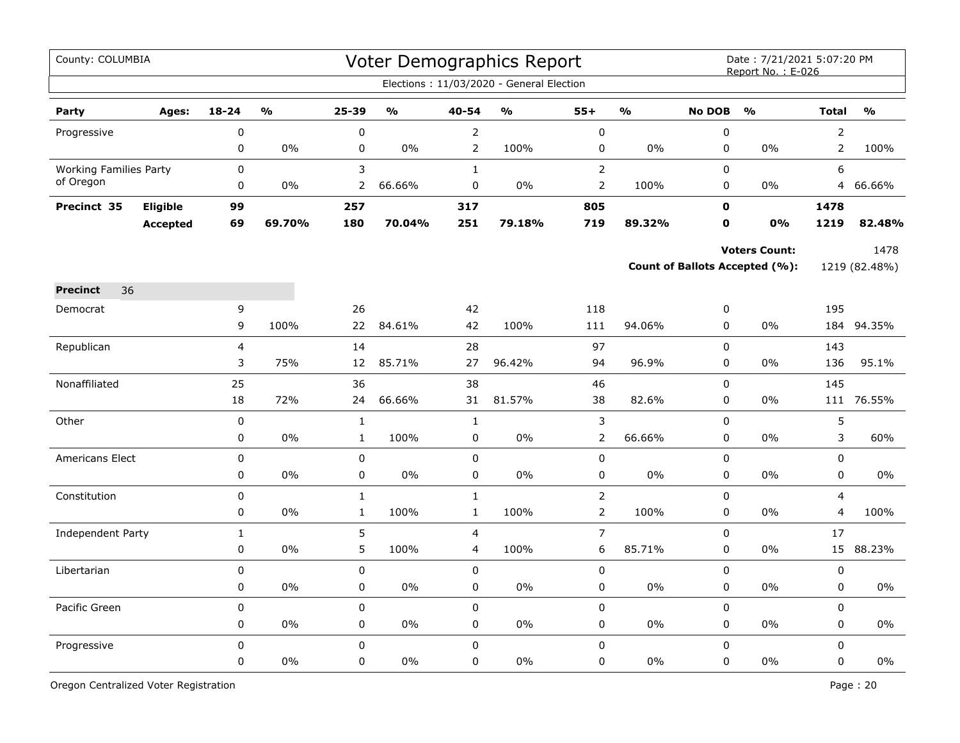| County: COLUMBIA              |                 |                |        |              |                                   |                | Voter Demographics Report                |                |               |               | Date: 7/21/2021 5:07:20 PM<br>Report No.: E-026 |                |               |
|-------------------------------|-----------------|----------------|--------|--------------|-----------------------------------|----------------|------------------------------------------|----------------|---------------|---------------|-------------------------------------------------|----------------|---------------|
|                               |                 |                |        |              |                                   |                | Elections: 11/03/2020 - General Election |                |               |               |                                                 |                |               |
| Party                         | Ages:           | $18 - 24$      | %      | 25-39        | $\mathsf{o}\mathsf{v}_\mathsf{o}$ | 40-54          | $\frac{1}{2}$                            | $55+$          | $\frac{0}{0}$ | <b>No DOB</b> | $\mathbf{O}/\mathbf{O}$                         | <b>Total</b>   | $\frac{0}{0}$ |
| Progressive                   |                 | 0              |        | $\pmb{0}$    |                                   | $\overline{2}$ |                                          | $\pmb{0}$      |               | $\pmb{0}$     |                                                 | $\overline{2}$ |               |
|                               |                 | 0              | 0%     | 0            | 0%                                | $\overline{2}$ | 100%                                     | $\pmb{0}$      | $0\%$         | $\mathbf 0$   | $0\%$                                           | $\overline{2}$ | 100%          |
| <b>Working Families Party</b> |                 | $\mathbf 0$    |        | 3            |                                   | $\mathbf{1}$   |                                          | $\overline{2}$ |               | $\Omega$      |                                                 | 6              |               |
| of Oregon                     |                 | 0              | $0\%$  | 2            | 66.66%                            | 0              | $0\%$                                    | $\mathsf{2}\,$ | 100%          | 0             | $0\%$                                           | 4              | 66.66%        |
| Precinct 35                   | Eligible        | 99             |        | 257          |                                   | 317            |                                          | 805            |               | 0             |                                                 | 1478           |               |
|                               | <b>Accepted</b> | 69             | 69.70% | 180          | 70.04%                            | 251            | 79.18%                                   | 719            | 89.32%        | $\mathbf o$   | 0%                                              | 1219           | 82.48%        |
|                               |                 |                |        |              |                                   |                |                                          |                |               |               | <b>Voters Count:</b>                            |                | 1478          |
|                               |                 |                |        |              |                                   |                |                                          |                |               |               | <b>Count of Ballots Accepted (%):</b>           |                | 1219 (82.48%) |
| 36<br><b>Precinct</b>         |                 |                |        |              |                                   |                |                                          |                |               |               |                                                 |                |               |
| Democrat                      |                 | 9              |        | 26           |                                   | 42             |                                          | 118            |               | 0             |                                                 | 195            |               |
|                               |                 | 9              | 100%   | 22           | 84.61%                            | 42             | 100%                                     | 111            | 94.06%        | $\mathsf 0$   | 0%                                              | 184            | 94.35%        |
| Republican                    |                 | $\overline{4}$ |        | 14           |                                   | 28             |                                          | 97             |               | $\pmb{0}$     |                                                 | 143            |               |
|                               |                 | 3              | 75%    | 12           | 85.71%                            | 27             | 96.42%                                   | 94             | 96.9%         | 0             | $0\%$                                           | 136            | 95.1%         |
| Nonaffiliated                 |                 | 25             |        | 36           |                                   | 38             |                                          | 46             |               | $\mathsf 0$   |                                                 | 145            |               |
|                               |                 | 18             | 72%    | 24           | 66.66%                            | 31             | 81.57%                                   | 38             | 82.6%         | $\mathbf 0$   | $0\%$                                           | 111            | 76.55%        |
| Other                         |                 | $\pmb{0}$      |        | $\mathbf 1$  |                                   | $\mathbf{1}$   |                                          | $\mathsf 3$    |               | $\pmb{0}$     |                                                 | 5              |               |
|                               |                 | 0              | 0%     | $\mathbf{1}$ | 100%                              | $\mathbf 0$    | 0%                                       | $\overline{2}$ | 66.66%        | $\pmb{0}$     | 0%                                              | 3              | 60%           |
| Americans Elect               |                 | 0              |        | $\pmb{0}$    |                                   | $\mathbf 0$    |                                          | $\pmb{0}$      |               | $\pmb{0}$     |                                                 | $\pmb{0}$      |               |
|                               |                 | 0              | 0%     | 0            | 0%                                | $\mathbf 0$    | 0%                                       | 0              | $0\%$         | $\mathbf 0$   | $0\%$                                           | $\mathbf 0$    | 0%            |
| Constitution                  |                 | 0              |        | $\mathbf 1$  |                                   | $\mathbf 1$    |                                          | $\overline{2}$ |               | $\Omega$      |                                                 | 4              |               |
|                               |                 | 0              | $0\%$  | $\mathbf{1}$ | 100%                              | $\mathbf{1}$   | 100%                                     | $\overline{2}$ | 100%          | $\mathbf 0$   | 0%                                              | $\overline{4}$ | 100%          |
| Independent Party             |                 | $\mathbf{1}$   |        | 5            |                                   | $\overline{4}$ |                                          | $\overline{7}$ |               | $\mathbf 0$   |                                                 | 17             |               |
|                               |                 | 0              | 0%     | 5            | 100%                              | 4              | 100%                                     | 6              | 85.71%        | $\pmb{0}$     | 0%                                              | 15             | 88.23%        |
| Libertarian                   |                 | 0              |        | $\pmb{0}$    |                                   | $\pmb{0}$      |                                          | $\pmb{0}$      |               | $\mathsf 0$   |                                                 | $\pmb{0}$      |               |
|                               |                 | 0              | 0%     | 0            | 0%                                | $\mathbf 0$    | $0\%$                                    | $\pmb{0}$      | $0\%$         | $\mathbf 0$   | $0\%$                                           | $\mathbf 0$    | 0%            |
| Pacific Green                 |                 | $\mathbf 0$    |        | 0            |                                   | $\mathsf 0$    |                                          | $\pmb{0}$      |               | $\mathsf 0$   |                                                 | $\mathbf 0$    |               |
|                               |                 | 0              | $0\%$  | 0            | $0\%$                             | 0              | $0\%$                                    | 0              | $0\%$         | 0             | 0%                                              | 0              | $0\%$         |
| Progressive                   |                 | 0              |        | $\mathsf 0$  |                                   | $\mathsf 0$    |                                          | $\pmb{0}$      |               | $\mathsf 0$   |                                                 | $\mathsf 0$    |               |
|                               |                 | 0              | 0%     | 0            | 0%                                | $\mathbf 0$    | 0%                                       | 0              | 0%            | $\pmb{0}$     | 0%                                              | $\pmb{0}$      | 0%            |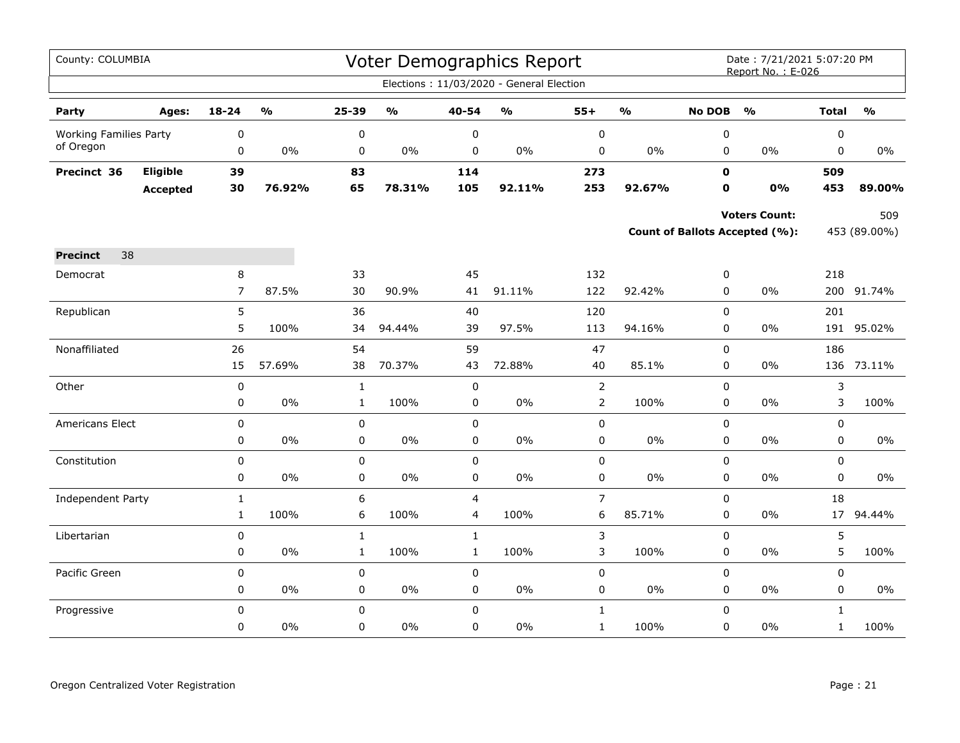| County: COLUMBIA              |                 |                |                         |              |                         |                | Voter Demographics Report                |                |               |               | Date: 7/21/2021 5:07:20 PM<br>Report No.: E-026 |              |                         |
|-------------------------------|-----------------|----------------|-------------------------|--------------|-------------------------|----------------|------------------------------------------|----------------|---------------|---------------|-------------------------------------------------|--------------|-------------------------|
|                               |                 |                |                         |              |                         |                | Elections: 11/03/2020 - General Election |                |               |               |                                                 |              |                         |
| Party                         | Ages:           | $18 - 24$      | $\mathbf{O}/\mathbf{o}$ | 25-39        | $\mathbf{O}/\mathbf{o}$ | 40-54          | $\mathsf{o}\mathsf{v}_\mathsf{o}$        | $55+$          | $\frac{0}{0}$ | <b>No DOB</b> | $\frac{1}{2}$                                   | <b>Total</b> | $\mathbf{O}/\mathbf{o}$ |
| <b>Working Families Party</b> |                 | 0              |                         | $\pmb{0}$    |                         | $\pmb{0}$      |                                          | $\pmb{0}$      |               | $\pmb{0}$     |                                                 | $\pmb{0}$    |                         |
| of Oregon                     |                 | 0              | $0\%$                   | 0            | $0\%$                   | 0              | $0\%$                                    | 0              | 0%            | $\mathbf 0$   | 0%                                              | 0            | 0%                      |
| Precinct 36                   | Eligible        | 39             |                         | 83           |                         | 114            |                                          | 273            |               | $\mathbf 0$   |                                                 | 509          |                         |
|                               | <b>Accepted</b> | 30             | 76.92%                  | 65           | 78.31%                  | 105            | 92.11%                                   | 253            | 92.67%        | 0             | 0%                                              | 453          | 89.00%                  |
|                               |                 |                |                         |              |                         |                |                                          |                |               |               | <b>Voters Count:</b>                            |              | 509                     |
|                               |                 |                |                         |              |                         |                |                                          |                |               |               | Count of Ballots Accepted (%):                  |              | 453 (89.00%)            |
| 38<br><b>Precinct</b>         |                 |                |                         |              |                         |                |                                          |                |               |               |                                                 |              |                         |
| Democrat                      |                 | 8              |                         | 33           |                         | 45             |                                          | 132            |               | 0             |                                                 | 218          |                         |
|                               |                 | $\overline{7}$ | 87.5%                   | 30           | 90.9%                   | 41             | 91.11%                                   | 122            | 92.42%        | 0             | 0%                                              |              | 200 91.74%              |
| Republican                    |                 | 5              |                         | 36           |                         | 40             |                                          | 120            |               | $\mathsf 0$   |                                                 | 201          |                         |
|                               |                 | 5              | 100%                    | 34           | 94.44%                  | 39             | 97.5%                                    | 113            | 94.16%        | $\mathbf 0$   | 0%                                              | 191          | 95.02%                  |
| Nonaffiliated                 |                 | 26             |                         | 54           |                         | 59             |                                          | 47             |               | $\mathbf 0$   |                                                 | 186          |                         |
|                               |                 | 15             | 57.69%                  | 38           | 70.37%                  | 43             | 72.88%                                   | 40             | 85.1%         | 0             | $0\%$                                           | 136          | 73.11%                  |
| Other                         |                 | $\pmb{0}$      |                         | $\mathbf{1}$ |                         | $\pmb{0}$      |                                          | $\overline{2}$ |               | $\mathbf 0$   |                                                 | 3            |                         |
|                               |                 | 0              | $0\%$                   | $\mathbf{1}$ | 100%                    | 0              | $0\%$                                    | $\overline{2}$ | 100%          | 0             | $0\%$                                           | 3            | 100%                    |
| Americans Elect               |                 | 0              |                         | 0            |                         | $\pmb{0}$      |                                          | 0              |               | $\mathsf 0$   |                                                 | $\mathbf 0$  |                         |
|                               |                 | 0              | $0\%$                   | 0            | $0\%$                   | $\pmb{0}$      | $0\%$                                    | 0              | $0\%$         | $\pmb{0}$     | $0\%$                                           | 0            | $0\%$                   |
| Constitution                  |                 | 0              |                         | 0            |                         | $\mathbf 0$    |                                          | 0              |               | $\mathbf 0$   |                                                 | $\mathbf 0$  |                         |
|                               |                 | 0              | $0\%$                   | $\pmb{0}$    | $0\%$                   | $\pmb{0}$      | 0%                                       | 0              | $0\%$         | $\pmb{0}$     | 0%                                              | $\pmb{0}$    | $0\%$                   |
| Independent Party             |                 | $\mathbf{1}$   |                         | 6            |                         | $\overline{4}$ |                                          | $\overline{7}$ |               | $\Omega$      |                                                 | 18           |                         |
|                               |                 | $\mathbf{1}$   | 100%                    | 6            | 100%                    | $\overline{4}$ | 100%                                     | 6              | 85.71%        | $\mathbf 0$   | 0%                                              | 17           | 94.44%                  |
| Libertarian                   |                 | 0              |                         | $\mathbf 1$  |                         | $\mathbf{1}$   |                                          | 3              |               | $\mathsf 0$   |                                                 | 5            |                         |
|                               |                 | 0              | $0\%$                   | $\mathbf{1}$ | 100%                    | $\mathbf{1}$   | 100%                                     | 3              | 100%          | $\pmb{0}$     | 0%                                              | 5            | 100%                    |
| Pacific Green                 |                 | 0              |                         | 0            |                         | $\mathbf 0$    |                                          | 0              |               | $\mathbf 0$   |                                                 | $\mathbf 0$  |                         |
|                               |                 | 0              | $0\%$                   | 0            | $0\%$                   | 0              | $0\%$                                    | 0              | $0\%$         | 0             | $0\%$                                           | 0            | $0\%$                   |
| Progressive                   |                 | 0              |                         | $\pmb{0}$    |                         | $\mathbf 0$    |                                          | $\mathbf{1}$   |               | $\mathbf 0$   |                                                 | $\mathbf{1}$ |                         |
|                               |                 | 0              | $0\%$                   | 0            | 0%                      | 0              | $0\%$                                    | $\mathbf{1}$   | 100%          | 0             | $0\%$                                           | $\mathbf{1}$ | 100%                    |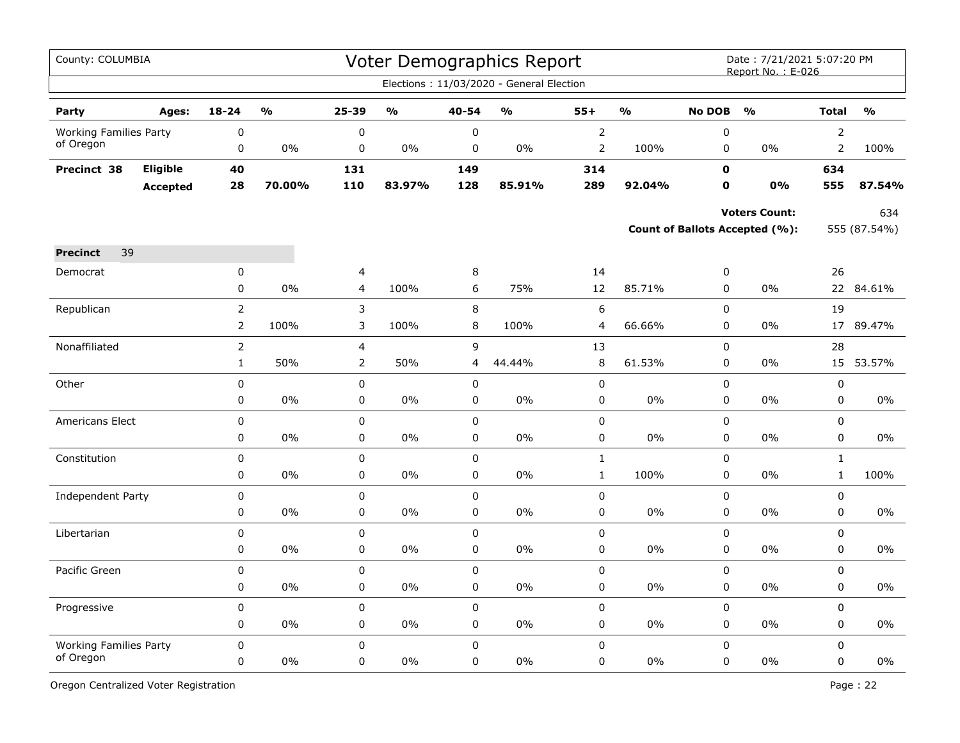| County: COLUMBIA              |                 |                |               |                |               |             | Voter Demographics Report                |                |               |               | Date: 7/21/2021 5:07:20 PM<br>Report No.: E-026 |                |               |
|-------------------------------|-----------------|----------------|---------------|----------------|---------------|-------------|------------------------------------------|----------------|---------------|---------------|-------------------------------------------------|----------------|---------------|
|                               |                 |                |               |                |               |             | Elections: 11/03/2020 - General Election |                |               |               |                                                 |                |               |
| Party                         | Ages:           | $18 - 24$      | $\frac{0}{0}$ | 25-39          | $\frac{1}{2}$ | 40-54       | $\frac{0}{0}$                            | $55+$          | $\frac{9}{0}$ | <b>No DOB</b> | $\frac{0}{0}$                                   | <b>Total</b>   | $\frac{0}{0}$ |
| <b>Working Families Party</b> |                 | 0              |               | 0              |               | 0           |                                          | $\overline{2}$ |               | 0             |                                                 | $\overline{2}$ |               |
| of Oregon                     |                 | 0              | $0\%$         | $\pmb{0}$      | 0%            | $\pmb{0}$   | 0%                                       | $\overline{2}$ | 100%          | $\pmb{0}$     | 0%                                              | $\mathsf{2}\,$ | 100%          |
| Precinct 38                   | Eligible        | 40             |               | 131            |               | 149         |                                          | 314            |               | $\mathbf 0$   |                                                 | 634            |               |
|                               | <b>Accepted</b> | 28             | 70.00%        | 110            | 83.97%        | 128         | 85.91%                                   | 289            | 92.04%        | $\mathbf{0}$  | 0%                                              | 555            | 87.54%        |
|                               |                 |                |               |                |               |             |                                          |                |               |               | <b>Voters Count:</b>                            |                | 634           |
|                               |                 |                |               |                |               |             |                                          |                |               |               | Count of Ballots Accepted (%):                  |                | 555 (87.54%)  |
| 39<br><b>Precinct</b>         |                 |                |               |                |               |             |                                          |                |               |               |                                                 |                |               |
| Democrat                      |                 | 0              |               | 4              |               | $\,8\,$     |                                          | 14             |               | $\pmb{0}$     |                                                 | 26             |               |
|                               |                 | 0              | 0%            | 4              | 100%          | 6           | 75%                                      | 12             | 85.71%        | $\pmb{0}$     | 0%                                              |                | 22 84.61%     |
| Republican                    |                 | $\overline{2}$ |               | 3              |               | 8           |                                          | 6              |               | $\mathbf 0$   |                                                 | 19             |               |
|                               |                 | $\overline{2}$ | 100%          | 3              | 100%          | 8           | 100%                                     | 4              | 66.66%        | 0             | 0%                                              | 17             | 89.47%        |
| Nonaffiliated                 |                 | $\overline{2}$ |               | 4              |               | 9           |                                          | 13             |               | $\mathbf 0$   |                                                 | 28             |               |
|                               |                 | $\mathbf{1}$   | 50%           | $\overline{2}$ | 50%           | 4           | 44.44%                                   | 8              | 61.53%        | $\mathbf 0$   | 0%                                              | 15             | 53.57%        |
| Other                         |                 | $\pmb{0}$      |               | $\pmb{0}$      |               | $\pmb{0}$   |                                          | $\mathbf 0$    |               | $\pmb{0}$     |                                                 | $\pmb{0}$      |               |
|                               |                 | 0              | 0%            | 0              | 0%            | 0           | 0%                                       | 0              | $0\%$         | 0             | $0\%$                                           | 0              | 0%            |
| <b>Americans Elect</b>        |                 | 0              |               | $\mathbf 0$    |               | 0           |                                          | 0              |               | $\mathbf 0$   |                                                 | 0              |               |
|                               |                 | 0              | 0%            | $\pmb{0}$      | 0%            | 0           | 0%                                       | $\pmb{0}$      | 0%            | $\mathbf 0$   | 0%                                              | 0              | 0%            |
| Constitution                  |                 | 0              |               | $\pmb{0}$      |               | 0           |                                          | $\mathbf{1}$   |               | $\pmb{0}$     |                                                 | $1\,$          |               |
|                               |                 | 0              | $0\%$         | 0              | 0%            | 0           | $0\%$                                    | $\mathbf{1}$   | 100%          | $\mathbf 0$   | $0\%$                                           | $\mathbf{1}$   | 100%          |
| Independent Party             |                 | 0              |               | $\mathsf 0$    |               | 0           |                                          | $\mathsf 0$    |               | $\mathsf 0$   |                                                 | $\mathbf 0$    |               |
|                               |                 | 0              | 0%            | $\mathsf 0$    | 0%            | $\pmb{0}$   | 0%                                       | $\pmb{0}$      | 0%            | $\pmb{0}$     | 0%                                              | $\mathbf 0$    | $0\%$         |
| Libertarian                   |                 | $\pmb{0}$      |               | $\pmb{0}$      |               | $\pmb{0}$   |                                          | $\pmb{0}$      |               | $\pmb{0}$     |                                                 | $\mathbf 0$    |               |
|                               |                 | 0              | 0%            | 0              | 0%            | $\pmb{0}$   | 0%                                       | $\mathbf 0$    | 0%            | $\pmb{0}$     | 0%                                              | 0              | $0\%$         |
| Pacific Green                 |                 | 0              |               | 0              |               | $\pmb{0}$   |                                          | $\mathbf 0$    |               | $\pmb{0}$     |                                                 | 0              |               |
|                               |                 | 0              | 0%            | 0              | 0%            | 0           | 0%                                       | 0              | 0%            | $\mathbf 0$   | 0%                                              | $\mathbf 0$    | $0\%$         |
| Progressive                   |                 | $\pmb{0}$      |               | 0              |               | $\pmb{0}$   |                                          | 0              |               | $\mathbf 0$   |                                                 | $\mathbf 0$    |               |
|                               |                 | 0              | 0%            | 0              | 0%            | $\pmb{0}$   | 0%                                       | $\mathbf 0$    | 0%            | $\pmb{0}$     | 0%                                              | 0              | 0%            |
| <b>Working Families Party</b> |                 | $\mathbf 0$    |               | $\mathbf 0$    |               | $\mathbf 0$ |                                          | 0              |               | $\mathbf 0$   |                                                 | $\mathbf 0$    |               |
| of Oregon                     |                 | 0              | 0%            | $\mathbf 0$    | 0%            | 0           | 0%                                       | $\mathbf 0$    | 0%            | 0             | $0\%$                                           | $\mathbf 0$    | 0%            |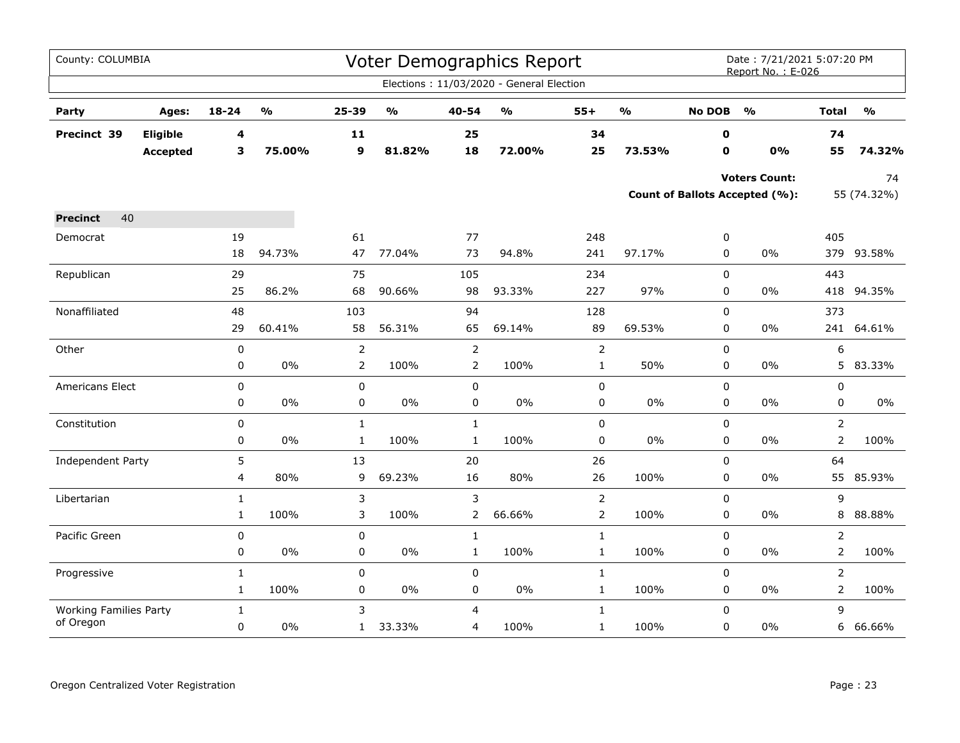| County: COLUMBIA              |                 |              |                         |                |                                   |                | <b>Voter Demographics Report</b>         |                |                         |               | Date: 7/21/2021 5:07:20 PM<br>Report No.: E-026 |                |                         |
|-------------------------------|-----------------|--------------|-------------------------|----------------|-----------------------------------|----------------|------------------------------------------|----------------|-------------------------|---------------|-------------------------------------------------|----------------|-------------------------|
|                               |                 |              |                         |                |                                   |                | Elections: 11/03/2020 - General Election |                |                         |               |                                                 |                |                         |
| Party                         | Ages:           | 18-24        | $\mathbf{0}/\mathbf{0}$ | 25-39          | $\mathsf{o}\mathsf{v}_\mathsf{o}$ | 40-54          | $\mathsf{o}\mathsf{v}_\mathsf{o}$        | $55+$          | $\mathbf{0}/\mathbf{0}$ | <b>No DOB</b> | $\frac{1}{2}$                                   | <b>Total</b>   | $\mathbf{O}/\mathbf{o}$ |
| Precinct 39                   | Eligible        | 4            |                         | $\mathbf{11}$  |                                   | 25             |                                          | 34             |                         | 0             |                                                 | 74             |                         |
|                               | <b>Accepted</b> | 3            | 75.00%                  | 9              | 81.82%                            | 18             | 72.00%                                   | 25             | 73.53%                  | O             | 0%                                              | 55             | 74.32%                  |
|                               |                 |              |                         |                |                                   |                |                                          |                |                         |               | <b>Voters Count:</b>                            |                | 74                      |
|                               |                 |              |                         |                |                                   |                |                                          |                |                         |               | Count of Ballots Accepted (%):                  |                | 55 (74.32%)             |
| 40<br><b>Precinct</b>         |                 |              |                         |                |                                   |                |                                          |                |                         |               |                                                 |                |                         |
| Democrat                      |                 | 19           |                         | 61             |                                   | 77             |                                          | 248            |                         | 0             |                                                 | 405            |                         |
|                               |                 | 18           | 94.73%                  | 47             | 77.04%                            | 73             | 94.8%                                    | 241            | 97.17%                  | 0             | 0%                                              |                | 379 93.58%              |
| Republican                    |                 | 29           |                         | 75             |                                   | 105            |                                          | 234            |                         | $\pmb{0}$     |                                                 | 443            |                         |
|                               |                 | 25           | 86.2%                   | 68             | 90.66%                            | 98             | 93.33%                                   | 227            | 97%                     | 0             | 0%                                              |                | 418 94.35%              |
| Nonaffiliated                 |                 | 48           |                         | 103            |                                   | 94             |                                          | 128            |                         | $\mathbf 0$   |                                                 | 373            |                         |
|                               |                 | 29           | 60.41%                  | 58             | 56.31%                            | 65             | 69.14%                                   | 89             | 69.53%                  | $\mathbf 0$   | $0\%$                                           | 241            | 64.61%                  |
| Other                         |                 | $\pmb{0}$    |                         | $\overline{2}$ |                                   | $\overline{2}$ |                                          | $\overline{2}$ |                         | $\mathbf 0$   |                                                 | 6              |                         |
|                               |                 | 0            | 0%                      | $\overline{2}$ | 100%                              | $\overline{2}$ | 100%                                     | $\mathbf{1}$   | 50%                     | 0             | 0%                                              | 5              | 83.33%                  |
| Americans Elect               |                 | $\mathbf 0$  |                         | $\pmb{0}$      |                                   | $\mathbf 0$    |                                          | 0              |                         | 0             |                                                 | 0              |                         |
|                               |                 | 0            | $0\%$                   | 0              | $0\%$                             | 0              | $0\%$                                    | 0              | $0\%$                   | 0             | 0%                                              | 0              | 0%                      |
| Constitution                  |                 | $\mathbf 0$  |                         | $\mathbf{1}$   |                                   | $\mathbf{1}$   |                                          | 0              |                         | $\mathbf 0$   |                                                 | $\overline{2}$ |                         |
|                               |                 | 0            | 0%                      | $\mathbf{1}$   | 100%                              | $\mathbf{1}$   | 100%                                     | 0              | 0%                      | 0             | 0%                                              | $\overline{2}$ | 100%                    |
| Independent Party             |                 | 5            |                         | 13             |                                   | 20             |                                          | 26             |                         | 0             |                                                 | 64             |                         |
|                               |                 | 4            | 80%                     | 9              | 69.23%                            | 16             | 80%                                      | 26             | 100%                    | 0             | 0%                                              |                | 55 85.93%               |
| Libertarian                   |                 | $\mathbf{1}$ |                         | 3              |                                   | 3              |                                          | $\overline{2}$ |                         | $\pmb{0}$     |                                                 | 9              |                         |
|                               |                 | $\mathbf{1}$ | 100%                    | 3              | 100%                              | $\overline{2}$ | 66.66%                                   | $\overline{2}$ | 100%                    | 0             | 0%                                              | 8              | 88.88%                  |
| Pacific Green                 |                 | 0            |                         | $\pmb{0}$      |                                   | $\mathbf{1}$   |                                          | $\mathbf{1}$   |                         | $\pmb{0}$     |                                                 | $\overline{2}$ |                         |
|                               |                 | 0            | 0%                      | 0              | $0\%$                             | $\mathbf{1}$   | 100%                                     | $\mathbf{1}$   | 100%                    | 0             | 0%                                              | $\overline{2}$ | 100%                    |
| Progressive                   |                 | $\mathbf{1}$ |                         | $\pmb{0}$      |                                   | 0              |                                          | $\mathbf 1$    |                         | $\pmb{0}$     |                                                 | $\overline{2}$ |                         |
|                               |                 | $\mathbf{1}$ | 100%                    | $\pmb{0}$      | $0\%$                             | 0              | $0\%$                                    | $\mathbf{1}$   | 100%                    | 0             | 0%                                              | $\overline{2}$ | 100%                    |
| <b>Working Families Party</b> |                 | $\mathbf{1}$ |                         | 3              |                                   | 4              |                                          | $\mathbf{1}$   |                         | 0             |                                                 | 9              |                         |
| of Oregon                     |                 | 0            | $0\%$                   | $\mathbf{1}$   | 33.33%                            | 4              | 100%                                     | $\mathbf{1}$   | 100%                    | $\mathbf 0$   | 0%                                              | 6              | 66.66%                  |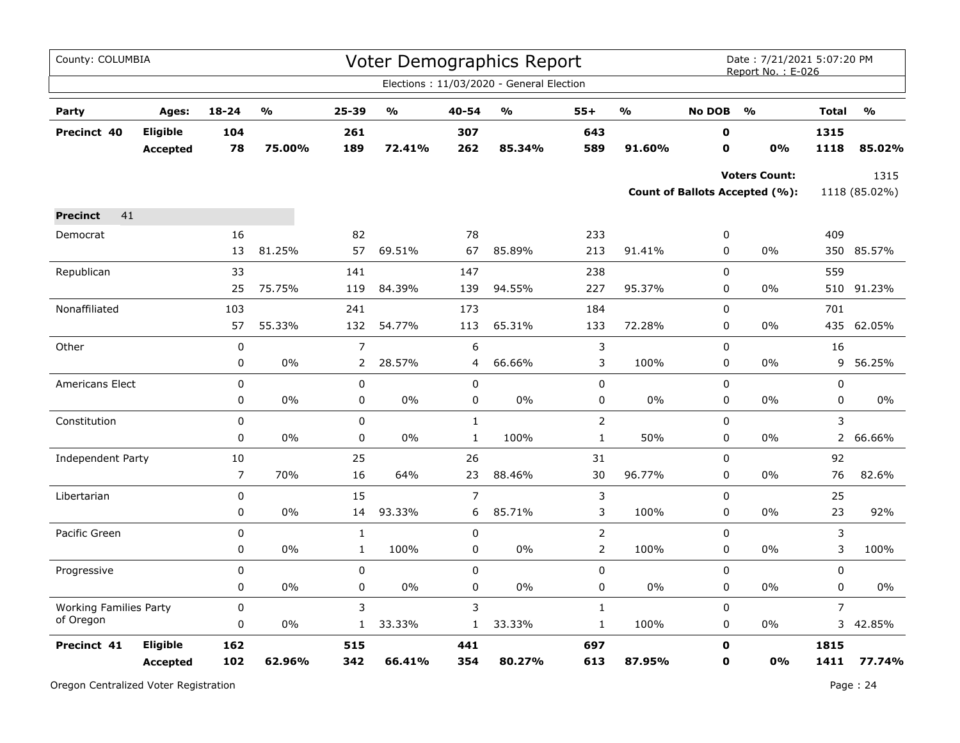| County: COLUMBIA              |                                    |                  |                                   |                |        |                | Voter Demographics Report                |                |                                   |                  | Date: 7/21/2021 5:07:20 PM<br>Report No.: E-026        |                |                       |
|-------------------------------|------------------------------------|------------------|-----------------------------------|----------------|--------|----------------|------------------------------------------|----------------|-----------------------------------|------------------|--------------------------------------------------------|----------------|-----------------------|
|                               |                                    |                  |                                   |                |        |                | Elections: 11/03/2020 - General Election |                |                                   |                  |                                                        |                |                       |
| Party                         | Ages:                              | $18 - 24$        | $\mathsf{o}\mathsf{v}_\mathsf{o}$ | 25-39          | %      | 40-54          | $\mathsf{o}\mathsf{v}_\mathsf{o}$        | $55+$          | $\mathsf{o}\mathsf{v}_\mathsf{o}$ | <b>No DOB</b>    | $\frac{0}{0}$                                          | <b>Total</b>   | $\frac{1}{2}$         |
| Precinct 40                   | <b>Eligible</b><br><b>Accepted</b> | 104<br>78        | 75.00%                            | 261<br>189     | 72.41% | 307<br>262     | 85.34%                                   | 643<br>589     | 91.60%                            | 0<br>$\mathbf 0$ | 0%                                                     | 1315<br>1118   | 85.02%                |
|                               |                                    |                  |                                   |                |        |                |                                          |                |                                   |                  | <b>Voters Count:</b><br>Count of Ballots Accepted (%): |                | 1315<br>1118 (85.02%) |
| 41<br><b>Precinct</b>         |                                    |                  |                                   |                |        |                |                                          |                |                                   |                  |                                                        |                |                       |
| Democrat                      |                                    | 16               |                                   | 82             |        | 78             |                                          | 233            |                                   | 0                |                                                        | 409            |                       |
|                               |                                    | 13               | 81.25%                            | 57             | 69.51% | 67             | 85.89%                                   | 213            | 91.41%                            | 0                | 0%                                                     | 350            | 85.57%                |
| Republican                    |                                    | 33               |                                   | 141            |        | 147            |                                          | 238            |                                   | $\mathbf 0$      |                                                        | 559            |                       |
|                               |                                    | 25               | 75.75%                            | 119            | 84.39% | 139            | 94.55%                                   | 227            | 95.37%                            | 0                | 0%                                                     | 510            | 91.23%                |
| Nonaffiliated                 |                                    | 103              |                                   | 241            |        | 173            |                                          | 184            |                                   | 0                |                                                        | 701            |                       |
|                               |                                    | 57               | 55.33%                            | 132            | 54.77% | 113            | 65.31%                                   | 133            | 72.28%                            | $\mathbf 0$      | $0\%$                                                  |                | 435 62.05%            |
| Other                         |                                    | 0                |                                   | $\overline{7}$ |        | 6              |                                          | 3              |                                   | $\mathbf 0$      |                                                        | 16             |                       |
|                               |                                    | 0                | 0%                                | 2              | 28.57% | 4              | 66.66%                                   | 3              | 100%                              | 0                | $0\%$                                                  | 9              | 56.25%                |
| Americans Elect               |                                    | $\mathbf 0$      |                                   | $\mathbf 0$    |        | $\mathbf 0$    |                                          | 0              |                                   | $\mathbf 0$      |                                                        | $\pmb{0}$      |                       |
|                               |                                    | 0                | 0%                                | 0              | $0\%$  | 0              | 0%                                       | 0              | 0%                                | 0                | $0\%$                                                  | 0              | $0\%$                 |
| Constitution                  |                                    | $\pmb{0}$        |                                   | $\pmb{0}$      |        | $\mathbf 1$    |                                          | $\overline{2}$ |                                   | 0                |                                                        | 3              |                       |
|                               |                                    | $\pmb{0}$        | 0%                                | $\pmb{0}$      | 0%     | $\mathbf{1}$   | 100%                                     | $\mathbf{1}$   | 50%                               | 0                | $0\%$                                                  |                | 2 66.66%              |
| Independent Party             |                                    | 10               |                                   | 25             |        | 26             |                                          | 31             |                                   | 0                |                                                        | 92             |                       |
|                               |                                    | $\overline{7}$   | 70%                               | 16             | 64%    | 23             | 88.46%                                   | 30             | 96.77%                            | 0                | 0%                                                     | 76             | 82.6%                 |
| Libertarian                   |                                    | $\boldsymbol{0}$ |                                   | 15             |        | $\overline{7}$ |                                          | 3              |                                   | 0                |                                                        | 25             |                       |
|                               |                                    | $\pmb{0}$        | 0%                                | 14             | 93.33% | 6              | 85.71%                                   | 3              | 100%                              | 0                | $0\%$                                                  | 23             | 92%                   |
| Pacific Green                 |                                    | $\pmb{0}$        |                                   | $\mathbf 1$    |        | 0              |                                          | $\overline{2}$ |                                   | 0                |                                                        | 3              |                       |
|                               |                                    | 0                | 0%                                | $\mathbf{1}$   | 100%   | $\mathbf 0$    | 0%                                       | $\overline{2}$ | 100%                              | $\mathbf 0$      | 0%                                                     | 3              | 100%                  |
| Progressive                   |                                    | 0                |                                   | $\pmb{0}$      |        | 0              |                                          | 0              |                                   | 0                |                                                        | $\pmb{0}$      |                       |
|                               |                                    | 0                | 0%                                | $\pmb{0}$      | 0%     | 0              | 0%                                       | 0              | 0%                                | 0                | 0%                                                     | $\pmb{0}$      | 0%                    |
| <b>Working Families Party</b> |                                    | $\pmb{0}$        |                                   | 3              |        | 3              |                                          | $\mathbf{1}$   |                                   | 0                |                                                        | $\overline{7}$ |                       |
| of Oregon                     |                                    | 0                | $0\%$                             | $\mathbf{1}$   | 33.33% | $\mathbf{1}$   | 33.33%                                   | $\mathbf{1}$   | 100%                              | 0                | $0\%$                                                  |                | 3 42.85%              |
| Precinct 41                   | Eligible                           | 162              |                                   | 515            |        | 441            |                                          | 697            |                                   | $\mathbf 0$      |                                                        | 1815           |                       |
|                               | <b>Accepted</b>                    | 102              | 62.96%                            | 342            | 66.41% | 354            | 80.27%                                   | 613            | 87.95%                            | O                | 0%                                                     | 1411           | 77.74%                |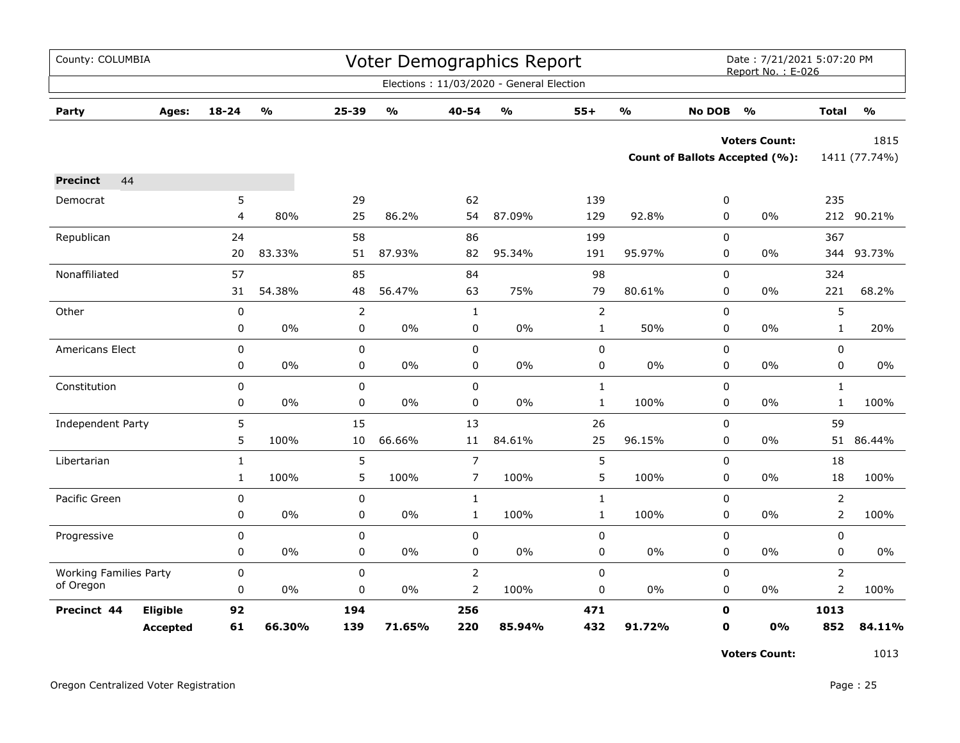| County: COLUMBIA              |                 |              |                         |                |        |                | Voter Demographics Report                |                |                         |               | Date: 7/21/2021 5:07:20 PM<br>Report No.: E-026 |                |                         |
|-------------------------------|-----------------|--------------|-------------------------|----------------|--------|----------------|------------------------------------------|----------------|-------------------------|---------------|-------------------------------------------------|----------------|-------------------------|
|                               |                 |              |                         |                |        |                | Elections: 11/03/2020 - General Election |                |                         |               |                                                 |                |                         |
| Party                         | Ages:           | 18-24        | $\mathbf{O}/\mathbf{o}$ | 25-39          | %      | 40-54          | $\mathbf{o}_{\mathbf{0}}$                | $55+$          | $\mathbf{O}/\mathbf{O}$ | <b>No DOB</b> | $\frac{0}{0}$                                   | <b>Total</b>   | $\mathbf{O}/\mathbf{o}$ |
|                               |                 |              |                         |                |        |                |                                          |                |                         |               | <b>Voters Count:</b>                            |                | 1815                    |
|                               |                 |              |                         |                |        |                |                                          |                |                         |               | Count of Ballots Accepted (%):                  |                | 1411 (77.74%)           |
| 44<br><b>Precinct</b>         |                 |              |                         |                |        |                |                                          |                |                         |               |                                                 |                |                         |
| Democrat                      |                 | 5            |                         | 29             |        | 62             |                                          | 139            |                         | 0             |                                                 | 235            |                         |
|                               |                 | 4            | 80%                     | 25             | 86.2%  | 54             | 87.09%                                   | 129            | 92.8%                   | 0             | 0%                                              |                | 212 90.21%              |
| Republican                    |                 | 24           |                         | 58             |        | 86             |                                          | 199            |                         | 0             |                                                 | 367            |                         |
|                               |                 | 20           | 83.33%                  | 51             | 87.93% | 82             | 95.34%                                   | 191            | 95.97%                  | 0             | $0\%$                                           | 344            | 93.73%                  |
| Nonaffiliated                 |                 | 57           |                         | 85             |        | 84             |                                          | 98             |                         | 0             |                                                 | 324            |                         |
|                               |                 | 31           | 54.38%                  | 48             | 56.47% | 63             | 75%                                      | 79             | 80.61%                  | 0             | $0\%$                                           | 221            | 68.2%                   |
| Other                         |                 | $\pmb{0}$    |                         | $\overline{2}$ |        | $\mathbf{1}$   |                                          | $\overline{2}$ |                         | $\mathbf 0$   |                                                 | 5              |                         |
|                               |                 | 0            | $0\%$                   | 0              | $0\%$  | $\mathbf 0$    | 0%                                       | $\mathbf{1}$   | 50%                     | $\mathbf 0$   | 0%                                              | $\mathbf{1}$   | 20%                     |
| Americans Elect               |                 | 0            |                         | 0              |        | $\mathbf 0$    |                                          | $\mathbf 0$    |                         | $\mathbf 0$   |                                                 | $\mathbf 0$    |                         |
|                               |                 | 0            | 0%                      | 0              | $0\%$  | 0              | $0\%$                                    | 0              | $0\%$                   | 0             | $0\%$                                           | $\pmb{0}$      | $0\%$                   |
| Constitution                  |                 | 0            |                         | 0              |        | $\mathbf 0$    |                                          | $\mathbf{1}$   |                         | $\mathbf 0$   |                                                 | $\mathbf{1}$   |                         |
|                               |                 | 0            | 0%                      | 0              | 0%     | 0              | 0%                                       | $\mathbf{1}$   | 100%                    | 0             | $0\%$                                           | $\mathbf{1}$   | 100%                    |
| Independent Party             |                 | 5            |                         | 15             |        | 13             |                                          | 26             |                         | $\Omega$      |                                                 | 59             |                         |
|                               |                 | 5            | 100%                    | 10             | 66.66% | 11             | 84.61%                                   | 25             | 96.15%                  | 0             | $0\%$                                           | 51             | 86.44%                  |
| Libertarian                   |                 | $\mathbf{1}$ |                         | 5              |        | $\overline{7}$ |                                          | 5              |                         | $\mathbf 0$   |                                                 | 18             |                         |
|                               |                 | $\mathbf{1}$ | 100%                    | 5              | 100%   | $\overline{7}$ | 100%                                     | 5              | 100%                    | 0             | 0%                                              | 18             | 100%                    |
| Pacific Green                 |                 | 0            |                         | $\pmb{0}$      |        | $\mathbf{1}$   |                                          | $\mathbf{1}$   |                         | $\Omega$      |                                                 | $\overline{2}$ |                         |
|                               |                 | 0            | 0%                      | 0              | $0\%$  | $\mathbf{1}$   | 100%                                     | $\mathbf{1}$   | 100%                    | 0             | 0%                                              | $\overline{2}$ | 100%                    |
| Progressive                   |                 | 0            |                         | $\mathbf 0$    |        | $\Omega$       |                                          | 0              |                         | $\Omega$      |                                                 | $\Omega$       |                         |
|                               |                 | 0            | 0%                      | 0              | 0%     | 0              | 0%                                       | 0              | $0\%$                   | 0             | $0\%$                                           | 0              | 0%                      |
| <b>Working Families Party</b> |                 | 0            |                         | 0              |        | $\overline{2}$ |                                          | 0              |                         | $\mathsf 0$   |                                                 | $\overline{2}$ |                         |
| of Oregon                     |                 | 0            | 0%                      | $\mathbf 0$    | 0%     | $\overline{2}$ | 100%                                     | $\mathbf 0$    | 0%                      | 0             | $0\%$                                           | $\overline{2}$ | 100%                    |
| Precinct 44                   | Eligible        | 92           |                         | 194            |        | 256            |                                          | 471            |                         | $\mathbf 0$   |                                                 | 1013           |                         |
|                               | <b>Accepted</b> | 61           | 66.30%                  | 139            | 71.65% | 220            | 85.94%                                   | 432            | 91.72%                  | O             | 0%                                              | 852            | 84.11%                  |

**Voters Count:** 1013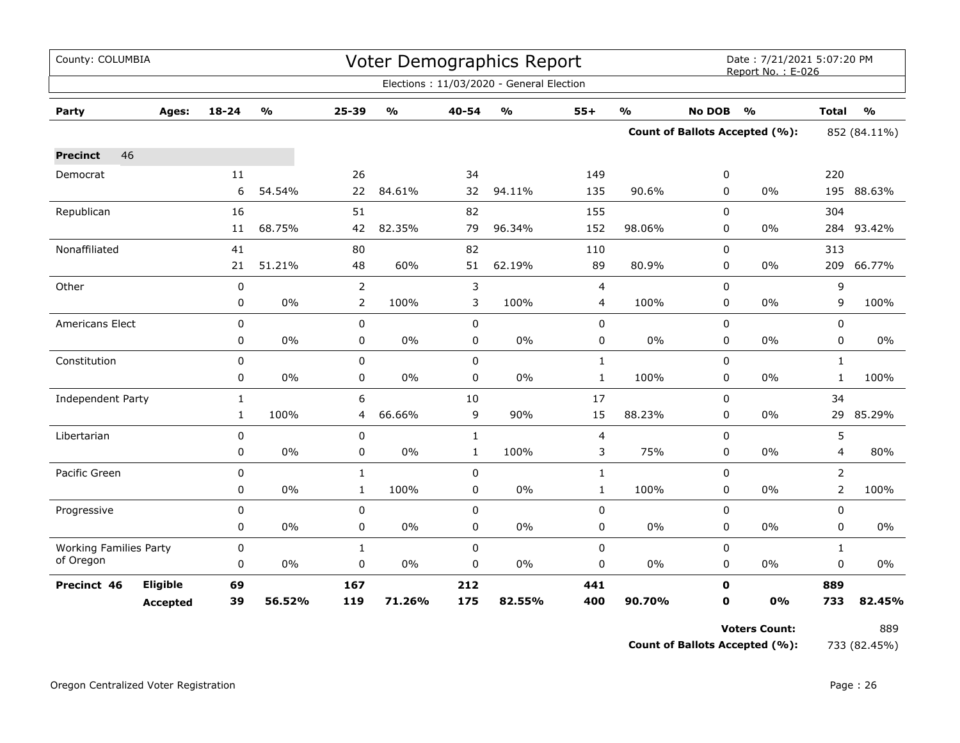| County: COLUMBIA              |                 |              |               |                |               |              | <b>Voter Demographics Report</b>         |              |               |               | Date: 7/21/2021 5:07:20 PM<br>Report No.: E-026 |                |               |
|-------------------------------|-----------------|--------------|---------------|----------------|---------------|--------------|------------------------------------------|--------------|---------------|---------------|-------------------------------------------------|----------------|---------------|
|                               |                 |              |               |                |               |              | Elections: 11/03/2020 - General Election |              |               |               |                                                 |                |               |
| Party                         | Ages:           | $18 - 24$    | $\frac{1}{2}$ | $25 - 39$      | $\frac{1}{2}$ | 40-54        | $\frac{0}{0}$                            | $55+$        | $\frac{1}{2}$ | <b>No DOB</b> | $\frac{1}{2}$                                   | <b>Total</b>   | $\frac{1}{2}$ |
|                               |                 |              |               |                |               |              |                                          |              |               |               | <b>Count of Ballots Accepted (%):</b>           | 852 (84.11%)   |               |
| 46<br><b>Precinct</b>         |                 |              |               |                |               |              |                                          |              |               |               |                                                 |                |               |
| Democrat                      |                 | $11\,$       |               | 26             |               | 34           |                                          | 149          |               | 0             |                                                 | 220            |               |
|                               |                 | 6            | 54.54%        | 22             | 84.61%        | 32           | 94.11%                                   | 135          | 90.6%         | 0             | 0%                                              |                | 195 88.63%    |
| Republican                    |                 | 16           |               | 51             |               | 82           |                                          | 155          |               | $\mathbf 0$   |                                                 | 304            |               |
|                               |                 | 11           | 68.75%        | 42             | 82.35%        | 79           | 96.34%                                   | 152          | 98.06%        | 0             | 0%                                              | 284            | 93.42%        |
| Nonaffiliated                 |                 | 41           |               | 80             |               | 82           |                                          | 110          |               | 0             |                                                 | 313            |               |
|                               |                 | 21           | 51.21%        | 48             | 60%           | 51           | 62.19%                                   | 89           | 80.9%         | 0             | 0%                                              | 209            | 66.77%        |
| Other                         |                 | $\pmb{0}$    |               | $\overline{2}$ |               | 3            |                                          | 4            |               | 0             |                                                 | 9              |               |
|                               |                 | $\pmb{0}$    | $0\%$         | $\overline{2}$ | 100%          | 3            | 100%                                     | 4            | 100%          | 0             | 0%                                              | 9              | 100%          |
| Americans Elect               |                 | $\mathbf 0$  |               | $\mathbf 0$    |               | $\mathbf 0$  |                                          | $\pmb{0}$    |               | 0             |                                                 | $\mathbf 0$    |               |
|                               |                 | 0            | $0\%$         | $\pmb{0}$      | $0\%$         | 0            | 0%                                       | 0            | 0%            | 0             | 0%                                              | 0              | 0%            |
| Constitution                  |                 | $\mathbf 0$  |               | $\mathbf 0$    |               | $\mathbf 0$  |                                          | $\mathbf{1}$ |               | 0             |                                                 | $\mathbf{1}$   |               |
|                               |                 | 0            | $0\%$         | 0              | 0%            | 0            | 0%                                       | $\mathbf{1}$ | 100%          | 0             | 0%                                              | $\mathbf{1}$   | 100%          |
| Independent Party             |                 | $\mathbf{1}$ |               | 6              |               | 10           |                                          | 17           |               | 0             |                                                 | 34             |               |
|                               |                 | $\mathbf{1}$ | 100%          | 4              | 66.66%        | 9            | 90%                                      | 15           | 88.23%        | 0             | 0%                                              | 29             | 85.29%        |
| Libertarian                   |                 | $\mathbf 0$  |               | 0              |               | $\mathbf{1}$ |                                          | 4            |               | $\mathbf 0$   |                                                 | 5              |               |
|                               |                 | 0            | $0\%$         | $\pmb{0}$      | 0%            | $\mathbf 1$  | 100%                                     | 3            | 75%           | 0             | 0%                                              | 4              | 80%           |
| Pacific Green                 |                 | $\pmb{0}$    |               | $\mathbf{1}$   |               | 0            |                                          | $\mathbf{1}$ |               | $\mathbf 0$   |                                                 | $\overline{2}$ |               |
|                               |                 | 0            | $0\%$         | $\mathbf{1}$   | 100%          | $\mathbf 0$  | $0\%$                                    | $\mathbf{1}$ | 100%          | 0             | 0%                                              | $\overline{2}$ | 100%          |
| Progressive                   |                 | $\pmb{0}$    |               | $\mathbf 0$    |               | 0            |                                          | $\pmb{0}$    |               | $\mathbf 0$   |                                                 | $\mathbf 0$    |               |
|                               |                 | 0            | $0\%$         | $\pmb{0}$      | 0%            | 0            | $0\%$                                    | $\pmb{0}$    | 0%            | $\mathbf 0$   | $0\%$                                           | $\mathbf 0$    | 0%            |
| <b>Working Families Party</b> |                 | 0            |               | $\mathbf{1}$   |               | $\mathbf 0$  |                                          | 0            |               | 0             |                                                 | $\mathbf{1}$   |               |
| of Oregon                     |                 | 0            | $0\%$         | 0              | $0\%$         | 0            | 0%                                       | 0            | 0%            | 0             | $0\%$                                           | 0              | 0%            |
| Precinct 46                   | Eligible        | 69           |               | 167            |               | 212          |                                          | 441          |               | $\mathbf 0$   |                                                 | 889            |               |
|                               | <b>Accepted</b> | 39           | 56.52%        | 119            | 71.26%        | 175          | 82.55%                                   | 400          | 90.70%        | $\mathbf 0$   | 0%                                              | 733            | 82.45%        |

**Voters Count:** 889 **Count of Ballots Accepted (%):** 733 (82.45%)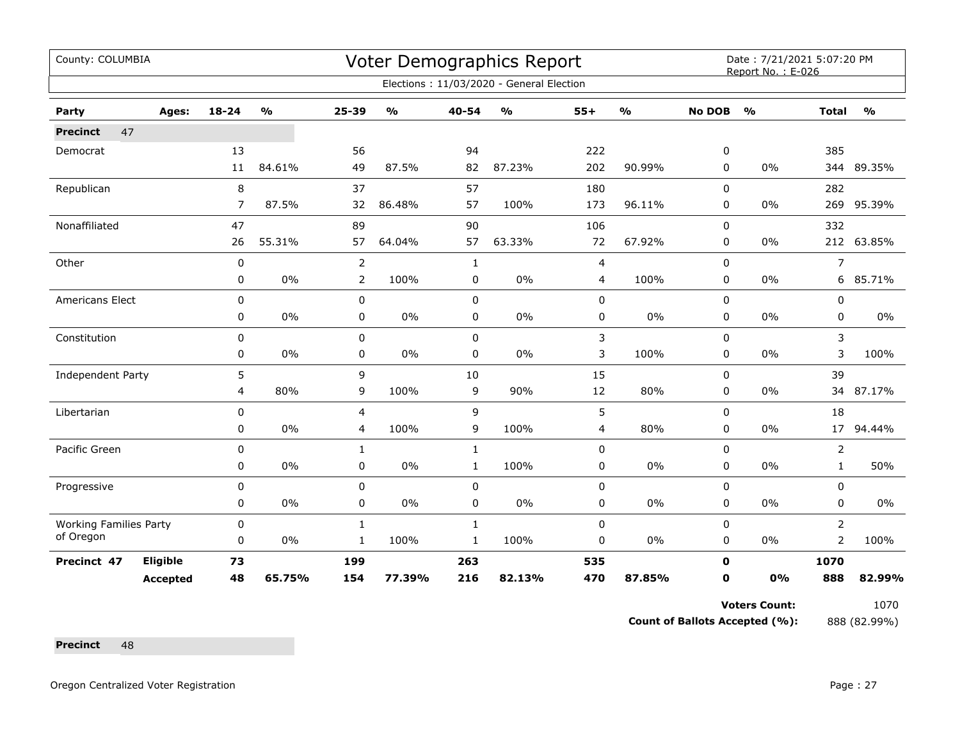| County: COLUMBIA              |                 |             |                         |                |               |              | Voter Demographics Report                |       |               |               | Date: 7/21/2021 5:07:20 PM<br>Report No.: E-026 |                |               |
|-------------------------------|-----------------|-------------|-------------------------|----------------|---------------|--------------|------------------------------------------|-------|---------------|---------------|-------------------------------------------------|----------------|---------------|
|                               |                 |             |                         |                |               |              | Elections: 11/03/2020 - General Election |       |               |               |                                                 |                |               |
| Party                         | Ages:           | 18-24       | $\mathbf{O}/\mathbf{o}$ | 25-39          | $\frac{1}{2}$ | 40-54        | $\mathsf{o}\mathsf{v}_\mathsf{o}$        | $55+$ | $\frac{1}{2}$ | <b>No DOB</b> | $\frac{0}{0}$                                   | <b>Total</b>   | $\frac{1}{2}$ |
| 47<br><b>Precinct</b>         |                 |             |                         |                |               |              |                                          |       |               |               |                                                 |                |               |
| Democrat                      |                 | 13          |                         | 56             |               | 94           |                                          | 222   |               | 0             |                                                 | 385            |               |
|                               |                 | 11          | 84.61%                  | 49             | 87.5%         | 82           | 87.23%                                   | 202   | 90.99%        | 0             | 0%                                              |                | 344 89.35%    |
| Republican                    |                 | 8           |                         | 37             |               | 57           |                                          | 180   |               | $\Omega$      |                                                 | 282            |               |
|                               |                 | 7           | 87.5%                   | 32             | 86.48%        | 57           | 100%                                     | 173   | 96.11%        | $\mathbf 0$   | 0%                                              | 269            | 95.39%        |
| Nonaffiliated                 |                 | 47          |                         | 89             |               | 90           |                                          | 106   |               | $\mathbf 0$   |                                                 | 332            |               |
|                               |                 | 26          | 55.31%                  | 57             | 64.04%        | 57           | 63.33%                                   | 72    | 67.92%        | 0             | 0%                                              |                | 212 63.85%    |
| Other                         |                 | 0           |                         | $\overline{2}$ |               | $\mathbf{1}$ |                                          | 4     |               | $\mathbf 0$   |                                                 | 7              |               |
|                               |                 | 0           | 0%                      | 2              | 100%          | 0            | 0%                                       | 4     | 100%          | 0             | 0%                                              | 6              | 85.71%        |
| Americans Elect               |                 | $\mathbf 0$ |                         | $\pmb{0}$      |               | $\mathbf 0$  |                                          | 0     |               | 0             |                                                 | 0              |               |
|                               |                 | 0           | 0%                      | $\mathbf 0$    | 0%            | 0            | 0%                                       | 0     | 0%            | 0             | 0%                                              | 0              | $0\%$         |
| Constitution                  |                 | $\mathbf 0$ |                         | 0              |               | $\mathbf 0$  |                                          | 3     |               | $\mathbf 0$   |                                                 | 3              |               |
|                               |                 | 0           | 0%                      | 0              | $0\%$         | $\mathbf 0$  | $0\%$                                    | 3     | 100%          | 0             | 0%                                              | 3              | 100%          |
| Independent Party             |                 | 5           |                         | 9              |               | 10           |                                          | 15    |               | 0             |                                                 | 39             |               |
|                               |                 | 4           | 80%                     | 9              | 100%          | 9            | 90%                                      | 12    | 80%           | 0             | 0%                                              | 34             | 87.17%        |
| Libertarian                   |                 | 0           |                         | 4              |               | 9            |                                          | 5     |               | $\mathbf 0$   |                                                 | 18             |               |
|                               |                 | 0           | 0%                      | 4              | 100%          | 9            | 100%                                     | 4     | 80%           | 0             | 0%                                              | 17             | 94.44%        |
| Pacific Green                 |                 | 0           |                         | 1              |               | $\mathbf{1}$ |                                          | 0     |               | 0             |                                                 | 2              |               |
|                               |                 | 0           | 0%                      | $\mathbf 0$    | $0\%$         | $\mathbf{1}$ | 100%                                     | 0     | $0\%$         | 0             | 0%                                              | $\mathbf{1}$   | 50%           |
| Progressive                   |                 | 0           |                         | 0              |               | $\mathbf 0$  |                                          | 0     |               | $\mathbf 0$   |                                                 | 0              |               |
|                               |                 | 0           | $0\%$                   | 0              | $0\%$         | 0            | $0\%$                                    | 0     | 0%            | 0             | 0%                                              | 0              | 0%            |
| <b>Working Families Party</b> |                 | 0           |                         | $\mathbf{1}$   |               | $\mathbf{1}$ |                                          | 0     |               | $\mathbf 0$   |                                                 | $\overline{2}$ |               |
| of Oregon                     |                 | 0           | 0%                      | 1              | 100%          | $\mathbf{1}$ | 100%                                     | 0     | $0\%$         | 0             | 0%                                              | 2              | 100%          |
| Precinct 47                   | Eligible        | 73          |                         | 199            |               | 263          |                                          | 535   |               | $\mathbf 0$   |                                                 | 1070           |               |
|                               | <b>Accepted</b> | 48          | 65.75%                  | 154            | 77.39%        | 216          | 82.13%                                   | 470   | 87.85%        | 0             | 0%                                              | 888            | 82.99%        |

Voters Count: 1070

**Count of Ballots Accepted (%):** 888 (82.99%)

Precinct 48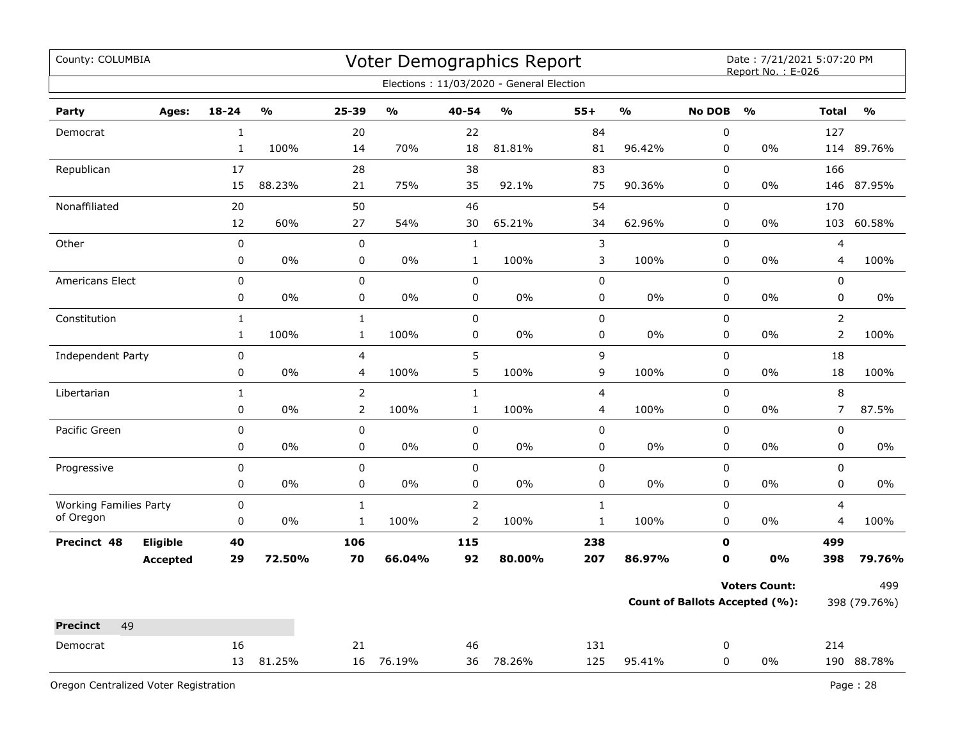| County: COLUMBIA                           |              |                                   |                |                                   |                | Voter Demographics Report                |                         |                         |               | Date: 7/21/2021 5:07:20 PM<br>Report No.: E-026 |                |               |
|--------------------------------------------|--------------|-----------------------------------|----------------|-----------------------------------|----------------|------------------------------------------|-------------------------|-------------------------|---------------|-------------------------------------------------|----------------|---------------|
|                                            |              |                                   |                |                                   |                | Elections: 11/03/2020 - General Election |                         |                         |               |                                                 |                |               |
| Party<br>Ages:                             | $18 - 24$    | $\mathsf{o}\mathsf{v}_\mathsf{o}$ | 25-39          | $\mathsf{o}\mathsf{v}_\mathsf{o}$ | 40-54          | $\mathsf{o}\mathsf{v}_\mathsf{o}$        | $55+$                   | $\mathbf{O}/\mathbf{O}$ | <b>No DOB</b> | $\frac{1}{2}$                                   | <b>Total</b>   | $\frac{0}{0}$ |
| Democrat                                   | $\mathbf 1$  |                                   | 20             |                                   | 22             |                                          | 84                      |                         | $\pmb{0}$     |                                                 | 127            |               |
|                                            | $\mathbf{1}$ | 100%                              | 14             | 70%                               | 18             | 81.81%                                   | 81                      | 96.42%                  | 0             | 0%                                              | 114            | 89.76%        |
| Republican                                 | 17           |                                   | 28             |                                   | 38             |                                          | 83                      |                         | $\pmb{0}$     |                                                 | 166            |               |
|                                            | 15           | 88.23%                            | 21             | 75%                               | 35             | 92.1%                                    | 75                      | 90.36%                  | 0             | 0%                                              | 146            | 87.95%        |
| Nonaffiliated                              | 20           |                                   | 50             |                                   | 46             |                                          | 54                      |                         | $\pmb{0}$     |                                                 | 170            |               |
|                                            | 12           | 60%                               | 27             | 54%                               | 30             | 65.21%                                   | 34                      | 62.96%                  | 0             | 0%                                              | 103            | 60.58%        |
| Other                                      | $\pmb{0}$    |                                   | $\mathbf 0$    |                                   | $\mathbf{1}$   |                                          | 3                       |                         | $\mathbf 0$   |                                                 | $\overline{4}$ |               |
|                                            | 0            | $0\%$                             | 0              | $0\%$                             | $\mathbf{1}$   | 100%                                     | 3                       | 100%                    | 0             | 0%                                              | 4              | 100%          |
| Americans Elect                            | 0            |                                   | $\mathbf 0$    |                                   | $\pmb{0}$      |                                          | $\mathbf 0$             |                         | $\pmb{0}$     |                                                 | $\pmb{0}$      |               |
|                                            | 0            | 0%                                | $\pmb{0}$      | 0%                                | $\pmb{0}$      | 0%                                       | 0                       | $0\%$                   | 0             | 0%                                              | 0              | 0%            |
| Constitution                               | $\mathbf 1$  |                                   | $\mathbf 1$    |                                   | $\pmb{0}$      |                                          | $\mathbf 0$             |                         | $\pmb{0}$     |                                                 | $\overline{2}$ |               |
|                                            | $\mathbf{1}$ | 100%                              | $\mathbf{1}$   | 100%                              | $\pmb{0}$      | 0%                                       | 0                       | 0%                      | 0             | 0%                                              | $\overline{2}$ | 100%          |
| Independent Party                          | 0            |                                   | 4              |                                   | 5              |                                          | 9                       |                         | $\mathbf 0$   |                                                 | 18             |               |
|                                            | 0            | $0\%$                             | 4              | 100%                              | 5              | 100%                                     | $\mathsf 9$             | 100%                    | $\pmb{0}$     | $0\%$                                           | 18             | 100%          |
| Libertarian                                | $\mathbf{1}$ |                                   | $\overline{2}$ |                                   | $1\,$          |                                          | $\overline{\mathbf{4}}$ |                         | $\pmb{0}$     |                                                 | $\,8\,$        |               |
|                                            | 0            | 0%                                | $\overline{2}$ | 100%                              | $\mathbf{1}$   | 100%                                     | 4                       | 100%                    | 0             | 0%                                              | $\overline{7}$ | 87.5%         |
| Pacific Green                              | 0            |                                   | 0              |                                   | $\mathsf 0$    |                                          | 0                       |                         | $\pmb{0}$     |                                                 | $\pmb{0}$      |               |
|                                            | $\pmb{0}$    | 0%                                | 0              | 0%                                | 0              | 0%                                       | 0                       | 0%                      | 0             | 0%                                              | 0              | 0%            |
| Progressive                                | 0            |                                   | $\mathbf 0$    |                                   | $\mathsf 0$    |                                          | $\mathbf 0$             |                         | $\mathbf 0$   |                                                 | $\mathsf 0$    |               |
|                                            | 0            | 0%                                | 0              | 0%                                | $\pmb{0}$      | 0%                                       | 0                       | 0%                      | 0             | 0%                                              | 0              | 0%            |
| <b>Working Families Party</b><br>of Oregon | 0            |                                   | $\mathbf{1}$   |                                   | $\mathbf 2$    |                                          | $\mathbf 1$             |                         | $\pmb{0}$     |                                                 | $\overline{4}$ |               |
|                                            | $\mathbf 0$  | 0%                                | $\mathbf{1}$   | 100%                              | $\overline{2}$ | 100%                                     | $\mathbf 1$             | 100%                    | $\mathbf 0$   | $0\%$                                           | 4              | 100%          |
| Eligible<br>Precinct 48                    | 40           |                                   | 106            |                                   | 115            |                                          | 238                     |                         | $\mathbf 0$   |                                                 | 499            |               |
| <b>Accepted</b>                            | 29           | 72.50%                            | 70             | 66.04%                            | 92             | 80.00%                                   | 207                     | 86.97%                  | $\mathbf 0$   | 0%                                              | 398            | 79.76%        |
|                                            |              |                                   |                |                                   |                |                                          |                         |                         |               | <b>Voters Count:</b>                            |                | 499           |
|                                            |              |                                   |                |                                   |                |                                          |                         |                         |               | Count of Ballots Accepted (%):                  |                | 398 (79.76%)  |
| 49<br><b>Precinct</b>                      |              |                                   |                |                                   |                |                                          |                         |                         |               |                                                 |                |               |
| Democrat                                   | 16           |                                   | 21             |                                   | 46             |                                          | 131                     |                         | 0             |                                                 | 214            |               |
|                                            | 13           | 81.25%                            | 16             | 76.19%                            | 36             | 78.26%                                   | 125                     | 95.41%                  | $\mathbf 0$   | 0%                                              |                | 190 88.78%    |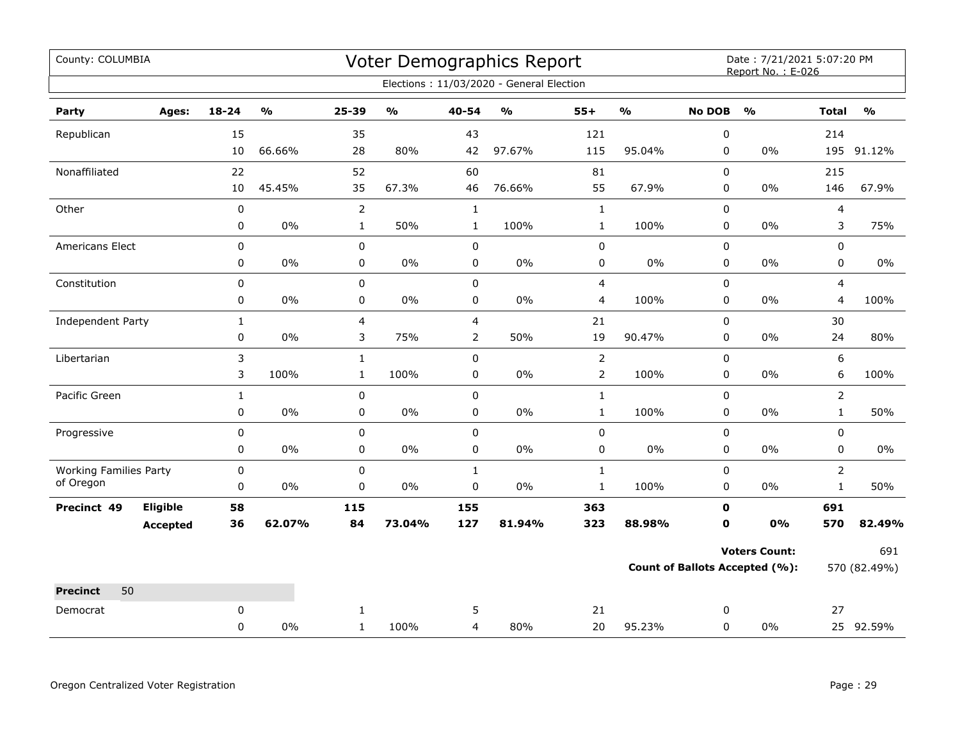| County: COLUMBIA                           |                 |              |                                   |                |                         |                | Voter Demographics Report                |                |               |                                       | Date: 7/21/2021 5:07:20 PM<br>Report No.: E-026 |                |               |
|--------------------------------------------|-----------------|--------------|-----------------------------------|----------------|-------------------------|----------------|------------------------------------------|----------------|---------------|---------------------------------------|-------------------------------------------------|----------------|---------------|
|                                            |                 |              |                                   |                |                         |                | Elections: 11/03/2020 - General Election |                |               |                                       |                                                 |                |               |
| Party                                      | Ages:           | $18 - 24$    | $\mathsf{o}\mathsf{v}_\mathsf{o}$ | 25-39          | $\mathbf{0}/\mathbf{0}$ | $40 - 54$      | $\mathsf{o}\mathsf{v}_\mathsf{o}$        | $55+$          | $\frac{0}{0}$ | <b>No DOB</b>                         | $\frac{1}{2}$                                   | <b>Total</b>   | $\frac{0}{0}$ |
| Republican                                 |                 | 15           |                                   | 35             |                         | 43             |                                          | 121            |               | 0                                     |                                                 | 214            |               |
|                                            |                 | 10           | 66.66%                            | 28             | 80%                     | 42             | 97.67%                                   | 115            | 95.04%        | $\mathbf 0$                           | $0\%$                                           |                | 195 91.12%    |
| Nonaffiliated                              |                 | 22           |                                   | 52             |                         | 60             |                                          | 81             |               | 0                                     |                                                 | 215            |               |
|                                            |                 | 10           | 45.45%                            | 35             | 67.3%                   | 46             | 76.66%                                   | 55             | 67.9%         | 0                                     | $0\%$                                           | 146            | 67.9%         |
| Other                                      |                 | $\pmb{0}$    |                                   | $\overline{2}$ |                         | $\mathbf 1$    |                                          | $\mathbf 1$    |               | 0                                     |                                                 | $\overline{4}$ |               |
|                                            |                 | 0            | $0\%$                             | $\mathbf{1}$   | 50%                     | $\mathbf{1}$   | 100%                                     | $\mathbf{1}$   | 100%          | 0                                     | $0\%$                                           | 3              | 75%           |
| Americans Elect                            |                 | 0            |                                   | $\mathbf 0$    |                         | $\mathbf 0$    |                                          | 0              |               | $\mathbf 0$                           |                                                 | $\mathbf 0$    |               |
|                                            |                 | 0            | 0%                                | 0              | 0%                      | 0              | 0%                                       | 0              | 0%            | 0                                     | 0%                                              | 0              | 0%            |
| Constitution                               |                 | $\pmb{0}$    |                                   | $\pmb{0}$      |                         | 0              |                                          | 4              |               | 0                                     |                                                 | 4              |               |
|                                            |                 | 0            | $0\%$                             | $\pmb{0}$      | $0\%$                   | 0              | 0%                                       | 4              | 100%          | 0                                     | $0\%$                                           | 4              | 100%          |
| Independent Party                          |                 | $\mathbf{1}$ |                                   | $\overline{4}$ |                         | 4              |                                          | 21             |               | $\Omega$                              |                                                 | 30             |               |
|                                            |                 | 0            | 0%                                | 3              | 75%                     | $\overline{2}$ | 50%                                      | 19             | 90.47%        | 0                                     | $0\%$                                           | 24             | 80%           |
| Libertarian                                |                 | 3            |                                   | $\mathbf{1}$   |                         | $\mathbf 0$    |                                          | $\overline{2}$ |               | $\mathbf 0$                           |                                                 | 6              |               |
|                                            |                 | 3            | 100%                              | $\mathbf{1}$   | 100%                    | 0              | $0\%$                                    | $\overline{2}$ | 100%          | $\mathbf 0$                           | $0\%$                                           | 6              | 100%          |
| Pacific Green                              |                 | $\mathbf{1}$ |                                   | $\pmb{0}$      |                         | $\pmb{0}$      |                                          | $\mathbf 1$    |               | 0                                     |                                                 | $\overline{2}$ |               |
|                                            |                 | 0            | 0%                                | 0              | 0%                      | 0              | 0%                                       | $\mathbf{1}$   | 100%          | 0                                     | $0\%$                                           | $\mathbf{1}$   | 50%           |
| Progressive                                |                 | 0            |                                   | $\pmb{0}$      |                         | 0              |                                          | 0              |               | 0                                     |                                                 | 0              |               |
|                                            |                 | 0            | 0%                                | $\pmb{0}$      | 0%                      | $\mathbf 0$    | 0%                                       | 0              | $0\%$         | 0                                     | $0\%$                                           | 0              | $0\%$         |
| <b>Working Families Party</b><br>of Oregon |                 | $\pmb{0}$    |                                   | 0              |                         | $\mathbf{1}$   |                                          | $\mathbf{1}$   |               | $\pmb{0}$                             |                                                 | $\overline{2}$ |               |
|                                            |                 | $\mathbf 0$  | 0%                                | $\mathbf 0$    | $0\%$                   | $\pmb{0}$      | 0%                                       | $\mathbf{1}$   | 100%          | $\mathbf 0$                           | $0\%$                                           | $\mathbf{1}$   | 50%           |
| Precinct 49                                | Eligible        | 58           |                                   | 115            |                         | 155            |                                          | 363            |               | 0                                     |                                                 | 691            |               |
|                                            | <b>Accepted</b> | 36           | 62.07%                            | 84             | 73.04%                  | 127            | 81.94%                                   | 323            | 88.98%        | $\mathbf 0$                           | 0%                                              | 570            | 82.49%        |
|                                            |                 |              |                                   |                |                         |                |                                          |                |               |                                       | <b>Voters Count:</b>                            |                | 691           |
|                                            |                 |              |                                   |                |                         |                |                                          |                |               | <b>Count of Ballots Accepted (%):</b> |                                                 | 570 (82.49%)   |               |
| 50<br><b>Precinct</b>                      |                 |              |                                   |                |                         |                |                                          |                |               |                                       |                                                 |                |               |
| Democrat                                   |                 | 0            |                                   | $\mathbf{1}$   |                         | 5              |                                          | 21             |               | 0                                     |                                                 | 27             |               |
|                                            |                 | 0            | 0%                                | $\mathbf{1}$   | 100%                    | 4              | 80%                                      | 20             | 95.23%        | 0                                     | $0\%$                                           |                | 25 92.59%     |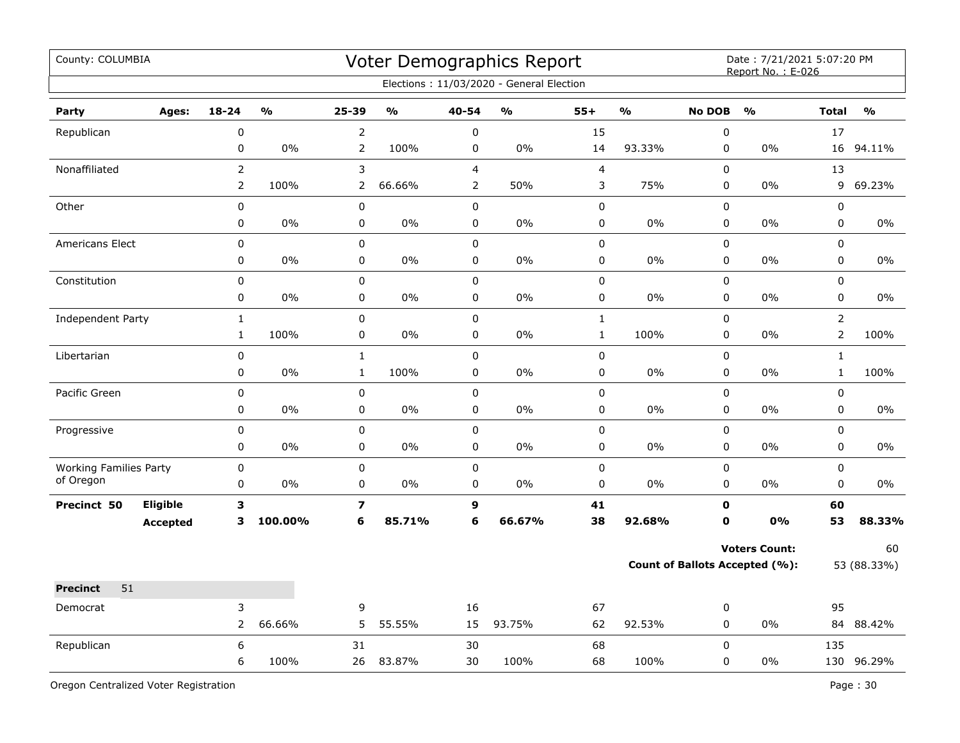| County: COLUMBIA                           |                 |                |               |                         |                                   |                | Voter Demographics Report<br>Elections: 11/03/2020 - General Election |              |                                       |               | Date: 7/21/2021 5:07:20 PM<br>Report No.: E-026 |                |            |
|--------------------------------------------|-----------------|----------------|---------------|-------------------------|-----------------------------------|----------------|-----------------------------------------------------------------------|--------------|---------------------------------------|---------------|-------------------------------------------------|----------------|------------|
| Party                                      | Ages:           | $18 - 24$      | $\frac{0}{0}$ | 25-39                   | $\mathsf{o}\mathsf{v}_\mathsf{o}$ | 40-54          | %                                                                     | $55+$        | $\frac{0}{0}$                         | <b>No DOB</b> | O <sub>0</sub>                                  | <b>Total</b>   | O/2        |
| Republican                                 |                 | 0              |               | $\overline{2}$          |                                   | $\pmb{0}$      |                                                                       | 15           |                                       | $\pmb{0}$     |                                                 | 17             |            |
|                                            |                 | 0              | 0%            | $\overline{2}$          | 100%                              | $\pmb{0}$      | 0%                                                                    | 14           | 93.33%                                | 0             | 0%                                              | 16             | 94.11%     |
| Nonaffiliated                              |                 | $\overline{2}$ |               | 3                       |                                   | $\overline{4}$ |                                                                       | 4            |                                       | $\mathbf 0$   |                                                 | 13             |            |
|                                            |                 | $\overline{2}$ | 100%          | 2                       | 66.66%                            | $\overline{2}$ | 50%                                                                   | 3            | 75%                                   | $\pmb{0}$     | 0%                                              | 9              | 69.23%     |
| Other                                      |                 | 0              |               | 0                       |                                   | $\mathbf 0$    |                                                                       | 0            |                                       | 0             |                                                 | 0              |            |
|                                            |                 | 0              | 0%            | 0                       | 0%                                | 0              | 0%                                                                    | 0            | $0\%$                                 | 0             | 0%                                              | 0              | $0\%$      |
| <b>Americans Elect</b>                     |                 | 0              |               | $\mathbf 0$             |                                   | $\mathbf 0$    |                                                                       | 0            |                                       | $\mathbf 0$   |                                                 | $\mathbf 0$    |            |
|                                            |                 | 0              | 0%            | 0                       | 0%                                | $\mathsf 0$    | 0%                                                                    | 0            | $0\%$                                 | $\mathbf 0$   | 0%                                              | $\mathbf 0$    | $0\%$      |
| Constitution                               |                 | $\mathbf 0$    |               | 0                       |                                   | $\mathbf 0$    |                                                                       | $\pmb{0}$    |                                       | $\mathbf 0$   |                                                 | $\mathbf 0$    |            |
|                                            |                 | 0              | 0%            | 0                       | 0%                                | 0              | 0%                                                                    | 0            | 0%                                    | 0             | 0%                                              | 0              | 0%         |
| Independent Party                          |                 | $\mathbf{1}$   |               | 0                       |                                   | $\pmb{0}$      |                                                                       | $\mathbf{1}$ |                                       | $\pmb{0}$     |                                                 | $\overline{2}$ |            |
|                                            |                 | $\mathbf{1}$   | 100%          | 0                       | 0%                                | $\mathbf 0$    | 0%                                                                    | $\mathbf 1$  | 100%                                  | 0             | $0\%$                                           | $\overline{2}$ | 100%       |
| Libertarian                                |                 | 0              |               | $\mathbf 1$             |                                   | $\pmb{0}$      |                                                                       | 0            |                                       | $\pmb{0}$     |                                                 | $\mathbf{1}$   |            |
|                                            |                 | 0              | $0\%$         | $\mathbf{1}$            | 100%                              | $\pmb{0}$      | $0\%$                                                                 | $\pmb{0}$    | $0\%$                                 | 0             | 0%                                              | $\mathbf 1$    | 100%       |
| Pacific Green                              |                 | $\pmb{0}$      |               | 0                       |                                   | $\pmb{0}$      |                                                                       | 0            |                                       | $\pmb{0}$     |                                                 | $\pmb{0}$      |            |
|                                            |                 | 0              | 0%            | 0                       | 0%                                | 0              | 0%                                                                    | 0            | 0%                                    | 0             | 0%                                              | 0              | 0%         |
| Progressive                                |                 | 0              |               | 0                       |                                   | $\mathbf 0$    |                                                                       | 0            |                                       | $\mathbf 0$   |                                                 | $\mathbf 0$    |            |
|                                            |                 | 0              | $0\%$         | 0                       | 0%                                | $\pmb{0}$      | 0%                                                                    | 0            | 0%                                    | $\pmb{0}$     | 0%                                              | $\pmb{0}$      | 0%         |
| <b>Working Families Party</b><br>of Oregon |                 | 0              |               | $\mathbf 0$             |                                   | $\pmb{0}$      |                                                                       | $\mathsf 0$  |                                       | $\pmb{0}$     |                                                 | $\pmb{0}$      |            |
|                                            |                 | $\pmb{0}$      | 0%            | 0                       | 0%                                | $\pmb{0}$      | 0%                                                                    | 0            | $0\%$                                 | $\pmb{0}$     | 0%                                              | $\pmb{0}$      | 0%         |
| Precinct 50                                | Eligible        | 3              |               | $\overline{\mathbf{z}}$ |                                   | 9              |                                                                       | 41           |                                       | $\mathbf 0$   |                                                 | 60             |            |
|                                            | <b>Accepted</b> | 3              | 100.00%       | 6                       | 85.71%                            | 6              | 66.67%                                                                | 38           | 92.68%                                | $\mathbf 0$   | 0%                                              | 53             | 88.33%     |
|                                            |                 |                |               |                         |                                   |                |                                                                       |              |                                       |               | <b>Voters Count:</b>                            |                | 60         |
|                                            |                 |                |               |                         |                                   |                |                                                                       |              | <b>Count of Ballots Accepted (%):</b> |               | 53 (88.33%)                                     |                |            |
| 51<br><b>Precinct</b>                      |                 |                |               |                         |                                   |                |                                                                       |              |                                       |               |                                                 |                |            |
| Democrat                                   |                 | 3              |               | 9                       |                                   | 16             |                                                                       | 67           |                                       | $\pmb{0}$     |                                                 | 95             |            |
|                                            |                 | 2              | 66.66%        | 5                       | 55.55%                            | 15             | 93.75%                                                                | 62           | 92.53%                                | $\mathbf 0$   | 0%                                              | 84             | 88.42%     |
| Republican                                 |                 | 6              |               | 31                      |                                   | 30             |                                                                       | 68           |                                       | $\pmb{0}$     |                                                 | 135            |            |
|                                            |                 | 6              | 100%          | 26                      | 83.87%                            | 30             | 100%                                                                  | 68           | 100%                                  | 0             | 0%                                              |                | 130 96.29% |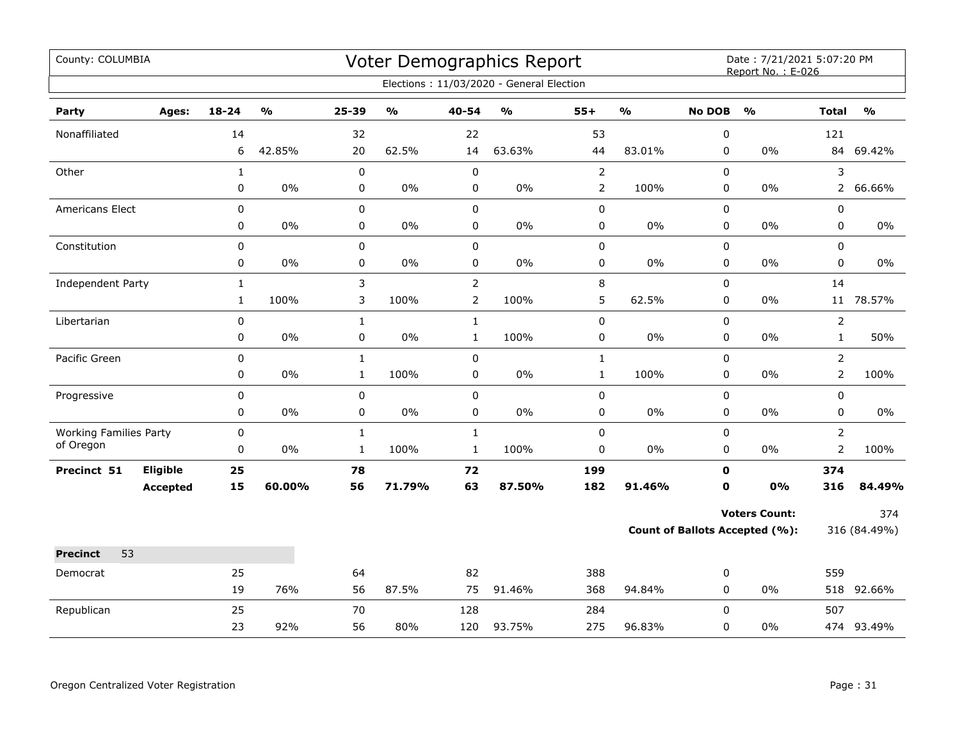| County: COLUMBIA                           |                 |              |               |              |        |                | <b>Voter Demographics Report</b>         |                |               |               | Date: 7/21/2021 5:07:20 PM<br>Report No.: E-026 |                |               |
|--------------------------------------------|-----------------|--------------|---------------|--------------|--------|----------------|------------------------------------------|----------------|---------------|---------------|-------------------------------------------------|----------------|---------------|
|                                            |                 |              |               |              |        |                | Elections: 11/03/2020 - General Election |                |               |               |                                                 |                |               |
| Party                                      | Ages:           | 18-24        | $\frac{0}{0}$ | 25-39        | %      | $40 - 54$      | $\mathsf{o}\mathsf{v}_\mathsf{o}$        | $55+$          | $\frac{0}{0}$ | <b>No DOB</b> | $\frac{0}{0}$                                   | <b>Total</b>   | $\frac{0}{0}$ |
| Nonaffiliated                              |                 | 14           |               | 32           |        | 22             |                                          | 53             |               | 0             |                                                 | 121            |               |
|                                            |                 | 6            | 42.85%        | 20           | 62.5%  | 14             | 63.63%                                   | 44             | 83.01%        | 0             | 0%                                              |                | 84 69.42%     |
| Other                                      |                 | $\mathbf{1}$ |               | 0            |        | $\pmb{0}$      |                                          | $\mathbf 2$    |               | 0             |                                                 | 3              |               |
|                                            |                 | 0            | 0%            | 0            | 0%     | 0              | $0\%$                                    | $\overline{2}$ | 100%          | 0             | 0%                                              | $\overline{2}$ | 66.66%        |
| Americans Elect                            |                 | 0            |               | 0            |        | $\pmb{0}$      |                                          | $\pmb{0}$      |               | 0             |                                                 | 0              |               |
|                                            |                 | 0            | 0%            | 0            | 0%     | $\pmb{0}$      | $0\%$                                    | $\pmb{0}$      | 0%            | $\pmb{0}$     | 0%                                              | 0              | 0%            |
| Constitution                               |                 | 0            |               | $\mathbf 0$  |        | $\mathbf 0$    |                                          | $\mathbf 0$    |               | 0             |                                                 | 0              |               |
|                                            |                 | 0            | 0%            | 0            | 0%     | 0              | 0%                                       | 0              | $0\%$         | 0             | 0%                                              | 0              | $0\%$         |
| Independent Party                          |                 | $\mathbf{1}$ |               | 3            |        | $\overline{2}$ |                                          | $\,8\,$        |               | $\mathbf 0$   |                                                 | 14             |               |
|                                            |                 | $\mathbf{1}$ | 100%          | 3            | 100%   | $\overline{2}$ | 100%                                     | 5              | 62.5%         | $\pmb{0}$     | 0%                                              | 11             | 78.57%        |
| Libertarian                                |                 | 0            |               | $\mathbf{1}$ |        | $\mathbf{1}$   |                                          | $\pmb{0}$      |               | $\Omega$      |                                                 | $\overline{2}$ |               |
|                                            |                 | 0            | 0%            | $\pmb{0}$    | 0%     | $\mathbf 1$    | 100%                                     | $\pmb{0}$      | 0%            | 0             | 0%                                              | $\mathbf 1$    | 50%           |
| Pacific Green                              |                 | 0            |               | $\mathbf{1}$ |        | $\mathbf 0$    |                                          | $\mathbf{1}$   |               | 0             |                                                 | $\overline{2}$ |               |
|                                            |                 | 0            | 0%            | $\mathbf{1}$ | 100%   | $\mathbf 0$    | 0%                                       | $\mathbf{1}$   | 100%          | 0             | 0%                                              | $\overline{2}$ | 100%          |
| Progressive                                |                 | 0            |               | $\mathbf 0$  |        | $\mathsf 0$    |                                          | $\pmb{0}$      |               | 0             |                                                 | 0              |               |
|                                            |                 | 0            | 0%            | 0            | 0%     | 0              | $0\%$                                    | 0              | $0\%$         | 0             | 0%                                              | 0              | 0%            |
| <b>Working Families Party</b><br>of Oregon |                 | 0            |               | $\mathbf{1}$ |        | $\mathbf{1}$   |                                          | $\pmb{0}$      |               | 0             |                                                 | $\overline{2}$ |               |
|                                            |                 | 0            | 0%            | $\mathbf{1}$ | 100%   | $\mathbf{1}$   | 100%                                     | 0              | 0%            | 0             | 0%                                              | $\overline{2}$ | 100%          |
| Precinct 51                                | Eligible        | 25           |               | 78           |        | 72             |                                          | 199            |               | $\mathbf 0$   |                                                 | 374            |               |
|                                            | <b>Accepted</b> | 15           | 60.00%        | 56           | 71.79% | 63             | 87.50%                                   | 182            | 91.46%        | $\mathbf{o}$  | 0%                                              | 316            | 84.49%        |
|                                            |                 |              |               |              |        |                |                                          |                |               |               | <b>Voters Count:</b>                            |                | 374           |
|                                            |                 |              |               |              |        |                |                                          |                |               |               | <b>Count of Ballots Accepted (%):</b>           |                | 316 (84.49%)  |
| 53<br><b>Precinct</b>                      |                 |              |               |              |        |                |                                          |                |               |               |                                                 |                |               |
| Democrat                                   |                 | 25           |               | 64           |        | 82             |                                          | 388            |               | 0             |                                                 | 559            |               |
|                                            |                 | 19           | 76%           | 56           | 87.5%  | 75             | 91.46%                                   | 368            | 94.84%        | 0             | $0\%$                                           |                | 518 92.66%    |
| Republican                                 |                 | 25           |               | 70           |        | 128            |                                          | 284            |               | $\Omega$      |                                                 | 507            |               |
|                                            |                 | 23           | 92%           | 56           | 80%    | 120            | 93.75%                                   | 275            | 96.83%        | 0             | 0%                                              |                | 474 93.49%    |